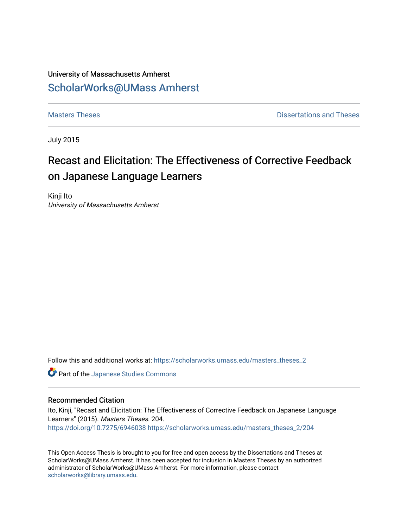## University of Massachusetts Amherst [ScholarWorks@UMass Amherst](https://scholarworks.umass.edu/)

**[Masters Theses](https://scholarworks.umass.edu/masters_theses_2) Contract Contract Contract Contract Contract Contract Contract Contract Contract Contract Contract Contract Contract Contract Contract Contract Contract Contract Contract Contract Contract Contract Contra** 

July 2015

## Recast and Elicitation: The Effectiveness of Corrective Feedback on Japanese Language Learners

Kinji Ito University of Massachusetts Amherst

Follow this and additional works at: [https://scholarworks.umass.edu/masters\\_theses\\_2](https://scholarworks.umass.edu/masters_theses_2?utm_source=scholarworks.umass.edu%2Fmasters_theses_2%2F204&utm_medium=PDF&utm_campaign=PDFCoverPages) 

Part of the [Japanese Studies Commons](http://network.bepress.com/hgg/discipline/1287?utm_source=scholarworks.umass.edu%2Fmasters_theses_2%2F204&utm_medium=PDF&utm_campaign=PDFCoverPages) 

#### Recommended Citation

Ito, Kinji, "Recast and Elicitation: The Effectiveness of Corrective Feedback on Japanese Language Learners" (2015). Masters Theses. 204. <https://doi.org/10.7275/6946038> [https://scholarworks.umass.edu/masters\\_theses\\_2/204](https://scholarworks.umass.edu/masters_theses_2/204?utm_source=scholarworks.umass.edu%2Fmasters_theses_2%2F204&utm_medium=PDF&utm_campaign=PDFCoverPages)

This Open Access Thesis is brought to you for free and open access by the Dissertations and Theses at ScholarWorks@UMass Amherst. It has been accepted for inclusion in Masters Theses by an authorized administrator of ScholarWorks@UMass Amherst. For more information, please contact [scholarworks@library.umass.edu.](mailto:scholarworks@library.umass.edu)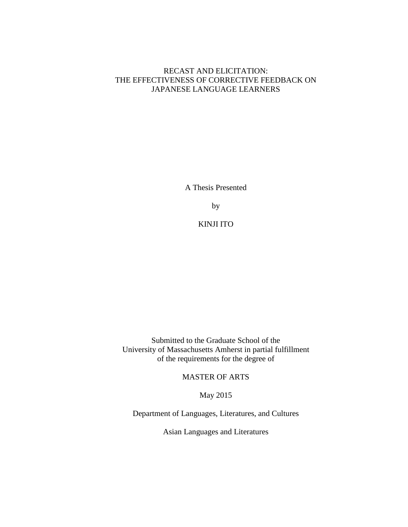## RECAST AND ELICITATION: THE EFFECTIVENESS OF CORRECTIVE FEEDBACK ON JAPANESE LANGUAGE LEARNERS

A Thesis Presented

by

KINJI ITO

Submitted to the Graduate School of the University of Massachusetts Amherst in partial fulfillment of the requirements for the degree of

MASTER OF ARTS

May 2015

Department of Languages, Literatures, and Cultures

Asian Languages and Literatures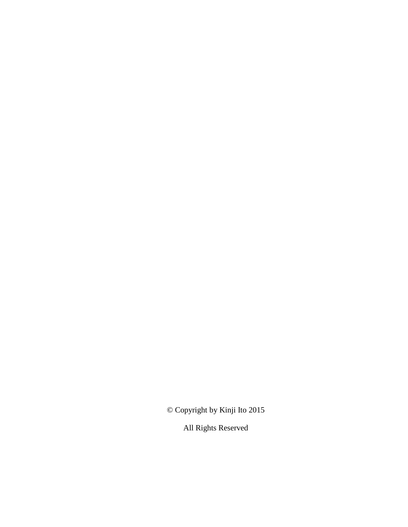© Copyright by Kinji Ito 2015

All Rights Reserved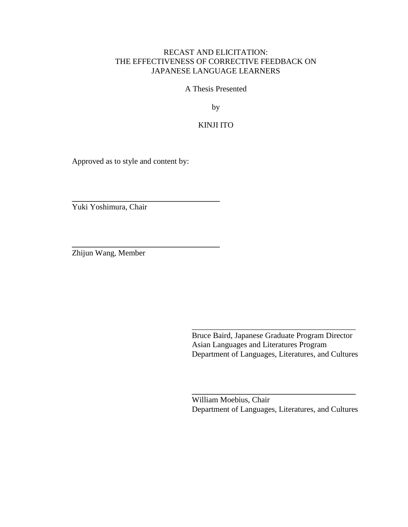## RECAST AND ELICITATION: THE EFFECTIVENESS OF CORRECTIVE FEEDBACK ON JAPANESE LANGUAGE LEARNERS

A Thesis Presented

by

KINJI ITO

Approved as to style and content by:

**\_\_\_\_\_\_\_\_\_\_\_\_\_\_\_\_\_\_\_\_\_\_\_\_\_\_\_\_\_\_\_\_\_\_\_\_\_**

**\_\_\_\_\_\_\_\_\_\_\_\_\_\_\_\_\_\_\_\_\_\_\_\_\_\_\_\_\_\_\_\_\_\_\_\_\_**

Yuki Yoshimura, Chair

Zhijun Wang, Member

 Bruce Baird, Japanese Graduate Program Director Asian Languages and Literatures Program Department of Languages, Literatures, and Cultures

\_\_\_\_\_\_\_\_\_\_\_\_\_\_\_\_\_\_\_\_\_\_\_\_\_\_\_\_\_\_\_\_\_\_\_\_\_\_\_\_\_

 William Moebius, Chair Department of Languages, Literatures, and Cultures

**\_\_\_\_\_\_\_\_\_\_\_\_\_\_\_\_\_\_\_\_\_\_\_\_\_\_\_\_\_\_\_\_\_\_\_\_\_\_\_\_\_**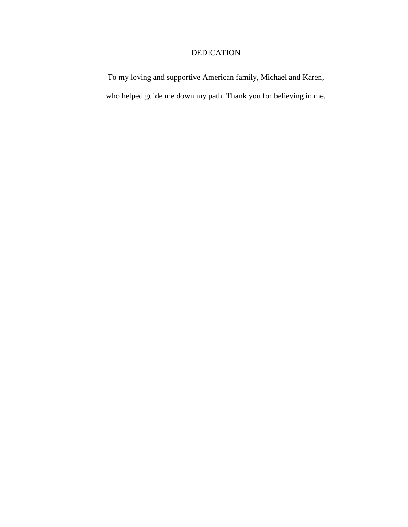## DEDICATION

To my loving and supportive American family, Michael and Karen, who helped guide me down my path. Thank you for believing in me.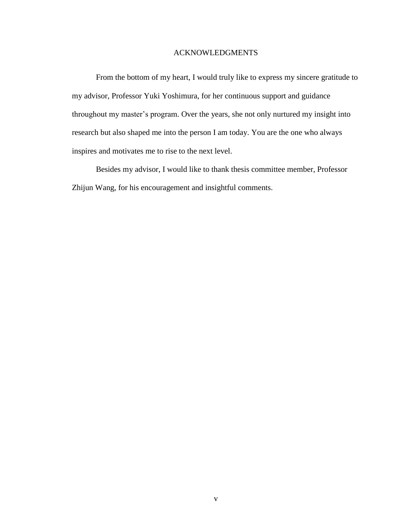#### ACKNOWLEDGMENTS

From the bottom of my heart, I would truly like to express my sincere gratitude to my advisor, Professor Yuki Yoshimura, for her continuous support and guidance throughout my master's program. Over the years, she not only nurtured my insight into research but also shaped me into the person I am today. You are the one who always inspires and motivates me to rise to the next level.

Besides my advisor, I would like to thank thesis committee member, Professor Zhijun Wang, for his encouragement and insightful comments.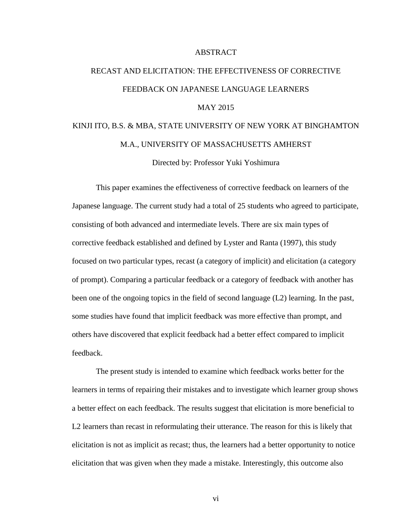#### ABSTRACT

# RECAST AND ELICITATION: THE EFFECTIVENESS OF CORRECTIVE FEEDBACK ON JAPANESE LANGUAGE LEARNERS MAY 2015 KINJI ITO, B.S. & MBA, STATE UNIVERSITY OF NEW YORK AT BINGHAMTON M.A., UNIVERSITY OF MASSACHUSETTS AMHERST

Directed by: Professor Yuki Yoshimura

This paper examines the effectiveness of corrective feedback on learners of the Japanese language. The current study had a total of 25 students who agreed to participate, consisting of both advanced and intermediate levels. There are six main types of corrective feedback established and defined by Lyster and Ranta (1997), this study focused on two particular types, recast (a category of implicit) and elicitation (a category of prompt). Comparing a particular feedback or a category of feedback with another has been one of the ongoing topics in the field of second language (L2) learning. In the past, some studies have found that implicit feedback was more effective than prompt, and others have discovered that explicit feedback had a better effect compared to implicit feedback.

The present study is intended to examine which feedback works better for the learners in terms of repairing their mistakes and to investigate which learner group shows a better effect on each feedback. The results suggest that elicitation is more beneficial to L2 learners than recast in reformulating their utterance. The reason for this is likely that elicitation is not as implicit as recast; thus, the learners had a better opportunity to notice elicitation that was given when they made a mistake. Interestingly, this outcome also

vi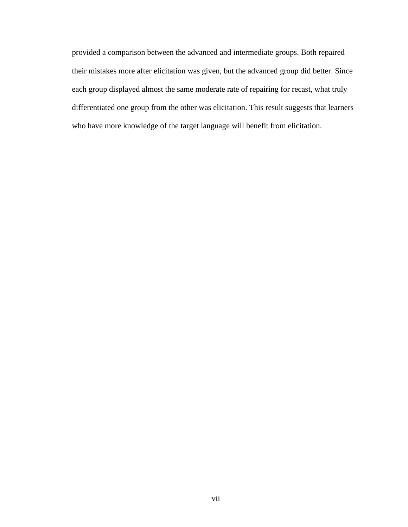provided a comparison between the advanced and intermediate groups. Both repaired their mistakes more after elicitation was given, but the advanced group did better. Since each group displayed almost the same moderate rate of repairing for recast, what truly differentiated one group from the other was elicitation. This result suggests that learners who have more knowledge of the target language will benefit from elicitation.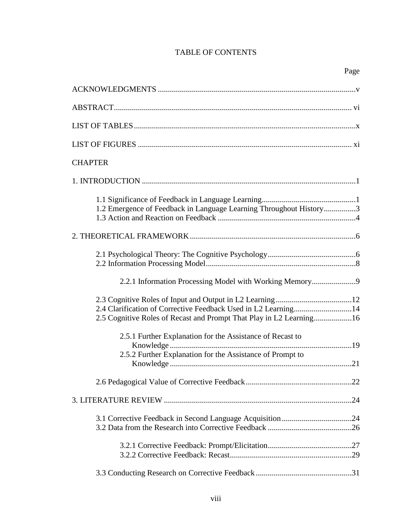## TABLE OF CONTENTS

| <b>CHAPTER</b>                                                      |
|---------------------------------------------------------------------|
|                                                                     |
| 1.2 Emergence of Feedback in Language Learning Throughout History3  |
|                                                                     |
|                                                                     |
| 2.2.1 Information Processing Model with Working Memory9             |
| 2.5 Cognitive Roles of Recast and Prompt That Play in L2 Learning16 |
| 2.5.1 Further Explanation for the Assistance of Recast to           |
| 2.5.2 Further Explanation for the Assistance of Prompt to           |
|                                                                     |
|                                                                     |
|                                                                     |
|                                                                     |
|                                                                     |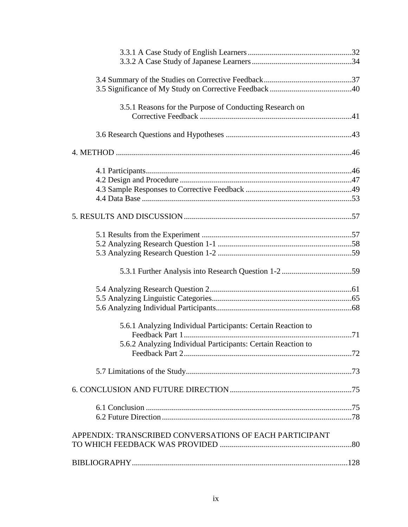| 3.5.1 Reasons for the Purpose of Conducting Research on      |  |
|--------------------------------------------------------------|--|
|                                                              |  |
|                                                              |  |
|                                                              |  |
|                                                              |  |
|                                                              |  |
|                                                              |  |
|                                                              |  |
|                                                              |  |
|                                                              |  |
|                                                              |  |
|                                                              |  |
|                                                              |  |
|                                                              |  |
|                                                              |  |
| 5.6.1 Analyzing Individual Participants: Certain Reaction to |  |
| 5.6.2 Analyzing Individual Participants: Certain Reaction to |  |
|                                                              |  |
|                                                              |  |
|                                                              |  |
|                                                              |  |
|                                                              |  |
| APPENDIX: TRANSCRIBED CONVERSATIONS OF EACH PARTICIPANT      |  |
|                                                              |  |
|                                                              |  |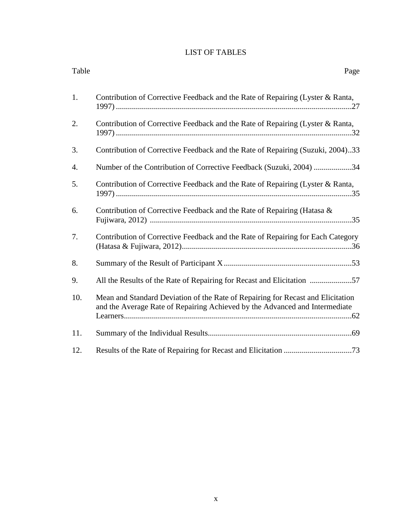## LIST OF TABLES

| Table | Page                                                                                                                                                           |
|-------|----------------------------------------------------------------------------------------------------------------------------------------------------------------|
| 1.    | Contribution of Corrective Feedback and the Rate of Repairing (Lyster & Ranta,                                                                                 |
| 2.    | Contribution of Corrective Feedback and the Rate of Repairing (Lyster & Ranta,                                                                                 |
| 3.    | Contribution of Corrective Feedback and the Rate of Repairing (Suzuki, 2004)33                                                                                 |
| 4.    | Number of the Contribution of Corrective Feedback (Suzuki, 2004) 34                                                                                            |
| 5.    | Contribution of Corrective Feedback and the Rate of Repairing (Lyster & Ranta,                                                                                 |
| 6.    | Contribution of Corrective Feedback and the Rate of Repairing (Hatasa &                                                                                        |
| 7.    | Contribution of Corrective Feedback and the Rate of Repairing for Each Category                                                                                |
| 8.    |                                                                                                                                                                |
| 9.    | All the Results of the Rate of Repairing for Recast and Elicitation 57                                                                                         |
| 10.   | Mean and Standard Deviation of the Rate of Repairing for Recast and Elicitation<br>and the Average Rate of Repairing Achieved by the Advanced and Intermediate |
| 11.   |                                                                                                                                                                |
| 12.   |                                                                                                                                                                |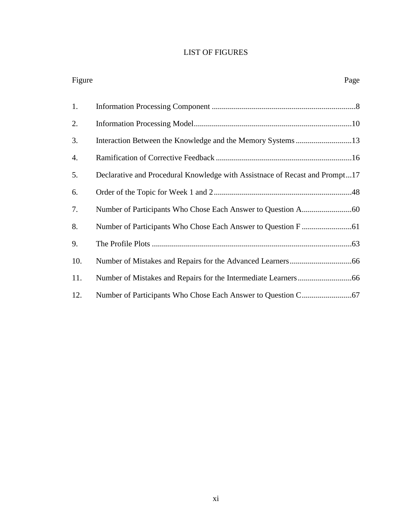## LIST OF FIGURES

| Figure | Page                                                                        |
|--------|-----------------------------------------------------------------------------|
| 1.     |                                                                             |
| 2.     |                                                                             |
| 3.     | Interaction Between the Knowledge and the Memory Systems13                  |
| 4.     |                                                                             |
| 5.     | Declarative and Procedural Knowledge with Assistnace of Recast and Prompt17 |
| 6.     |                                                                             |
| 7.     |                                                                             |
| 8.     |                                                                             |
| 9.     |                                                                             |
| 10.    |                                                                             |
| 11.    |                                                                             |
| 12.    |                                                                             |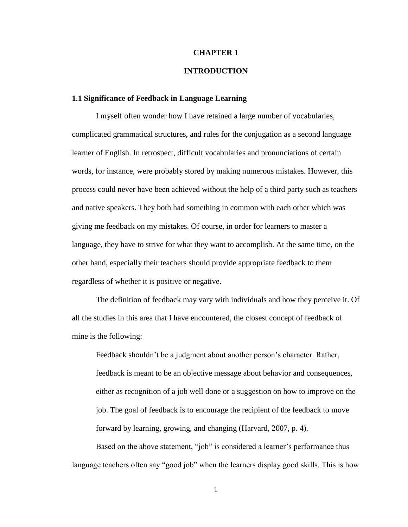#### **CHAPTER 1**

#### **INTRODUCTION**

#### **1.1 Significance of Feedback in Language Learning**

I myself often wonder how I have retained a large number of vocabularies, complicated grammatical structures, and rules for the conjugation as a second language learner of English. In retrospect, difficult vocabularies and pronunciations of certain words, for instance, were probably stored by making numerous mistakes. However, this process could never have been achieved without the help of a third party such as teachers and native speakers. They both had something in common with each other which was giving me feedback on my mistakes. Of course, in order for learners to master a language, they have to strive for what they want to accomplish. At the same time, on the other hand, especially their teachers should provide appropriate feedback to them regardless of whether it is positive or negative.

The definition of feedback may vary with individuals and how they perceive it. Of all the studies in this area that I have encountered, the closest concept of feedback of mine is the following:

Feedback shouldn't be a judgment about another person's character. Rather, feedback is meant to be an objective message about behavior and consequences, either as recognition of a job well done or a suggestion on how to improve on the job. The goal of feedback is to encourage the recipient of the feedback to move forward by learning, growing, and changing (Harvard, 2007, p. 4).

Based on the above statement, "job" is considered a learner's performance thus language teachers often say "good job" when the learners display good skills. This is how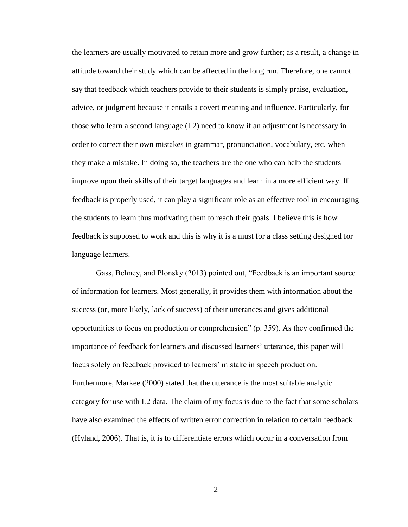the learners are usually motivated to retain more and grow further; as a result, a change in attitude toward their study which can be affected in the long run. Therefore, one cannot say that feedback which teachers provide to their students is simply praise, evaluation, advice, or judgment because it entails a covert meaning and influence. Particularly, for those who learn a second language (L2) need to know if an adjustment is necessary in order to correct their own mistakes in grammar, pronunciation, vocabulary, etc. when they make a mistake. In doing so, the teachers are the one who can help the students improve upon their skills of their target languages and learn in a more efficient way. If feedback is properly used, it can play a significant role as an effective tool in encouraging the students to learn thus motivating them to reach their goals. I believe this is how feedback is supposed to work and this is why it is a must for a class setting designed for language learners.

Gass, Behney, and Plonsky (2013) pointed out, "Feedback is an important source of information for learners. Most generally, it provides them with information about the success (or, more likely, lack of success) of their utterances and gives additional opportunities to focus on production or comprehension" (p. 359). As they confirmed the importance of feedback for learners and discussed learners' utterance, this paper will focus solely on feedback provided to learners' mistake in speech production. Furthermore, Markee (2000) stated that the utterance is the most suitable analytic category for use with L2 data. The claim of my focus is due to the fact that some scholars have also examined the effects of written error correction in relation to certain feedback (Hyland, 2006). That is, it is to differentiate errors which occur in a conversation from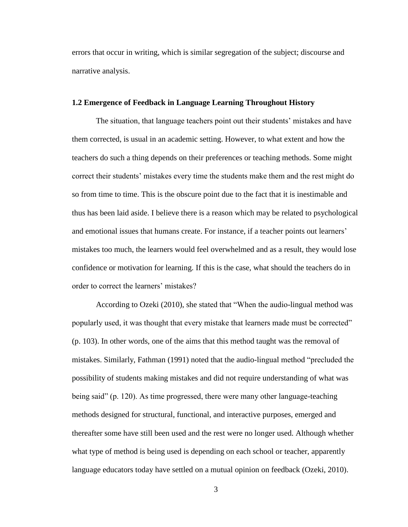errors that occur in writing, which is similar segregation of the subject; discourse and narrative analysis.

#### **1.2 Emergence of Feedback in Language Learning Throughout History**

The situation, that language teachers point out their students' mistakes and have them corrected, is usual in an academic setting. However, to what extent and how the teachers do such a thing depends on their preferences or teaching methods. Some might correct their students' mistakes every time the students make them and the rest might do so from time to time. This is the obscure point due to the fact that it is inestimable and thus has been laid aside. I believe there is a reason which may be related to psychological and emotional issues that humans create. For instance, if a teacher points out learners' mistakes too much, the learners would feel overwhelmed and as a result, they would lose confidence or motivation for learning. If this is the case, what should the teachers do in order to correct the learners' mistakes?

According to Ozeki (2010), she stated that "When the audio-lingual method was popularly used, it was thought that every mistake that learners made must be corrected" (p. 103). In other words, one of the aims that this method taught was the removal of mistakes. Similarly, Fathman (1991) noted that the audio-lingual method "precluded the possibility of students making mistakes and did not require understanding of what was being said" (p. 120). As time progressed, there were many other language-teaching methods designed for structural, functional, and interactive purposes, emerged and thereafter some have still been used and the rest were no longer used. Although whether what type of method is being used is depending on each school or teacher, apparently language educators today have settled on a mutual opinion on feedback (Ozeki, 2010).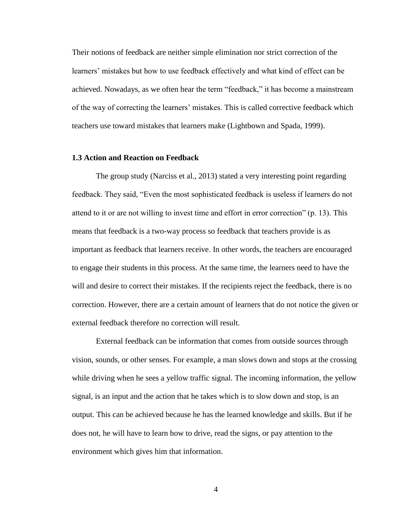Their notions of feedback are neither simple elimination nor strict correction of the learners' mistakes but how to use feedback effectively and what kind of effect can be achieved. Nowadays, as we often hear the term "feedback," it has become a mainstream of the way of correcting the learners' mistakes. This is called corrective feedback which teachers use toward mistakes that learners make (Lightbown and Spada, 1999).

#### **1.3 Action and Reaction on Feedback**

The group study (Narciss et al., 2013) stated a very interesting point regarding feedback. They said, "Even the most sophisticated feedback is useless if learners do not attend to it or are not willing to invest time and effort in error correction" (p. 13). This means that feedback is a two-way process so feedback that teachers provide is as important as feedback that learners receive. In other words, the teachers are encouraged to engage their students in this process. At the same time, the learners need to have the will and desire to correct their mistakes. If the recipients reject the feedback, there is no correction. However, there are a certain amount of learners that do not notice the given or external feedback therefore no correction will result.

External feedback can be information that comes from outside sources through vision, sounds, or other senses. For example, a man slows down and stops at the crossing while driving when he sees a yellow traffic signal. The incoming information, the yellow signal, is an input and the action that he takes which is to slow down and stop, is an output. This can be achieved because he has the learned knowledge and skills. But if he does not, he will have to learn how to drive, read the signs, or pay attention to the environment which gives him that information.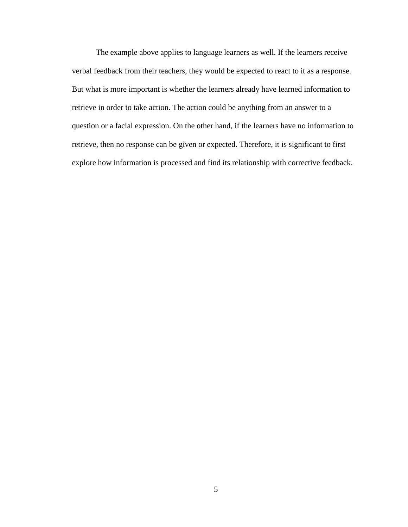The example above applies to language learners as well. If the learners receive verbal feedback from their teachers, they would be expected to react to it as a response. But what is more important is whether the learners already have learned information to retrieve in order to take action. The action could be anything from an answer to a question or a facial expression. On the other hand, if the learners have no information to retrieve, then no response can be given or expected. Therefore, it is significant to first explore how information is processed and find its relationship with corrective feedback.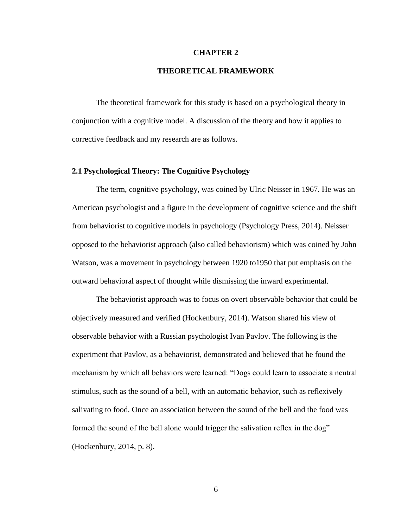#### **CHAPTER 2**

#### **THEORETICAL FRAMEWORK**

The theoretical framework for this study is based on a psychological theory in conjunction with a cognitive model. A discussion of the theory and how it applies to corrective feedback and my research are as follows.

#### **2.1 Psychological Theory: The Cognitive Psychology**

The term, cognitive psychology, was coined by Ulric Neisser in 1967. He was an American psychologist and a figure in the development of cognitive science and the shift from behaviorist to cognitive models in psychology (Psychology Press, 2014). Neisser opposed to the behaviorist approach (also called behaviorism) which was coined by John Watson, was a movement in psychology between 1920 to1950 that put emphasis on the outward behavioral aspect of thought while dismissing the inward experimental.

The behaviorist approach was to focus on overt observable behavior that could be objectively measured and verified (Hockenbury, 2014). Watson shared his view of observable behavior with a Russian psychologist Ivan Pavlov. The following is the experiment that Pavlov, as a behaviorist, demonstrated and believed that he found the mechanism by which all behaviors were learned: "Dogs could learn to associate a neutral stimulus, such as the sound of a bell, with an automatic behavior, such as reflexively salivating to food. Once an association between the sound of the bell and the food was formed the sound of the bell alone would trigger the salivation reflex in the dog" (Hockenbury, 2014, p. 8).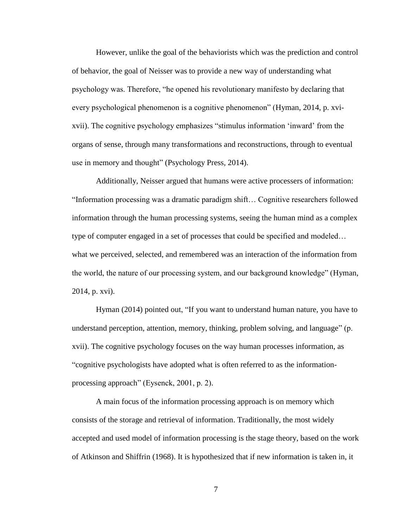However, unlike the goal of the behaviorists which was the prediction and control of behavior, the goal of Neisser was to provide a new way of understanding what psychology was. Therefore, "he opened his revolutionary manifesto by declaring that every psychological phenomenon is a cognitive phenomenon" (Hyman, 2014, p. xvixvii). The cognitive psychology emphasizes "stimulus information 'inward' from the organs of sense, through many transformations and reconstructions, through to eventual use in memory and thought" (Psychology Press, 2014).

Additionally, Neisser argued that humans were active processers of information: "Information processing was a dramatic paradigm shift… Cognitive researchers followed information through the human processing systems, seeing the human mind as a complex type of computer engaged in a set of processes that could be specified and modeled… what we perceived, selected, and remembered was an interaction of the information from the world, the nature of our processing system, and our background knowledge" (Hyman, 2014, p. xvi).

Hyman (2014) pointed out, "If you want to understand human nature, you have to understand perception, attention, memory, thinking, problem solving, and language" (p. xvii). The cognitive psychology focuses on the way human processes information, as "cognitive psychologists have adopted what is often referred to as the informationprocessing approach" (Eysenck, 2001, p. 2).

A main focus of the information processing approach is on memory which consists of the storage and retrieval of information. Traditionally, the most widely accepted and used model of information processing is the stage theory, based on the work of Atkinson and Shiffrin (1968). It is hypothesized that if new information is taken in, it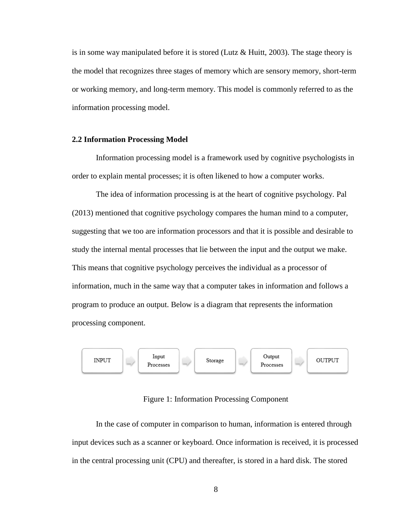is in some way manipulated before it is stored (Lutz  $\&$  Huitt, 2003). The stage theory is the model that recognizes three stages of memory which are sensory memory, short-term or working memory, and long-term memory. This model is commonly referred to as the information processing model.

#### **2.2 Information Processing Model**

Information processing model is a framework used by cognitive psychologists in order to explain mental processes; it is often likened to how a computer works.

The idea of information processing is at the heart of cognitive psychology. Pal (2013) mentioned that cognitive psychology compares the human mind to a computer, suggesting that we too are information processors and that it is possible and desirable to study the internal mental processes that lie between the input and the output we make. This means that cognitive psychology perceives the individual as a processor of information, much in the same way that a computer takes in information and follows a program to produce an output. Below is a diagram that represents the information processing component.



#### Figure 1: Information Processing Component

In the case of computer in comparison to human, information is entered through input devices such as a scanner or keyboard. Once information is received, it is processed in the central processing unit (CPU) and thereafter, is stored in a hard disk. The stored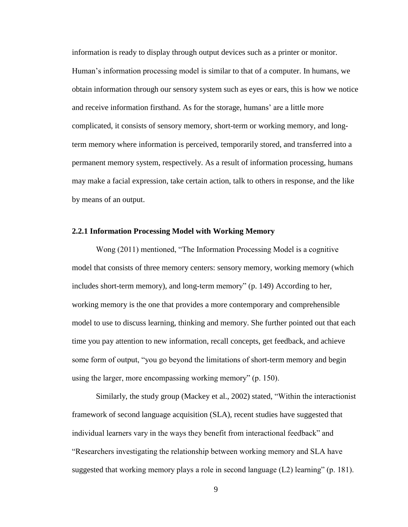information is ready to display through output devices such as a printer or monitor. Human's information processing model is similar to that of a computer. In humans, we obtain information through our sensory system such as eyes or ears, this is how we notice and receive information firsthand. As for the storage, humans' are a little more complicated, it consists of sensory memory, short-term or working memory, and longterm memory where information is perceived, temporarily stored, and transferred into a permanent memory system, respectively. As a result of information processing, humans may make a facial expression, take certain action, talk to others in response, and the like by means of an output.

#### **2.2.1 Information Processing Model with Working Memory**

Wong (2011) mentioned, "The Information Processing Model is a cognitive model that consists of three memory centers: sensory memory, working memory (which includes short-term memory), and long-term memory" (p. 149) According to her, working memory is the one that provides a more contemporary and comprehensible model to use to discuss learning, thinking and memory. She further pointed out that each time you pay attention to new information, recall concepts, get feedback, and achieve some form of output, "you go beyond the limitations of short-term memory and begin using the larger, more encompassing working memory" (p. 150).

Similarly, the study group (Mackey et al., 2002) stated, "Within the interactionist framework of second language acquisition (SLA), recent studies have suggested that individual learners vary in the ways they benefit from interactional feedback" and "Researchers investigating the relationship between working memory and SLA have suggested that working memory plays a role in second language  $(L2)$  learning" (p. 181).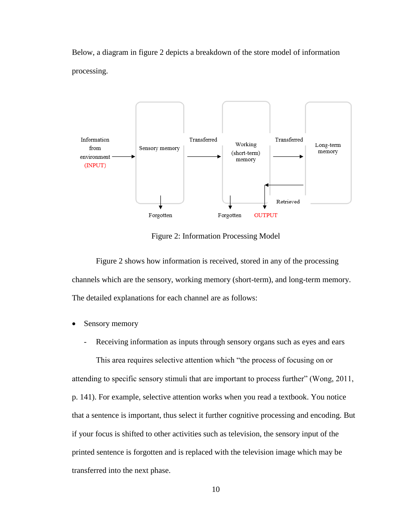Below, a diagram in figure 2 depicts a breakdown of the store model of information processing.



Figure 2: Information Processing Model

Figure 2 shows how information is received, stored in any of the processing channels which are the sensory, working memory (short-term), and long-term memory. The detailed explanations for each channel are as follows:

- Sensory memory
	- Receiving information as inputs through sensory organs such as eyes and ears

This area requires selective attention which "the process of focusing on or attending to specific sensory stimuli that are important to process further" (Wong, 2011, p. 141). For example, selective attention works when you read a textbook. You notice that a sentence is important, thus select it further cognitive processing and encoding. But if your focus is shifted to other activities such as television, the sensory input of the printed sentence is forgotten and is replaced with the television image which may be transferred into the next phase.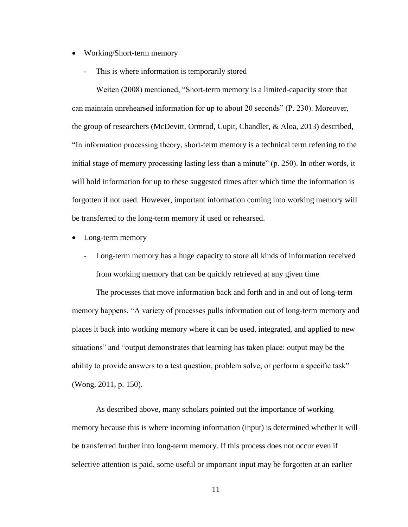- Working/Short-term memory
	- This is where information is temporarily stored

Weiten (2008) mentioned, "Short-term memory is a limited-capacity store that can maintain unrehearsed information for up to about 20 seconds" (P. 230). Moreover, the group of researchers (McDevitt, Ormrod, Cupit, Chandler, & Aloa, 2013) described, "In information processing theory, short-term memory is a technical term referring to the initial stage of memory processing lasting less than a minute" (p. 250). In other words, it will hold information for up to these suggested times after which time the information is forgotten if not used. However, important information coming into working memory will be transferred to the long-term memory if used or rehearsed.

- Long-term memory
	- Long-term memory has a huge capacity to store all kinds of information received from working memory that can be quickly retrieved at any given time

The processes that move information back and forth and in and out of long-term memory happens. "A variety of processes pulls information out of long-term memory and places it back into working memory where it can be used, integrated, and applied to new situations" and "output demonstrates that learning has taken place: output may be the ability to provide answers to a test question, problem solve, or perform a specific task" (Wong, 2011, p. 150).

As described above, many scholars pointed out the importance of working memory because this is where incoming information (input) is determined whether it will be transferred further into long-term memory. If this process does not occur even if selective attention is paid, some useful or important input may be forgotten at an earlier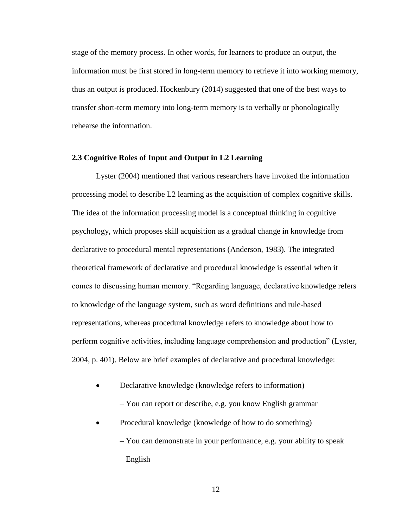stage of the memory process. In other words, for learners to produce an output, the information must be first stored in long-term memory to retrieve it into working memory, thus an output is produced. Hockenbury (2014) suggested that one of the best ways to transfer short-term memory into long-term memory is to verbally or phonologically rehearse the information.

#### **2.3 Cognitive Roles of Input and Output in L2 Learning**

Lyster (2004) mentioned that various researchers have invoked the information processing model to describe L2 learning as the acquisition of complex cognitive skills. The idea of the information processing model is a conceptual thinking in cognitive psychology, which proposes skill acquisition as a gradual change in knowledge from declarative to procedural mental representations (Anderson, 1983). The integrated theoretical framework of declarative and procedural knowledge is essential when it comes to discussing human memory. "Regarding language, declarative knowledge refers to knowledge of the language system, such as word definitions and rule-based representations, whereas procedural knowledge refers to knowledge about how to perform cognitive activities, including language comprehension and production" (Lyster, 2004, p. 401). Below are brief examples of declarative and procedural knowledge:

Declarative knowledge (knowledge refers to information)

– You can report or describe, e.g. you know English grammar

 Procedural knowledge (knowledge of how to do something) – You can demonstrate in your performance, e.g. your ability to speak English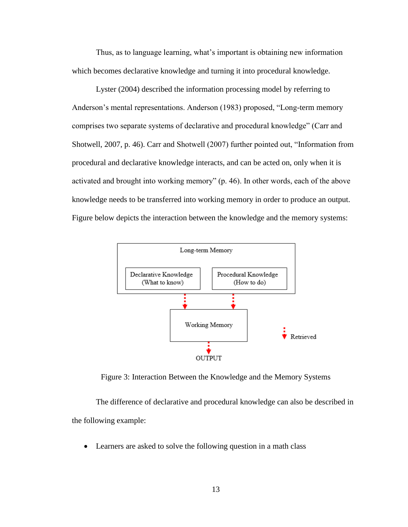Thus, as to language learning, what's important is obtaining new information which becomes declarative knowledge and turning it into procedural knowledge.

Lyster (2004) described the information processing model by referring to Anderson's mental representations. Anderson (1983) proposed, "Long-term memory comprises two separate systems of declarative and procedural knowledge" (Carr and Shotwell, 2007, p. 46). Carr and Shotwell (2007) further pointed out, "Information from procedural and declarative knowledge interacts, and can be acted on, only when it is activated and brought into working memory" (p. 46). In other words, each of the above knowledge needs to be transferred into working memory in order to produce an output. Figure below depicts the interaction between the knowledge and the memory systems:



Figure 3: Interaction Between the Knowledge and the Memory Systems

The difference of declarative and procedural knowledge can also be described in the following example:

Learners are asked to solve the following question in a math class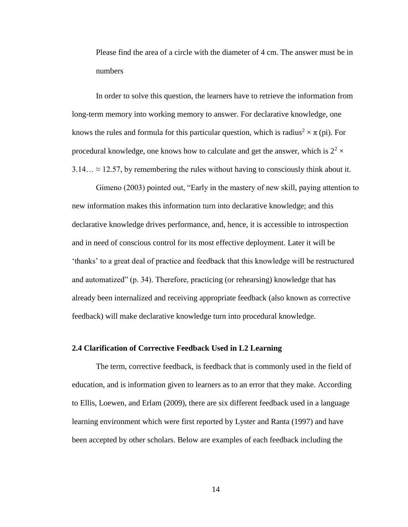Please find the area of a circle with the diameter of 4 cm. The answer must be in numbers

In order to solve this question, the learners have to retrieve the information from long-term memory into working memory to answer. For declarative knowledge, one knows the rules and formula for this particular question, which is radius<sup>2</sup>  $\times \pi$  (pi). For procedural knowledge, one knows how to calculate and get the answer, which is  $2^2 \times$  $3.14... \approx 12.57$ , by remembering the rules without having to consciously think about it.

Gimeno (2003) pointed out, "Early in the mastery of new skill, paying attention to new information makes this information turn into declarative knowledge; and this declarative knowledge drives performance, and, hence, it is accessible to introspection and in need of conscious control for its most effective deployment. Later it will be 'thanks' to a great deal of practice and feedback that this knowledge will be restructured and automatized" (p. 34). Therefore, practicing (or rehearsing) knowledge that has already been internalized and receiving appropriate feedback (also known as corrective feedback) will make declarative knowledge turn into procedural knowledge.

#### **2.4 Clarification of Corrective Feedback Used in L2 Learning**

The term, corrective feedback, is feedback that is commonly used in the field of education, and is information given to learners as to an error that they make. According to Ellis, Loewen, and Erlam (2009), there are six different feedback used in a language learning environment which were first reported by Lyster and Ranta (1997) and have been accepted by other scholars. Below are examples of each feedback including the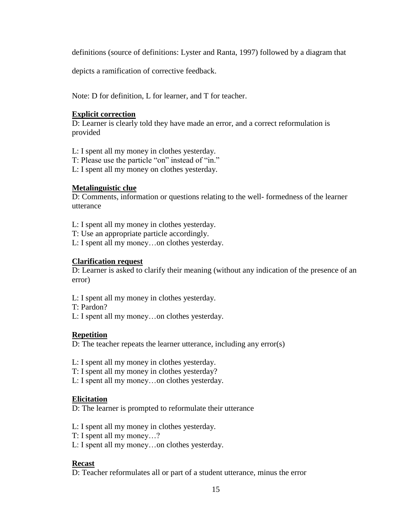definitions (source of definitions: Lyster and Ranta, 1997) followed by a diagram that

depicts a ramification of corrective feedback.

Note: D for definition, L for learner, and T for teacher.

#### **Explicit correction**

D: Learner is clearly told they have made an error, and a correct reformulation is provided

- L: I spent all my money in clothes yesterday.
- T: Please use the particle "on" instead of "in."
- L: I spent all my money on clothes yesterday.

#### **Metalinguistic clue**

D: Comments, information or questions relating to the well- formedness of the learner utterance

- L: I spent all my money in clothes yesterday.
- T: Use an appropriate particle accordingly.
- L: I spent all my money…on clothes yesterday.

#### **Clarification request**

D: Learner is asked to clarify their meaning (without any indication of the presence of an error)

- L: I spent all my money in clothes yesterday.
- T: Pardon?
- L: I spent all my money…on clothes yesterday.

#### **Repetition**

D: The teacher repeats the learner utterance, including any error(s)

- L: I spent all my money in clothes yesterday.
- T: I spent all my money in clothes yesterday?
- L: I spent all my money…on clothes yesterday.

#### **Elicitation**

D: The learner is prompted to reformulate their utterance

- L: I spent all my money in clothes yesterday.
- T: I spent all my money…?
- L: I spent all my money…on clothes yesterday.

#### **Recast**

D: Teacher reformulates all or part of a student utterance, minus the error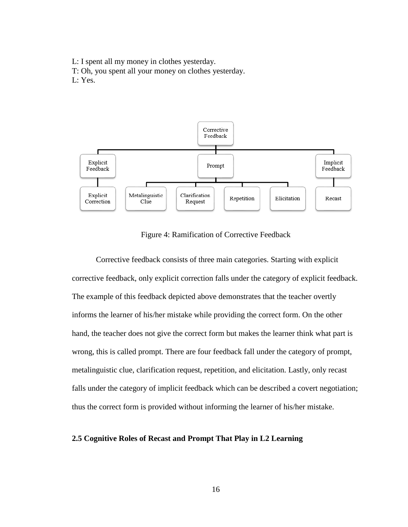L: I spent all my money in clothes yesterday.

T: Oh, you spent all your money on clothes yesterday.

L: Yes.



#### Figure 4: Ramification of Corrective Feedback

Corrective feedback consists of three main categories. Starting with explicit corrective feedback, only explicit correction falls under the category of explicit feedback. The example of this feedback depicted above demonstrates that the teacher overtly informs the learner of his/her mistake while providing the correct form. On the other hand, the teacher does not give the correct form but makes the learner think what part is wrong, this is called prompt. There are four feedback fall under the category of prompt, metalinguistic clue, clarification request, repetition, and elicitation. Lastly, only recast falls under the category of implicit feedback which can be described a covert negotiation; thus the correct form is provided without informing the learner of his/her mistake.

#### **2.5 Cognitive Roles of Recast and Prompt That Play in L2 Learning**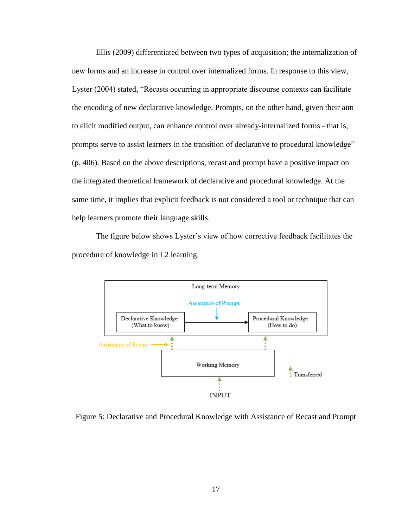Ellis (2009) differentiated between two types of acquisition; the internalization of new forms and an increase in control over internalized forms. In response to this view, Lyster (2004) stated, "Recasts occurring in appropriate discourse contexts can facilitate the encoding of new declarative knowledge. Prompts, on the other hand, given their aim to elicit modified output, can enhance control over already-internalized forms - that is, prompts serve to assist learners in the transition of declarative to procedural knowledge" (p. 406). Based on the above descriptions, recast and prompt have a positive impact on the integrated theoretical framework of declarative and procedural knowledge. At the same time, it implies that explicit feedback is not considered a tool or technique that can help learners promote their language skills.

The figure below shows Lyster's view of how corrective feedback facilitates the procedure of knowledge in L2 learning:



Figure 5: Declarative and Procedural Knowledge with Assistance of Recast and Prompt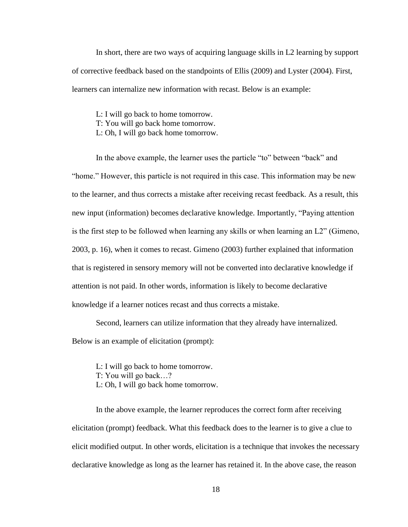In short, there are two ways of acquiring language skills in L2 learning by support of corrective feedback based on the standpoints of Ellis (2009) and Lyster (2004). First, learners can internalize new information with recast. Below is an example:

L: I will go back to home tomorrow. T: You will go back home tomorrow. L: Oh, I will go back home tomorrow.

In the above example, the learner uses the particle "to" between "back" and "home." However, this particle is not required in this case. This information may be new to the learner, and thus corrects a mistake after receiving recast feedback. As a result, this new input (information) becomes declarative knowledge. Importantly, "Paying attention is the first step to be followed when learning any skills or when learning an L2" (Gimeno, 2003, p. 16), when it comes to recast. Gimeno (2003) further explained that information that is registered in sensory memory will not be converted into declarative knowledge if attention is not paid. In other words, information is likely to become declarative knowledge if a learner notices recast and thus corrects a mistake.

Second, learners can utilize information that they already have internalized.

Below is an example of elicitation (prompt):

L: I will go back to home tomorrow.

T: You will go back…?

L: Oh, I will go back home tomorrow.

In the above example, the learner reproduces the correct form after receiving elicitation (prompt) feedback. What this feedback does to the learner is to give a clue to elicit modified output. In other words, elicitation is a technique that invokes the necessary declarative knowledge as long as the learner has retained it. In the above case, the reason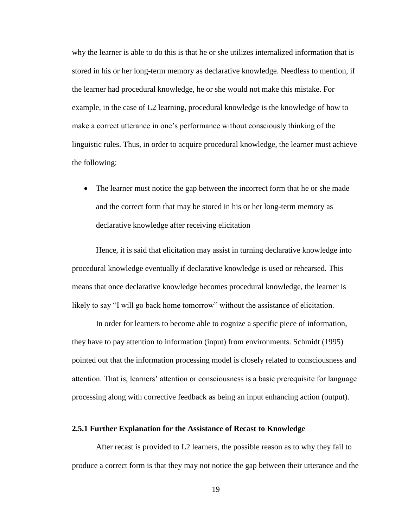why the learner is able to do this is that he or she utilizes internalized information that is stored in his or her long-term memory as declarative knowledge. Needless to mention, if the learner had procedural knowledge, he or she would not make this mistake. For example, in the case of L2 learning, procedural knowledge is the knowledge of how to make a correct utterance in one's performance without consciously thinking of the linguistic rules. Thus, in order to acquire procedural knowledge, the learner must achieve the following:

• The learner must notice the gap between the incorrect form that he or she made and the correct form that may be stored in his or her long-term memory as declarative knowledge after receiving elicitation

Hence, it is said that elicitation may assist in turning declarative knowledge into procedural knowledge eventually if declarative knowledge is used or rehearsed. This means that once declarative knowledge becomes procedural knowledge, the learner is likely to say "I will go back home tomorrow" without the assistance of elicitation.

In order for learners to become able to cognize a specific piece of information, they have to pay attention to information (input) from environments. Schmidt (1995) pointed out that the information processing model is closely related to consciousness and attention. That is, learners' attention or consciousness is a basic prerequisite for language processing along with corrective feedback as being an input enhancing action (output).

#### **2.5.1 Further Explanation for the Assistance of Recast to Knowledge**

After recast is provided to L2 learners, the possible reason as to why they fail to produce a correct form is that they may not notice the gap between their utterance and the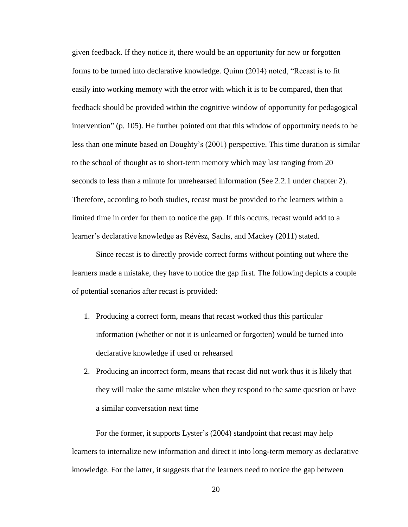given feedback. If they notice it, there would be an opportunity for new or forgotten forms to be turned into declarative knowledge. Quinn (2014) noted, "Recast is to fit easily into working memory with the error with which it is to be compared, then that feedback should be provided within the cognitive window of opportunity for pedagogical intervention" (p. 105). He further pointed out that this window of opportunity needs to be less than one minute based on Doughty's (2001) perspective. This time duration is similar to the school of thought as to short-term memory which may last ranging from 20 seconds to less than a minute for unrehearsed information (See 2.2.1 under chapter 2). Therefore, according to both studies, recast must be provided to the learners within a limited time in order for them to notice the gap. If this occurs, recast would add to a learner's declarative knowledge as Révész, Sachs, and Mackey (2011) stated.

Since recast is to directly provide correct forms without pointing out where the learners made a mistake, they have to notice the gap first. The following depicts a couple of potential scenarios after recast is provided:

- 1. Producing a correct form, means that recast worked thus this particular information (whether or not it is unlearned or forgotten) would be turned into declarative knowledge if used or rehearsed
- 2. Producing an incorrect form, means that recast did not work thus it is likely that they will make the same mistake when they respond to the same question or have a similar conversation next time

For the former, it supports Lyster's (2004) standpoint that recast may help learners to internalize new information and direct it into long-term memory as declarative knowledge. For the latter, it suggests that the learners need to notice the gap between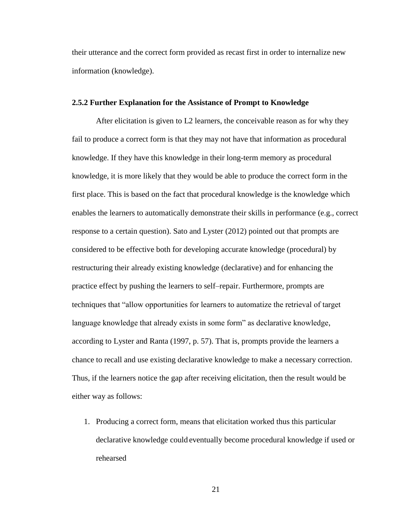their utterance and the correct form provided as recast first in order to internalize new information (knowledge).

#### **2.5.2 Further Explanation for the Assistance of Prompt to Knowledge**

After elicitation is given to L2 learners, the conceivable reason as for why they fail to produce a correct form is that they may not have that information as procedural knowledge. If they have this knowledge in their long-term memory as procedural knowledge, it is more likely that they would be able to produce the correct form in the first place. This is based on the fact that procedural knowledge is the knowledge which enables the learners to automatically demonstrate their skills in performance (e.g., correct response to a certain question). Sato and Lyster (2012) pointed out that prompts are considered to be effective both for developing accurate knowledge (procedural) by restructuring their already existing knowledge (declarative) and for enhancing the practice effect by pushing the learners to self–repair. Furthermore, prompts are techniques that "allow opportunities for learners to automatize the retrieval of target language knowledge that already exists in some form" as declarative knowledge, according to Lyster and Ranta (1997, p. 57). That is, prompts provide the learners a chance to recall and use existing declarative knowledge to make a necessary correction. Thus, if the learners notice the gap after receiving elicitation, then the result would be either way as follows:

1. Producing a correct form, means that elicitation worked thus this particular declarative knowledge could eventually become procedural knowledge if used or rehearsed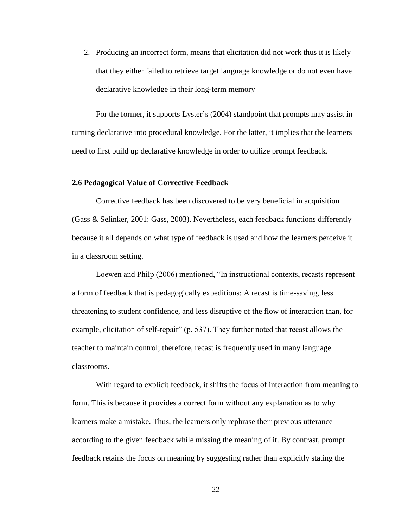2. Producing an incorrect form, means that elicitation did not work thus it is likely that they either failed to retrieve target language knowledge or do not even have declarative knowledge in their long-term memory

For the former, it supports Lyster's (2004) standpoint that prompts may assist in turning declarative into procedural knowledge. For the latter, it implies that the learners need to first build up declarative knowledge in order to utilize prompt feedback.

#### **2.6 Pedagogical Value of Corrective Feedback**

Corrective feedback has been discovered to be very beneficial in acquisition (Gass & Selinker, 2001: Gass, 2003). Nevertheless, each feedback functions differently because it all depends on what type of feedback is used and how the learners perceive it in a classroom setting.

Loewen and Philp (2006) mentioned, "In instructional contexts, recasts represent a form of feedback that is pedagogically expeditious: A recast is time-saving, less threatening to student confidence, and less disruptive of the flow of interaction than, for example, elicitation of self-repair" (p. 537). They further noted that recast allows the teacher to maintain control; therefore, recast is frequently used in many language classrooms.

With regard to explicit feedback, it shifts the focus of interaction from meaning to form. This is because it provides a correct form without any explanation as to why learners make a mistake. Thus, the learners only rephrase their previous utterance according to the given feedback while missing the meaning of it. By contrast, prompt feedback retains the focus on meaning by suggesting rather than explicitly stating the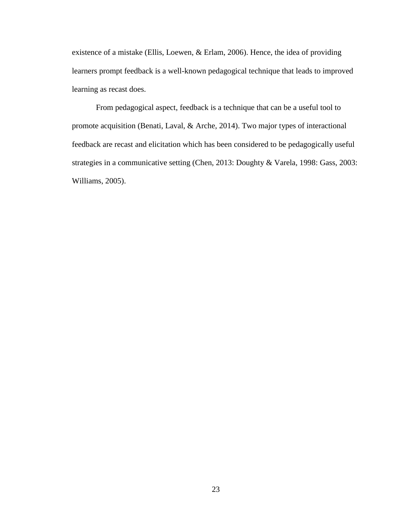existence of a mistake (Ellis, Loewen, & Erlam, 2006). Hence, the idea of providing learners prompt feedback is a well-known pedagogical technique that leads to improved learning as recast does.

From pedagogical aspect, feedback is a technique that can be a useful tool to promote acquisition (Benati, Laval, & Arche, 2014). Two major types of interactional feedback are recast and elicitation which has been considered to be pedagogically useful strategies in a communicative setting (Chen, 2013: Doughty & Varela, 1998: Gass, 2003: Williams, 2005).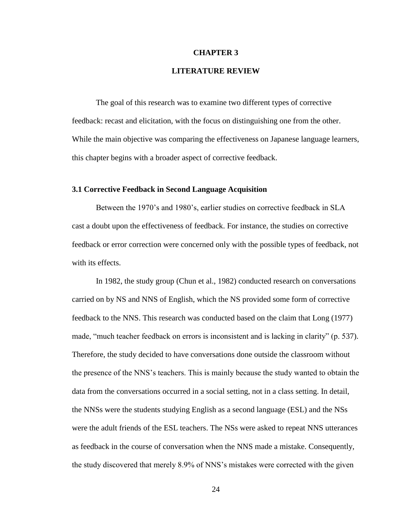#### **CHAPTER 3**

#### **LITERATURE REVIEW**

The goal of this research was to examine two different types of corrective feedback: recast and elicitation, with the focus on distinguishing one from the other. While the main objective was comparing the effectiveness on Japanese language learners, this chapter begins with a broader aspect of corrective feedback.

#### **3.1 Corrective Feedback in Second Language Acquisition**

Between the 1970's and 1980's, earlier studies on corrective feedback in SLA cast a doubt upon the effectiveness of feedback. For instance, the studies on corrective feedback or error correction were concerned only with the possible types of feedback, not with its effects.

In 1982, the study group (Chun et al., 1982) conducted research on conversations carried on by NS and NNS of English, which the NS provided some form of corrective feedback to the NNS. This research was conducted based on the claim that Long (1977) made, "much teacher feedback on errors is inconsistent and is lacking in clarity" (p. 537). Therefore, the study decided to have conversations done outside the classroom without the presence of the NNS's teachers. This is mainly because the study wanted to obtain the data from the conversations occurred in a social setting, not in a class setting. In detail, the NNSs were the students studying English as a second language (ESL) and the NSs were the adult friends of the ESL teachers. The NSs were asked to repeat NNS utterances as feedback in the course of conversation when the NNS made a mistake. Consequently, the study discovered that merely 8.9% of NNS's mistakes were corrected with the given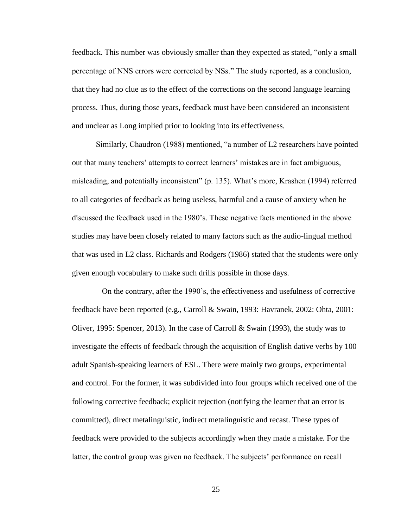feedback. This number was obviously smaller than they expected as stated, "only a small percentage of NNS errors were corrected by NSs." The study reported, as a conclusion, that they had no clue as to the effect of the corrections on the second language learning process. Thus, during those years, feedback must have been considered an inconsistent and unclear as Long implied prior to looking into its effectiveness.

Similarly, Chaudron (1988) mentioned, "a number of L2 researchers have pointed out that many teachers' attempts to correct learners' mistakes are in fact ambiguous, misleading, and potentially inconsistent" (p. 135). What's more, Krashen (1994) referred to all categories of feedback as being useless, harmful and a cause of anxiety when he discussed the feedback used in the 1980's. These negative facts mentioned in the above studies may have been closely related to many factors such as the audio-lingual method that was used in L2 class. Richards and Rodgers (1986) stated that the students were only given enough vocabulary to make such drills possible in those days.

 On the contrary, after the 1990's, the effectiveness and usefulness of corrective feedback have been reported (e.g., Carroll & Swain, 1993: Havranek, 2002: Ohta, 2001: Oliver, 1995: Spencer, 2013). In the case of Carroll & Swain (1993), the study was to investigate the effects of feedback through the acquisition of English dative verbs by 100 adult Spanish-speaking learners of ESL. There were mainly two groups, experimental and control. For the former, it was subdivided into four groups which received one of the following corrective feedback; explicit rejection (notifying the learner that an error is committed), direct metalinguistic, indirect metalinguistic and recast. These types of feedback were provided to the subjects accordingly when they made a mistake. For the latter, the control group was given no feedback. The subjects' performance on recall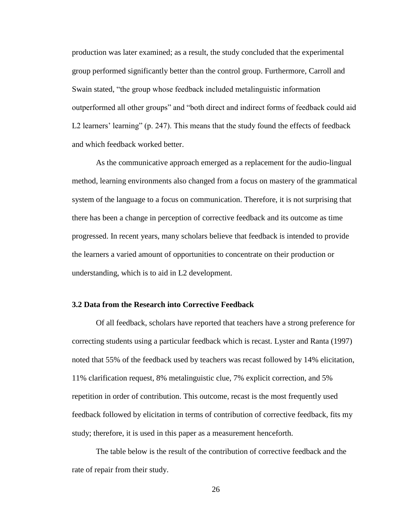production was later examined; as a result, the study concluded that the experimental group performed significantly better than the control group. Furthermore, Carroll and Swain stated, "the group whose feedback included metalinguistic information outperformed all other groups" and "both direct and indirect forms of feedback could aid L2 learners' learning" (p. 247). This means that the study found the effects of feedback and which feedback worked better.

As the communicative approach emerged as a replacement for the audio-lingual method, learning environments also changed from a focus on mastery of the grammatical system of the language to a focus on communication. Therefore, it is not surprising that there has been a change in perception of corrective feedback and its outcome as time progressed. In recent years, many scholars believe that feedback is intended to provide the learners a varied amount of opportunities to concentrate on their production or understanding, which is to aid in L2 development.

# **3.2 Data from the Research into Corrective Feedback**

Of all feedback, scholars have reported that teachers have a strong preference for correcting students using a particular feedback which is recast. Lyster and Ranta (1997) noted that 55% of the feedback used by teachers was recast followed by 14% elicitation, 11% clarification request, 8% metalinguistic clue, 7% explicit correction, and 5% repetition in order of contribution. This outcome, recast is the most frequently used feedback followed by elicitation in terms of contribution of corrective feedback, fits my study; therefore, it is used in this paper as a measurement henceforth.

The table below is the result of the contribution of corrective feedback and the rate of repair from their study.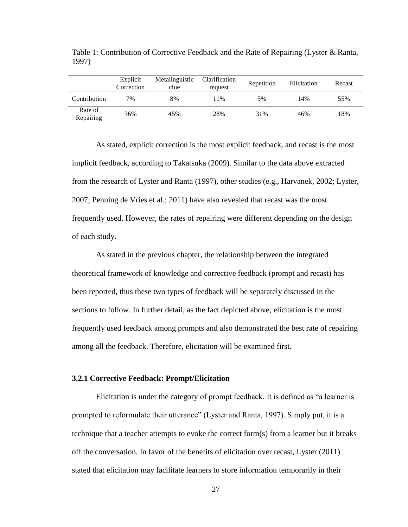|                      | Explicit<br>Correction | Metalinguistic<br>clue | Clarification<br>request | Repetition | Elicitation | Recast |
|----------------------|------------------------|------------------------|--------------------------|------------|-------------|--------|
| Contribution         | 7%                     | 8%                     | 11%                      | 5%         | 14%         | 55%    |
| Rate of<br>Repairing | 36%                    | 45%                    | 28%                      | 31%        | 46%         | 18%    |

Table 1: Contribution of Corrective Feedback and the Rate of Repairing (Lyster & Ranta, 1997)

As stated, explicit correction is the most explicit feedback, and recast is the most implicit feedback, according to Takatsuka (2009). Similar to the data above extracted from the research of Lyster and Ranta (1997), other studies (e.g., Harvanek, 2002; Lyster, 2007; Penning de Vries et al.; 2011) have also revealed that recast was the most frequently used. However, the rates of repairing were different depending on the design of each study.

As stated in the previous chapter, the relationship between the integrated theoretical framework of knowledge and corrective feedback (prompt and recast) has been reported, thus these two types of feedback will be separately discussed in the sections to follow. In further detail, as the fact depicted above, elicitation is the most frequently used feedback among prompts and also demonstrated the best rate of repairing among all the feedback. Therefore, elicitation will be examined first.

## **3.2.1 Corrective Feedback: Prompt/Elicitation**

Elicitation is under the category of prompt feedback. It is defined as "a learner is prompted to reformulate their utterance" (Lyster and Ranta, 1997). Simply put, it is a technique that a teacher attempts to evoke the correct form(s) from a learner but it breaks off the conversation. In favor of the benefits of elicitation over recast, Lyster (2011) stated that elicitation may facilitate learners to store information temporarily in their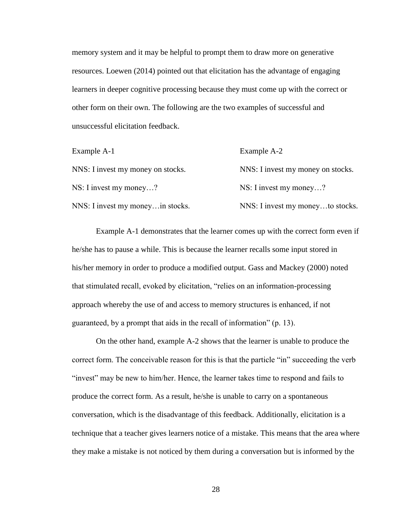memory system and it may be helpful to prompt them to draw more on generative resources. Loewen (2014) pointed out that elicitation has the advantage of engaging learners in deeper cognitive processing because they must come up with the correct or other form on their own. The following are the two examples of successful and unsuccessful elicitation feedback.

| Example A-1                       | Example A-2                       |
|-----------------------------------|-----------------------------------|
| NNS: I invest my money on stocks. | NNS: I invest my money on stocks. |
| NS: I invest my money?            | NS: I invest my money?            |
| NNS: I invest my money in stocks. | NNS: I invest my moneyto stocks.  |

Example A-1 demonstrates that the learner comes up with the correct form even if he/she has to pause a while. This is because the learner recalls some input stored in his/her memory in order to produce a modified output. Gass and Mackey (2000) noted that stimulated recall, evoked by elicitation, "relies on an information-processing approach whereby the use of and access to memory structures is enhanced, if not guaranteed, by a prompt that aids in the recall of information" (p. 13).

On the other hand, example A-2 shows that the learner is unable to produce the correct form. The conceivable reason for this is that the particle "in" succeeding the verb "invest" may be new to him/her. Hence, the learner takes time to respond and fails to produce the correct form. As a result, he/she is unable to carry on a spontaneous conversation, which is the disadvantage of this feedback. Additionally, elicitation is a technique that a teacher gives learners notice of a mistake. This means that the area where they make a mistake is not noticed by them during a conversation but is informed by the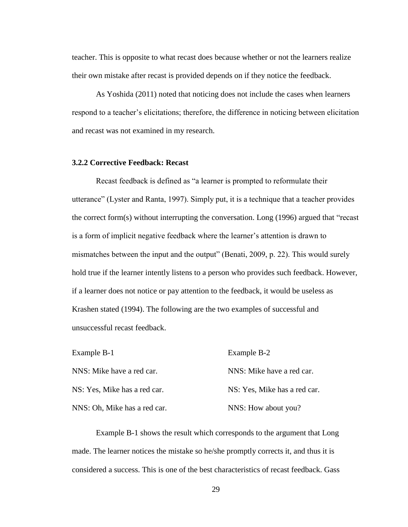teacher. This is opposite to what recast does because whether or not the learners realize their own mistake after recast is provided depends on if they notice the feedback.

As Yoshida (2011) noted that noticing does not include the cases when learners respond to a teacher's elicitations; therefore, the difference in noticing between elicitation and recast was not examined in my research.

# **3.2.2 Corrective Feedback: Recast**

Recast feedback is defined as "a learner is prompted to reformulate their utterance" (Lyster and Ranta, 1997). Simply put, it is a technique that a teacher provides the correct form(s) without interrupting the conversation. Long (1996) argued that "recast is a form of implicit negative feedback where the learner's attention is drawn to mismatches between the input and the output" (Benati, 2009, p. 22). This would surely hold true if the learner intently listens to a person who provides such feedback. However, if a learner does not notice or pay attention to the feedback, it would be useless as Krashen stated (1994). The following are the two examples of successful and unsuccessful recast feedback.

| Example B-1                  | Example B-2                  |
|------------------------------|------------------------------|
| NNS: Mike have a red car.    | NNS: Mike have a red car.    |
| NS: Yes, Mike has a red car. | NS: Yes, Mike has a red car. |
| NNS: Oh, Mike has a red car. | NNS: How about you?          |

Example B-1 shows the result which corresponds to the argument that Long made. The learner notices the mistake so he/she promptly corrects it, and thus it is considered a success. This is one of the best characteristics of recast feedback. Gass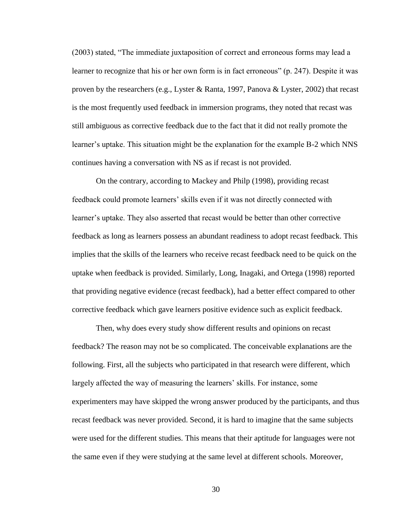(2003) stated, "The immediate juxtaposition of correct and erroneous forms may lead a learner to recognize that his or her own form is in fact erroneous" (p. 247). Despite it was proven by the researchers (e.g., Lyster & Ranta, 1997, Panova & Lyster, 2002) that recast is the most frequently used feedback in immersion programs, they noted that recast was still ambiguous as corrective feedback due to the fact that it did not really promote the learner's uptake. This situation might be the explanation for the example B-2 which NNS continues having a conversation with NS as if recast is not provided.

On the contrary, according to Mackey and Philp (1998), providing recast feedback could promote learners' skills even if it was not directly connected with learner's uptake. They also asserted that recast would be better than other corrective feedback as long as learners possess an abundant readiness to adopt recast feedback. This implies that the skills of the learners who receive recast feedback need to be quick on the uptake when feedback is provided. Similarly, Long, Inagaki, and Ortega (1998) reported that providing negative evidence (recast feedback), had a better effect compared to other corrective feedback which gave learners positive evidence such as explicit feedback.

Then, why does every study show different results and opinions on recast feedback? The reason may not be so complicated. The conceivable explanations are the following. First, all the subjects who participated in that research were different, which largely affected the way of measuring the learners' skills. For instance, some experimenters may have skipped the wrong answer produced by the participants, and thus recast feedback was never provided. Second, it is hard to imagine that the same subjects were used for the different studies. This means that their aptitude for languages were not the same even if they were studying at the same level at different schools. Moreover,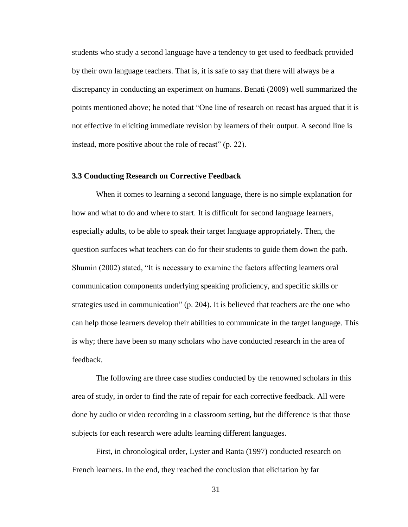students who study a second language have a tendency to get used to feedback provided by their own language teachers. That is, it is safe to say that there will always be a discrepancy in conducting an experiment on humans. Benati (2009) well summarized the points mentioned above; he noted that "One line of research on recast has argued that it is not effective in eliciting immediate revision by learners of their output. A second line is instead, more positive about the role of recast" (p. 22).

## **3.3 Conducting Research on Corrective Feedback**

When it comes to learning a second language, there is no simple explanation for how and what to do and where to start. It is difficult for second language learners, especially adults, to be able to speak their target language appropriately. Then, the question surfaces what teachers can do for their students to guide them down the path. Shumin (2002) stated, "It is necessary to examine the factors affecting learners oral communication components underlying speaking proficiency, and specific skills or strategies used in communication" (p. 204). It is believed that teachers are the one who can help those learners develop their abilities to communicate in the target language. This is why; there have been so many scholars who have conducted research in the area of feedback.

The following are three case studies conducted by the renowned scholars in this area of study, in order to find the rate of repair for each corrective feedback. All were done by audio or video recording in a classroom setting, but the difference is that those subjects for each research were adults learning different languages.

First, in chronological order, Lyster and Ranta (1997) conducted research on French learners. In the end, they reached the conclusion that elicitation by far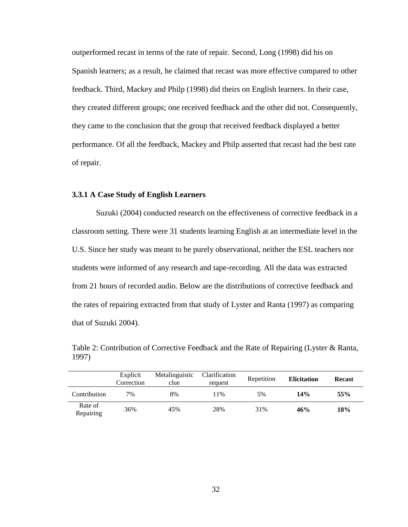outperformed recast in terms of the rate of repair. Second, Long (1998) did his on Spanish learners; as a result, he claimed that recast was more effective compared to other feedback. Third, Mackey and Philp (1998) did theirs on English learners. In their case, they created different groups; one received feedback and the other did not. Consequently, they came to the conclusion that the group that received feedback displayed a better performance. Of all the feedback, Mackey and Philp asserted that recast had the best rate of repair.

## **3.3.1 A Case Study of English Learners**

Suzuki (2004) conducted research on the effectiveness of corrective feedback in a classroom setting. There were 31 students learning English at an intermediate level in the U.S. Since her study was meant to be purely observational, neither the ESL teachers nor students were informed of any research and tape-recording. All the data was extracted from 21 hours of recorded audio. Below are the distributions of corrective feedback and the rates of repairing extracted from that study of Lyster and Ranta (1997) as comparing that of Suzuki 2004).

|       |  |  |  | . The contract of the contract of the contract of the contract of $\mathbf{C} \setminus \mathbf{C}$ , $\mathbf{C} \setminus \mathbf{C}$ , and $\mathbf{C}$ |  |
|-------|--|--|--|------------------------------------------------------------------------------------------------------------------------------------------------------------|--|
|       |  |  |  |                                                                                                                                                            |  |
| 1997) |  |  |  |                                                                                                                                                            |  |
|       |  |  |  |                                                                                                                                                            |  |
|       |  |  |  |                                                                                                                                                            |  |
|       |  |  |  |                                                                                                                                                            |  |

Table 2: Contribution of Corrective Feedback and the Rate of Repairing (Lyster & Ranta,

|                      | Explicit<br>Correction | Metalinguistic<br>clue | Clarification<br>request | Repetition | <b>Elicitation</b> | <b>Recast</b> |  |
|----------------------|------------------------|------------------------|--------------------------|------------|--------------------|---------------|--|
| Contribution         | $7\%$                  | 8%                     | 11%                      | 5%         | 14%                | 55%           |  |
| Rate of<br>Repairing | 36%                    | 45%                    | 28%                      | 31%        | 46%                | 18%           |  |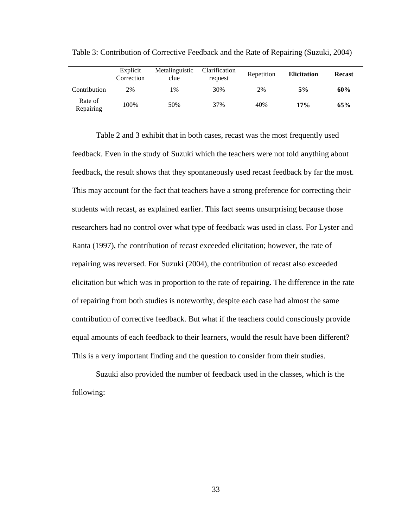|                      | Explicit<br>Correction | Metalinguistic<br>clue | Clarification<br>request | Repetition | <b>Elicitation</b> | <b>Recast</b> |  |
|----------------------|------------------------|------------------------|--------------------------|------------|--------------------|---------------|--|
| Contribution         | 2%                     | 1%                     | 30%                      | 2%         | 5%                 | 60%           |  |
| Rate of<br>Repairing | 100%                   | 50%                    | 37%                      | 40%        | 17%                | 65%           |  |

Table 3: Contribution of Corrective Feedback and the Rate of Repairing (Suzuki, 2004)

Table 2 and 3 exhibit that in both cases, recast was the most frequently used feedback. Even in the study of Suzuki which the teachers were not told anything about feedback, the result shows that they spontaneously used recast feedback by far the most. This may account for the fact that teachers have a strong preference for correcting their students with recast, as explained earlier. This fact seems unsurprising because those researchers had no control over what type of feedback was used in class. For Lyster and Ranta (1997), the contribution of recast exceeded elicitation; however, the rate of repairing was reversed. For Suzuki (2004), the contribution of recast also exceeded elicitation but which was in proportion to the rate of repairing. The difference in the rate of repairing from both studies is noteworthy, despite each case had almost the same contribution of corrective feedback. But what if the teachers could consciously provide equal amounts of each feedback to their learners, would the result have been different? This is a very important finding and the question to consider from their studies.

Suzuki also provided the number of feedback used in the classes, which is the following: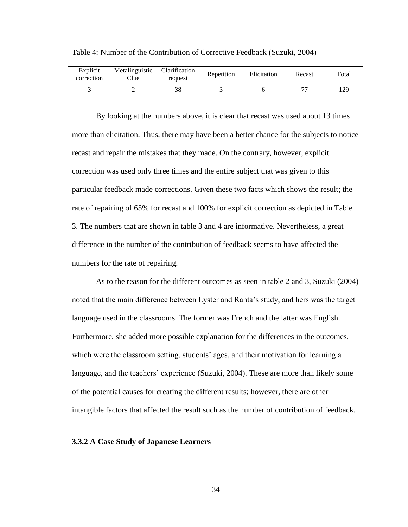| Explicit<br>correction | Metalinguistic Clarification<br>Clue | request | Repetition | Elicitation | Recast | Total |
|------------------------|--------------------------------------|---------|------------|-------------|--------|-------|
|                        |                                      |         |            |             |        | 129   |

Table 4: Number of the Contribution of Corrective Feedback (Suzuki, 2004)

By looking at the numbers above, it is clear that recast was used about 13 times more than elicitation. Thus, there may have been a better chance for the subjects to notice recast and repair the mistakes that they made. On the contrary, however, explicit correction was used only three times and the entire subject that was given to this particular feedback made corrections. Given these two facts which shows the result; the rate of repairing of 65% for recast and 100% for explicit correction as depicted in Table 3. The numbers that are shown in table 3 and 4 are informative. Nevertheless, a great difference in the number of the contribution of feedback seems to have affected the numbers for the rate of repairing.

As to the reason for the different outcomes as seen in table 2 and 3, Suzuki (2004) noted that the main difference between Lyster and Ranta's study, and hers was the target language used in the classrooms. The former was French and the latter was English. Furthermore, she added more possible explanation for the differences in the outcomes, which were the classroom setting, students' ages, and their motivation for learning a language, and the teachers' experience (Suzuki, 2004). These are more than likely some of the potential causes for creating the different results; however, there are other intangible factors that affected the result such as the number of contribution of feedback.

#### **3.3.2 A Case Study of Japanese Learners**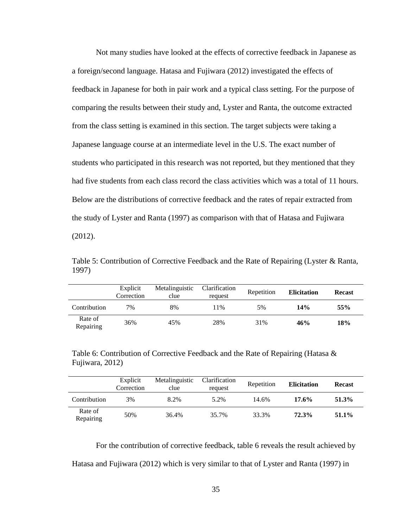Not many studies have looked at the effects of corrective feedback in Japanese as a foreign/second language. Hatasa and Fujiwara (2012) investigated the effects of feedback in Japanese for both in pair work and a typical class setting. For the purpose of comparing the results between their study and, Lyster and Ranta, the outcome extracted from the class setting is examined in this section. The target subjects were taking a Japanese language course at an intermediate level in the U.S. The exact number of students who participated in this research was not reported, but they mentioned that they had five students from each class record the class activities which was a total of 11 hours. Below are the distributions of corrective feedback and the rates of repair extracted from the study of Lyster and Ranta (1997) as comparison with that of Hatasa and Fujiwara (2012).

Table 5: Contribution of Corrective Feedback and the Rate of Repairing (Lyster & Ranta, 1997)

|                      | Explicit<br>Correction | Metalinguistic<br>clue | Clarification<br>request | Repetition | <b>Elicitation</b> | <b>Recast</b> |
|----------------------|------------------------|------------------------|--------------------------|------------|--------------------|---------------|
| Contribution         | 7%                     | 8%                     | 11%                      | 5%         | 14%                | 55%           |
| Rate of<br>Repairing | 36%                    | 45%                    | 28%                      | 31%        | 46%                | 18%           |

Table 6: Contribution of Corrective Feedback and the Rate of Repairing (Hatasa & Fujiwara, 2012)

|                      | Explicit<br>Correction | Metalinguistic<br>clue | Clarification<br>request | Repetition | <b>Elicitation</b> | <b>Recast</b> |  |
|----------------------|------------------------|------------------------|--------------------------|------------|--------------------|---------------|--|
| Contribution         | 3%                     | 8.2%                   | 5.2%                     | 14.6%      | $17.6\%$           | 51.3%         |  |
| Rate of<br>Repairing | 50%                    | 36.4%                  | 35.7%                    | 33.3%      | 72.3%              | 51.1%         |  |

For the contribution of corrective feedback, table 6 reveals the result achieved by Hatasa and Fujiwara (2012) which is very similar to that of Lyster and Ranta (1997) in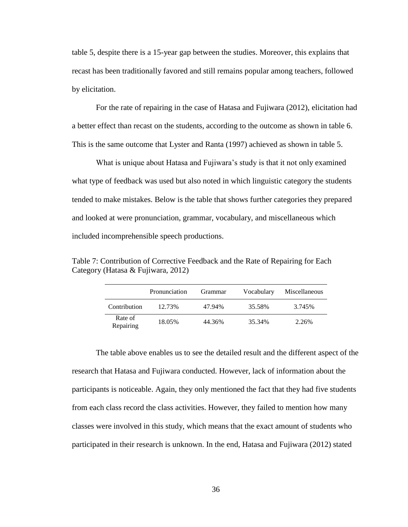table 5, despite there is a 15-year gap between the studies. Moreover, this explains that recast has been traditionally favored and still remains popular among teachers, followed by elicitation.

For the rate of repairing in the case of Hatasa and Fujiwara (2012), elicitation had a better effect than recast on the students, according to the outcome as shown in table 6. This is the same outcome that Lyster and Ranta (1997) achieved as shown in table 5.

What is unique about Hatasa and Fujiwara's study is that it not only examined what type of feedback was used but also noted in which linguistic category the students tended to make mistakes. Below is the table that shows further categories they prepared and looked at were pronunciation, grammar, vocabulary, and miscellaneous which included incomprehensible speech productions.

Table 7: Contribution of Corrective Feedback and the Rate of Repairing for Each Category (Hatasa & Fujiwara, 2012)

|                      | Pronunciation | Grammar | Vocabulary | Miscellaneous |
|----------------------|---------------|---------|------------|---------------|
| Contribution         | 12.73%        | 47.94%  | 35.58%     | 3.745%        |
| Rate of<br>Repairing | 18.05%        | 44.36%  | 35.34%     | 2.26%         |

The table above enables us to see the detailed result and the different aspect of the research that Hatasa and Fujiwara conducted. However, lack of information about the participants is noticeable. Again, they only mentioned the fact that they had five students from each class record the class activities. However, they failed to mention how many classes were involved in this study, which means that the exact amount of students who participated in their research is unknown. In the end, Hatasa and Fujiwara (2012) stated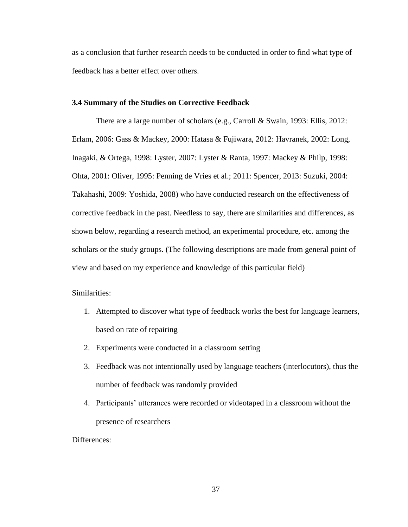as a conclusion that further research needs to be conducted in order to find what type of feedback has a better effect over others.

# **3.4 Summary of the Studies on Corrective Feedback**

There are a large number of scholars (e.g., Carroll & Swain, 1993: Ellis, 2012: Erlam, 2006: Gass & Mackey, 2000: Hatasa & Fujiwara, 2012: Havranek, 2002: Long, Inagaki, & Ortega, 1998: Lyster, 2007: Lyster & Ranta, 1997: Mackey & Philp, 1998: Ohta, 2001: Oliver, 1995: Penning de Vries et al.; 2011: Spencer, 2013: Suzuki, 2004: Takahashi, 2009: Yoshida, 2008) who have conducted research on the effectiveness of corrective feedback in the past. Needless to say, there are similarities and differences, as shown below, regarding a research method, an experimental procedure, etc. among the scholars or the study groups. (The following descriptions are made from general point of view and based on my experience and knowledge of this particular field)

Similarities:

- 1. Attempted to discover what type of feedback works the best for language learners, based on rate of repairing
- 2. Experiments were conducted in a classroom setting
- 3. Feedback was not intentionally used by language teachers (interlocutors), thus the number of feedback was randomly provided
- 4. Participants' utterances were recorded or videotaped in a classroom without the presence of researchers

Differences: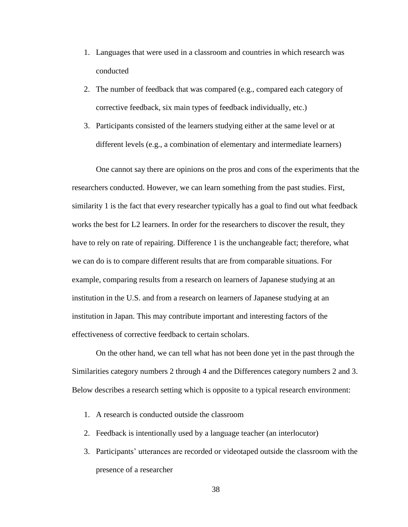- 1. Languages that were used in a classroom and countries in which research was conducted
- 2. The number of feedback that was compared (e.g., compared each category of corrective feedback, six main types of feedback individually, etc.)
- 3. Participants consisted of the learners studying either at the same level or at different levels (e.g., a combination of elementary and intermediate learners)

One cannot say there are opinions on the pros and cons of the experiments that the researchers conducted. However, we can learn something from the past studies. First, similarity 1 is the fact that every researcher typically has a goal to find out what feedback works the best for L2 learners. In order for the researchers to discover the result, they have to rely on rate of repairing. Difference 1 is the unchangeable fact; therefore, what we can do is to compare different results that are from comparable situations. For example, comparing results from a research on learners of Japanese studying at an institution in the U.S. and from a research on learners of Japanese studying at an institution in Japan. This may contribute important and interesting factors of the effectiveness of corrective feedback to certain scholars.

On the other hand, we can tell what has not been done yet in the past through the Similarities category numbers 2 through 4 and the Differences category numbers 2 and 3. Below describes a research setting which is opposite to a typical research environment:

- 1. A research is conducted outside the classroom
- 2. Feedback is intentionally used by a language teacher (an interlocutor)
- 3. Participants' utterances are recorded or videotaped outside the classroom with the presence of a researcher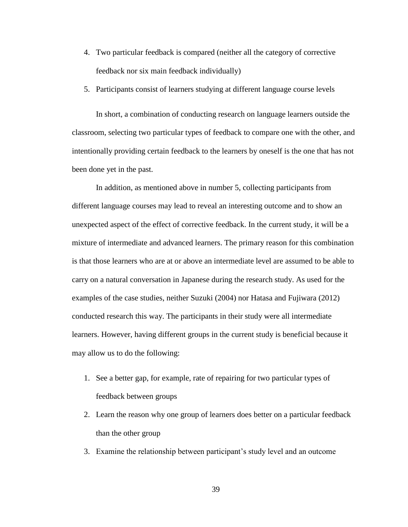- 4. Two particular feedback is compared (neither all the category of corrective feedback nor six main feedback individually)
- 5. Participants consist of learners studying at different language course levels

In short, a combination of conducting research on language learners outside the classroom, selecting two particular types of feedback to compare one with the other, and intentionally providing certain feedback to the learners by oneself is the one that has not been done yet in the past.

In addition, as mentioned above in number 5, collecting participants from different language courses may lead to reveal an interesting outcome and to show an unexpected aspect of the effect of corrective feedback. In the current study, it will be a mixture of intermediate and advanced learners. The primary reason for this combination is that those learners who are at or above an intermediate level are assumed to be able to carry on a natural conversation in Japanese during the research study. As used for the examples of the case studies, neither Suzuki (2004) nor Hatasa and Fujiwara (2012) conducted research this way. The participants in their study were all intermediate learners. However, having different groups in the current study is beneficial because it may allow us to do the following:

- 1. See a better gap, for example, rate of repairing for two particular types of feedback between groups
- 2. Learn the reason why one group of learners does better on a particular feedback than the other group
- 3. Examine the relationship between participant's study level and an outcome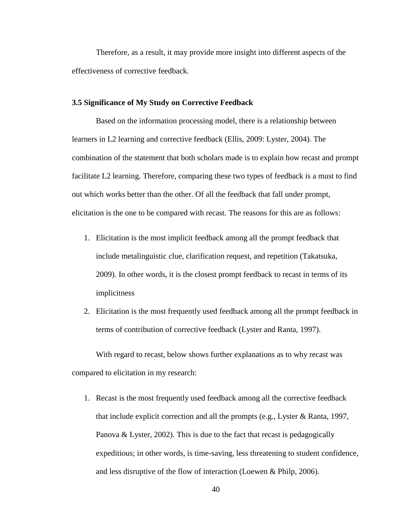Therefore, as a result, it may provide more insight into different aspects of the effectiveness of corrective feedback.

## **3.5 Significance of My Study on Corrective Feedback**

Based on the information processing model, there is a relationship between learners in L2 learning and corrective feedback (Ellis, 2009: Lyster, 2004). The combination of the statement that both scholars made is to explain how recast and prompt facilitate L2 learning. Therefore, comparing these two types of feedback is a must to find out which works better than the other. Of all the feedback that fall under prompt, elicitation is the one to be compared with recast. The reasons for this are as follows:

- 1. Elicitation is the most implicit feedback among all the prompt feedback that include metalinguistic clue, clarification request, and repetition (Takatsuka, 2009). In other words, it is the closest prompt feedback to recast in terms of its implicitness
- 2. Elicitation is the most frequently used feedback among all the prompt feedback in terms of contribution of corrective feedback (Lyster and Ranta, 1997).

With regard to recast, below shows further explanations as to why recast was compared to elicitation in my research:

1. Recast is the most frequently used feedback among all the corrective feedback that include explicit correction and all the prompts (e.g., Lyster & Ranta, 1997, Panova & Lyster, 2002). This is due to the fact that recast is pedagogically expeditious; in other words, is time-saving, less threatening to student confidence, and less disruptive of the flow of interaction (Loewen & Philp, 2006).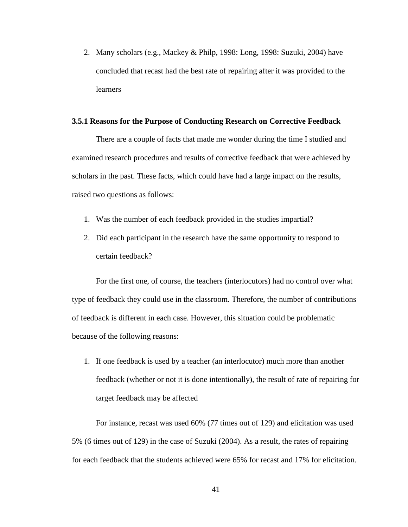2. Many scholars (e.g., Mackey & Philp, 1998: Long, 1998: Suzuki, 2004) have concluded that recast had the best rate of repairing after it was provided to the learners

#### **3.5.1 Reasons for the Purpose of Conducting Research on Corrective Feedback**

There are a couple of facts that made me wonder during the time I studied and examined research procedures and results of corrective feedback that were achieved by scholars in the past. These facts, which could have had a large impact on the results, raised two questions as follows:

- 1. Was the number of each feedback provided in the studies impartial?
- 2. Did each participant in the research have the same opportunity to respond to certain feedback?

For the first one, of course, the teachers (interlocutors) had no control over what type of feedback they could use in the classroom. Therefore, the number of contributions of feedback is different in each case. However, this situation could be problematic because of the following reasons:

1. If one feedback is used by a teacher (an interlocutor) much more than another feedback (whether or not it is done intentionally), the result of rate of repairing for target feedback may be affected

For instance, recast was used 60% (77 times out of 129) and elicitation was used 5% (6 times out of 129) in the case of Suzuki (2004). As a result, the rates of repairing for each feedback that the students achieved were 65% for recast and 17% for elicitation.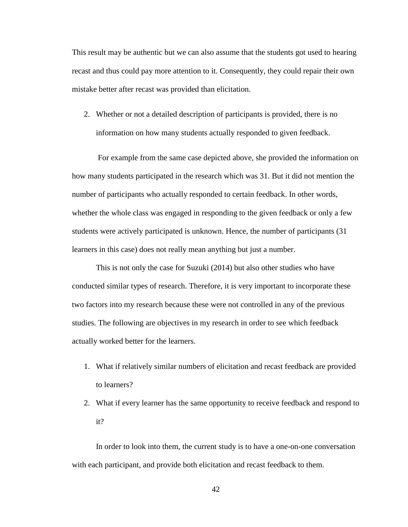This result may be authentic but we can also assume that the students got used to hearing recast and thus could pay more attention to it. Consequently, they could repair their own mistake better after recast was provided than elicitation.

2. Whether or not a detailed description of participants is provided, there is no information on how many students actually responded to given feedback.

For example from the same case depicted above, she provided the information on how many students participated in the research which was 31. But it did not mention the number of participants who actually responded to certain feedback. In other words, whether the whole class was engaged in responding to the given feedback or only a few students were actively participated is unknown. Hence, the number of participants (31 learners in this case) does not really mean anything but just a number.

This is not only the case for Suzuki (2014) but also other studies who have conducted similar types of research. Therefore, it is very important to incorporate these two factors into my research because these were not controlled in any of the previous studies. The following are objectives in my research in order to see which feedback actually worked better for the learners.

- 1. What if relatively similar numbers of elicitation and recast feedback are provided to learners?
- 2. What if every learner has the same opportunity to receive feedback and respond to it?

In order to look into them, the current study is to have a one-on-one conversation with each participant, and provide both elicitation and recast feedback to them.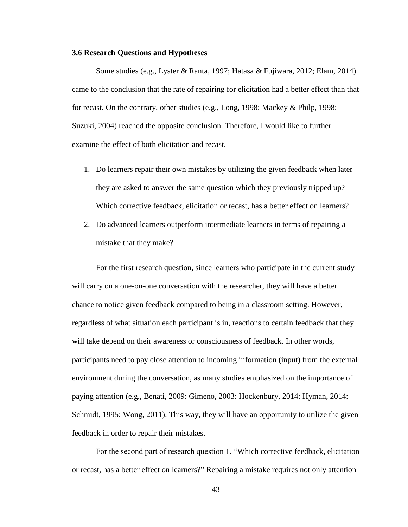## **3.6 Research Questions and Hypotheses**

Some studies (e.g., Lyster & Ranta, 1997; Hatasa & Fujiwara, 2012; Elam, 2014) came to the conclusion that the rate of repairing for elicitation had a better effect than that for recast. On the contrary, other studies (e.g., Long, 1998; Mackey & Philp, 1998; Suzuki, 2004) reached the opposite conclusion. Therefore, I would like to further examine the effect of both elicitation and recast.

- 1. Do learners repair their own mistakes by utilizing the given feedback when later they are asked to answer the same question which they previously tripped up? Which corrective feedback, elicitation or recast, has a better effect on learners?
- 2. Do advanced learners outperform intermediate learners in terms of repairing a mistake that they make?

For the first research question, since learners who participate in the current study will carry on a one-on-one conversation with the researcher, they will have a better chance to notice given feedback compared to being in a classroom setting. However, regardless of what situation each participant is in, reactions to certain feedback that they will take depend on their awareness or consciousness of feedback. In other words, participants need to pay close attention to incoming information (input) from the external environment during the conversation, as many studies emphasized on the importance of paying attention (e.g., Benati, 2009: Gimeno, 2003: Hockenbury, 2014: Hyman, 2014: Schmidt, 1995: Wong, 2011). This way, they will have an opportunity to utilize the given feedback in order to repair their mistakes.

For the second part of research question 1, "Which corrective feedback, elicitation or recast, has a better effect on learners?" Repairing a mistake requires not only attention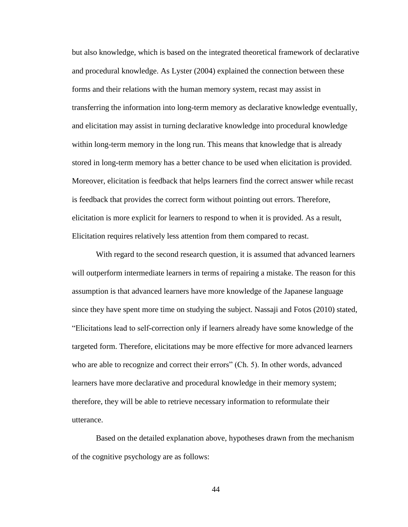but also knowledge, which is based on the integrated theoretical framework of declarative and procedural knowledge. As Lyster (2004) explained the connection between these forms and their relations with the human memory system, recast may assist in transferring the information into long-term memory as declarative knowledge eventually, and elicitation may assist in turning declarative knowledge into procedural knowledge within long-term memory in the long run. This means that knowledge that is already stored in long-term memory has a better chance to be used when elicitation is provided. Moreover, elicitation is feedback that helps learners find the correct answer while recast is feedback that provides the correct form without pointing out errors. Therefore, elicitation is more explicit for learners to respond to when it is provided. As a result, Elicitation requires relatively less attention from them compared to recast.

With regard to the second research question, it is assumed that advanced learners will outperform intermediate learners in terms of repairing a mistake. The reason for this assumption is that advanced learners have more knowledge of the Japanese language since they have spent more time on studying the subject. Nassaji and Fotos (2010) stated, "Elicitations lead to self-correction only if learners already have some knowledge of the targeted form. Therefore, elicitations may be more effective for more advanced learners who are able to recognize and correct their errors" (Ch. 5). In other words, advanced learners have more declarative and procedural knowledge in their memory system; therefore, they will be able to retrieve necessary information to reformulate their utterance.

Based on the detailed explanation above, hypotheses drawn from the mechanism of the cognitive psychology are as follows: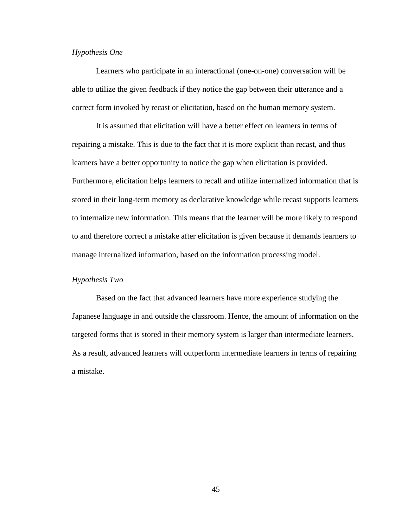## *Hypothesis One*

Learners who participate in an interactional (one-on-one) conversation will be able to utilize the given feedback if they notice the gap between their utterance and a correct form invoked by recast or elicitation, based on the human memory system.

It is assumed that elicitation will have a better effect on learners in terms of repairing a mistake. This is due to the fact that it is more explicit than recast, and thus learners have a better opportunity to notice the gap when elicitation is provided. Furthermore, elicitation helps learners to recall and utilize internalized information that is stored in their long-term memory as declarative knowledge while recast supports learners to internalize new information. This means that the learner will be more likely to respond to and therefore correct a mistake after elicitation is given because it demands learners to manage internalized information, based on the information processing model.

## *Hypothesis Two*

Based on the fact that advanced learners have more experience studying the Japanese language in and outside the classroom. Hence, the amount of information on the targeted forms that is stored in their memory system is larger than intermediate learners. As a result, advanced learners will outperform intermediate learners in terms of repairing a mistake.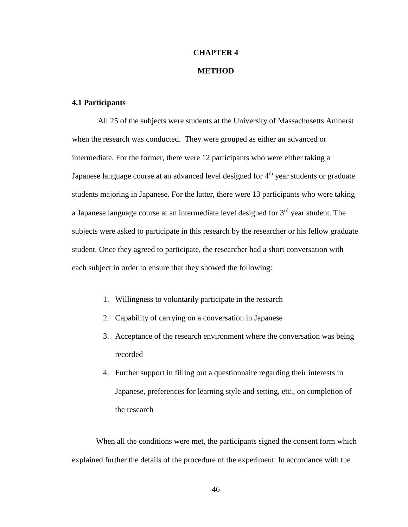# **CHAPTER 4**

# **METHOD**

# **4.1 Participants**

All 25 of the subjects were students at the University of Massachusetts Amherst when the research was conducted. They were grouped as either an advanced or intermediate. For the former, there were 12 participants who were either taking a Japanese language course at an advanced level designed for  $4<sup>th</sup>$  year students or graduate students majoring in Japanese. For the latter, there were 13 participants who were taking a Japanese language course at an intermediate level designed for 3<sup>rd</sup> year student. The subjects were asked to participate in this research by the researcher or his fellow graduate student. Once they agreed to participate, the researcher had a short conversation with each subject in order to ensure that they showed the following:

- 1. Willingness to voluntarily participate in the research
- 2. Capability of carrying on a conversation in Japanese
- 3. Acceptance of the research environment where the conversation was being recorded
- 4. Further support in filling out a questionnaire regarding their interests in Japanese, preferences for learning style and setting, etc., on completion of the research

When all the conditions were met, the participants signed the consent form which explained further the details of the procedure of the experiment. In accordance with the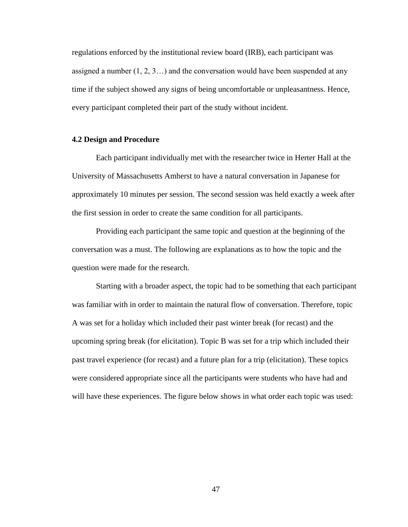regulations enforced by the institutional review board (IRB), each participant was assigned a number (1, 2, 3…) and the conversation would have been suspended at any time if the subject showed any signs of being uncomfortable or unpleasantness. Hence, every participant completed their part of the study without incident.

## **4.2 Design and Procedure**

Each participant individually met with the researcher twice in Herter Hall at the University of Massachusetts Amherst to have a natural conversation in Japanese for approximately 10 minutes per session. The second session was held exactly a week after the first session in order to create the same condition for all participants.

Providing each participant the same topic and question at the beginning of the conversation was a must. The following are explanations as to how the topic and the question were made for the research.

Starting with a broader aspect, the topic had to be something that each participant was familiar with in order to maintain the natural flow of conversation. Therefore, topic A was set for a holiday which included their past winter break (for recast) and the upcoming spring break (for elicitation). Topic B was set for a trip which included their past travel experience (for recast) and a future plan for a trip (elicitation). These topics were considered appropriate since all the participants were students who have had and will have these experiences. The figure below shows in what order each topic was used: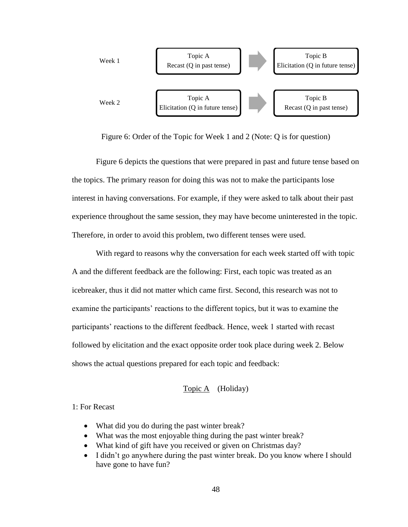

Figure 6: Order of the Topic for Week 1 and 2 (Note: Q is for question)

Figure 6 depicts the questions that were prepared in past and future tense based on the topics. The primary reason for doing this was not to make the participants lose interest in having conversations. For example, if they were asked to talk about their past experience throughout the same session, they may have become uninterested in the topic. Therefore, in order to avoid this problem, two different tenses were used.

With regard to reasons why the conversation for each week started off with topic A and the different feedback are the following: First, each topic was treated as an icebreaker, thus it did not matter which came first. Second, this research was not to examine the participants' reactions to the different topics, but it was to examine the participants' reactions to the different feedback. Hence, week 1 started with recast followed by elicitation and the exact opposite order took place during week 2. Below shows the actual questions prepared for each topic and feedback:

# Topic A (Holiday)

1: For Recast

- What did you do during the past winter break?
- What was the most enjoyable thing during the past winter break?
- What kind of gift have you received or given on Christmas day?
- I didn't go anywhere during the past winter break. Do you know where I should have gone to have fun?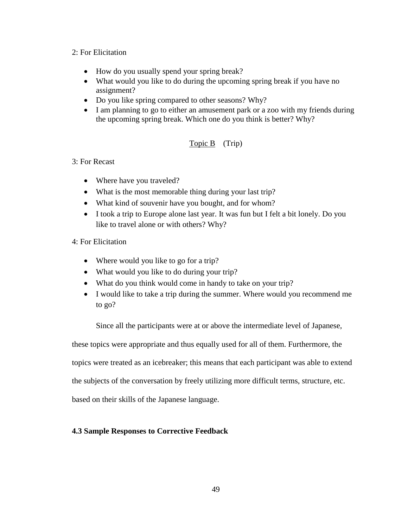# 2: For Elicitation

- How do you usually spend your spring break?
- What would you like to do during the upcoming spring break if you have no assignment?
- Do you like spring compared to other seasons? Why?
- I am planning to go to either an amusement park or a zoo with my friends during the upcoming spring break. Which one do you think is better? Why?

# Topic B (Trip)

# 3: For Recast

- Where have you traveled?
- What is the most memorable thing during your last trip?
- What kind of souvenir have you bought, and for whom?
- I took a trip to Europe alone last year. It was fun but I felt a bit lonely. Do you like to travel alone or with others? Why?

# 4: For Elicitation

- Where would you like to go for a trip?
- What would you like to do during your trip?
- What do you think would come in handy to take on your trip?
- I would like to take a trip during the summer. Where would you recommend me to go?

Since all the participants were at or above the intermediate level of Japanese,

these topics were appropriate and thus equally used for all of them. Furthermore, the

topics were treated as an icebreaker; this means that each participant was able to extend

the subjects of the conversation by freely utilizing more difficult terms, structure, etc.

based on their skills of the Japanese language.

# **4.3 Sample Responses to Corrective Feedback**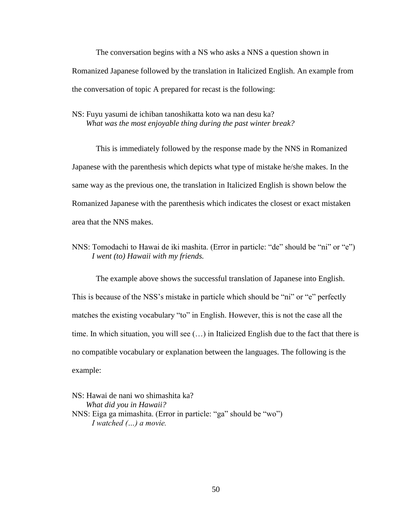The conversation begins with a NS who asks a NNS a question shown in Romanized Japanese followed by the translation in Italicized English. An example from the conversation of topic A prepared for recast is the following:

NS: Fuyu yasumi de ichiban tanoshikatta koto wa nan desu ka? *What was the most enjoyable thing during the past winter break?*

This is immediately followed by the response made by the NNS in Romanized Japanese with the parenthesis which depicts what type of mistake he/she makes. In the same way as the previous one, the translation in Italicized English is shown below the Romanized Japanese with the parenthesis which indicates the closest or exact mistaken area that the NNS makes.

NNS: Tomodachi to Hawai de iki mashita. (Error in particle: "de" should be "ni" or "e") *I went (to) Hawaii with my friends.*

The example above shows the successful translation of Japanese into English. This is because of the NSS's mistake in particle which should be "ni" or "e" perfectly matches the existing vocabulary "to" in English. However, this is not the case all the time. In which situation, you will see (…) in Italicized English due to the fact that there is no compatible vocabulary or explanation between the languages. The following is the example:

NS: Hawai de nani wo shimashita ka? *What did you in Hawaii?* NNS: Eiga ga mimashita. (Error in particle: "ga" should be "wo") *I watched (…) a movie.*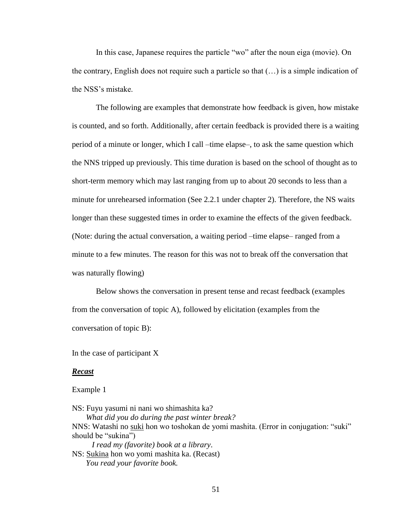In this case, Japanese requires the particle "wo" after the noun eiga (movie). On the contrary, English does not require such a particle so that (…) is a simple indication of the NSS's mistake.

The following are examples that demonstrate how feedback is given, how mistake is counted, and so forth. Additionally, after certain feedback is provided there is a waiting period of a minute or longer, which I call –time elapse–, to ask the same question which the NNS tripped up previously. This time duration is based on the school of thought as to short-term memory which may last ranging from up to about 20 seconds to less than a minute for unrehearsed information (See 2.2.1 under chapter 2). Therefore, the NS waits longer than these suggested times in order to examine the effects of the given feedback. (Note: during the actual conversation, a waiting period –time elapse– ranged from a minute to a few minutes. The reason for this was not to break off the conversation that was naturally flowing)

Below shows the conversation in present tense and recast feedback (examples from the conversation of topic A), followed by elicitation (examples from the conversation of topic B):

In the case of participant X

## *Recast*

Example 1

NS: Fuyu yasumi ni nani wo shimashita ka? *What did you do during the past winter break?* NNS: Watashi no suki hon wo toshokan de yomi mashita. (Error in conjugation: "suki" should be "sukina")  *I read my (favorite) book at a library*. NS: Sukina hon wo yomi mashita ka. (Recast)  *You read your favorite book.*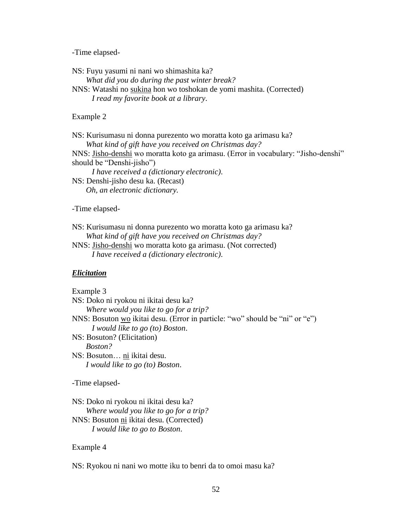-Time elapsed-

NS: Fuyu yasumi ni nani wo shimashita ka? *What did you do during the past winter break?* NNS: Watashi no sukina hon wo toshokan de yomi mashita. (Corrected)  *I read my favorite book at a library*.

## Example 2

NS: Kurisumasu ni donna purezento wo moratta koto ga arimasu ka? *What kind of gift have you received on Christmas day?* NNS: Jisho-denshi wo moratta koto ga arimasu. (Error in vocabulary: "Jisho-denshi" should be "Denshi-jisho")  *I have received a (dictionary electronic)*. NS: Denshi-jisho desu ka. (Recast) *Oh, an electronic dictionary.*

## -Time elapsed-

NS: Kurisumasu ni donna purezento wo moratta koto ga arimasu ka? *What kind of gift have you received on Christmas day?*

NNS: Jisho-denshi wo moratta koto ga arimasu. (Not corrected) *I have received a (dictionary electronic)*.

## *Elicitation*

Example 3 NS: Doko ni ryokou ni ikitai desu ka? *Where would you like to go for a trip?* NNS: Bosuton wo ikitai desu. (Error in particle: "wo" should be "ni" or "e")  *I would like to go (to) Boston*. NS: Bosuton? (Elicitation)  *Boston?* NS: Bosuton… ni ikitai desu.  *I would like to go (to) Boston*. -Time elapsed-NS: Doko ni ryokou ni ikitai desu ka? *Where would you like to go for a trip?* NNS: Bosuton ni ikitai desu. (Corrected)

*I would like to go to Boston*.

#### Example 4

NS: Ryokou ni nani wo motte iku to benri da to omoi masu ka?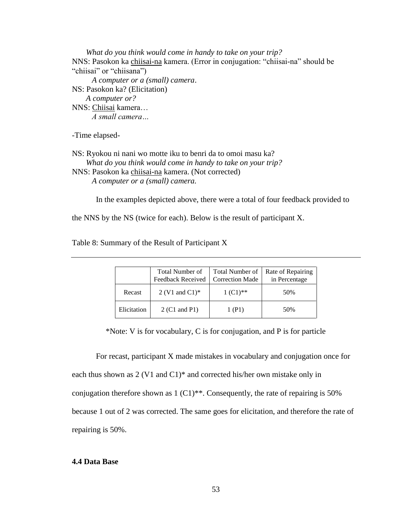*What do you think would come in handy to take on your trip?* NNS: Pasokon ka chiisai-na kamera. (Error in conjugation: "chiisai-na" should be "chiisai" or "chiisana")  *A computer or a (small) camera*. NS: Pasokon ka? (Elicitation) *A computer or?* NNS: Chiisai kamera… *A small camera…*

-Time elapsed-

NS: Ryokou ni nani wo motte iku to benri da to omoi masu ka? *What do you think would come in handy to take on your trip?* NNS: Pasokon ka chiisai-na kamera. (Not corrected) *A computer or a (small) camera.*

In the examples depicted above, there were a total of four feedback provided to

the NNS by the NS (twice for each). Below is the result of participant X.

Table 8: Summary of the Result of Participant X

|             | <b>Total Number of</b><br>Feedback Received   Correction Made | Total Number of | Rate of Repairing<br>in Percentage |
|-------------|---------------------------------------------------------------|-----------------|------------------------------------|
| Recast      | 2 (V1 and C1) $*$                                             | $1 (C1)$ **     | 50%                                |
| Elicitation | 2 (C1 and P1)                                                 | 1 (P1)          | 50%                                |

\*Note: V is for vocabulary, C is for conjugation, and P is for particle

For recast, participant X made mistakes in vocabulary and conjugation once for each thus shown as 2 (V1 and C1)\* and corrected his/her own mistake only in conjugation therefore shown as  $1 (C1)$ <sup>\*\*</sup>. Consequently, the rate of repairing is 50% because 1 out of 2 was corrected. The same goes for elicitation, and therefore the rate of repairing is 50%.

# **4.4 Data Base**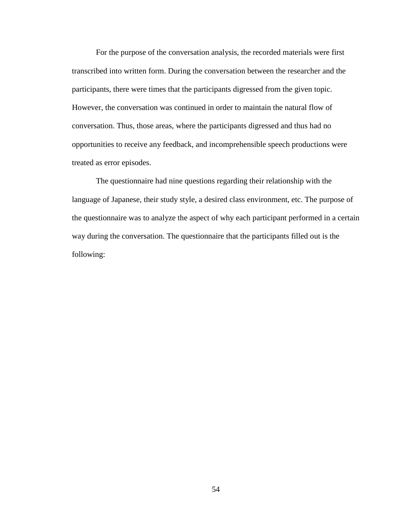For the purpose of the conversation analysis, the recorded materials were first transcribed into written form. During the conversation between the researcher and the participants, there were times that the participants digressed from the given topic. However, the conversation was continued in order to maintain the natural flow of conversation. Thus, those areas, where the participants digressed and thus had no opportunities to receive any feedback, and incomprehensible speech productions were treated as error episodes.

The questionnaire had nine questions regarding their relationship with the language of Japanese, their study style, a desired class environment, etc. The purpose of the questionnaire was to analyze the aspect of why each participant performed in a certain way during the conversation. The questionnaire that the participants filled out is the following: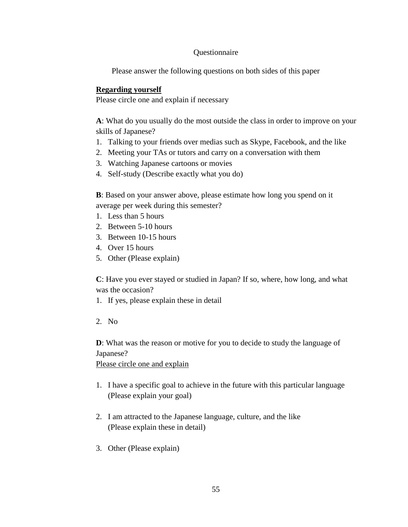# **Ouestionnaire**

Please answer the following questions on both sides of this paper

# **Regarding yourself**

Please circle one and explain if necessary

**A**: What do you usually do the most outside the class in order to improve on your skills of Japanese?

- 1. Talking to your friends over medias such as Skype, Facebook, and the like
- 2. Meeting your TAs or tutors and carry on a conversation with them
- 3. Watching Japanese cartoons or movies
- 4. Self-study (Describe exactly what you do)

**B**: Based on your answer above, please estimate how long you spend on it average per week during this semester?

- 1. Less than 5 hours
- 2. Between 5-10 hours
- 3. Between 10-15 hours
- 4. Over 15 hours
- 5. Other (Please explain)

**C**: Have you ever stayed or studied in Japan? If so, where, how long, and what was the occasion?

- 1. If yes, please explain these in detail
- 2. No

**D**: What was the reason or motive for you to decide to study the language of Japanese?

Please circle one and explain

- 1. I have a specific goal to achieve in the future with this particular language (Please explain your goal)
- 2. I am attracted to the Japanese language, culture, and the like (Please explain these in detail)
- 3. Other (Please explain)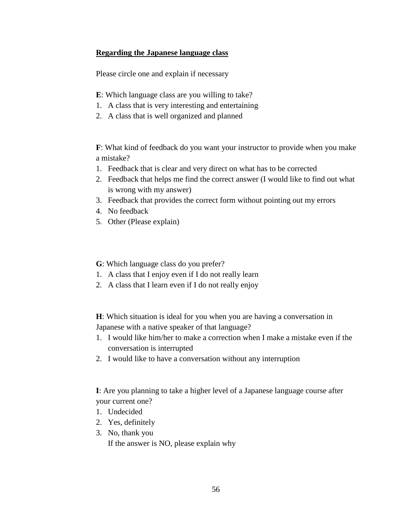# **Regarding the Japanese language class**

Please circle one and explain if necessary

- **E**: Which language class are you willing to take?
- 1. A class that is very interesting and entertaining
- 2. A class that is well organized and planned

**F**: What kind of feedback do you want your instructor to provide when you make a mistake?

- 1. Feedback that is clear and very direct on what has to be corrected
- 2. Feedback that helps me find the correct answer (I would like to find out what is wrong with my answer)
- 3. Feedback that provides the correct form without pointing out my errors
- 4. No feedback
- 5. Other (Please explain)

**G**: Which language class do you prefer?

- 1. A class that I enjoy even if I do not really learn
- 2. A class that I learn even if I do not really enjoy

**H**: Which situation is ideal for you when you are having a conversation in Japanese with a native speaker of that language?

- 1. I would like him/her to make a correction when I make a mistake even if the conversation is interrupted
- 2. I would like to have a conversation without any interruption

**I**: Are you planning to take a higher level of a Japanese language course after your current one?

- 1. Undecided
- 2. Yes, definitely
- 3. No, thank you

If the answer is NO, please explain why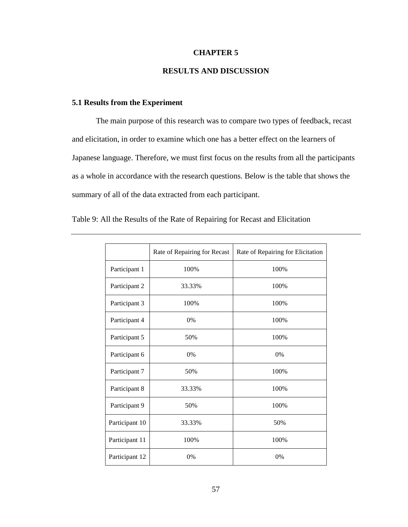## **CHAPTER 5**

# **RESULTS AND DISCUSSION**

## **5.1 Results from the Experiment**

The main purpose of this research was to compare two types of feedback, recast and elicitation, in order to examine which one has a better effect on the learners of Japanese language. Therefore, we must first focus on the results from all the participants as a whole in accordance with the research questions. Below is the table that shows the summary of all of the data extracted from each participant.

|                | Rate of Repairing for Recast | Rate of Repairing for Elicitation |
|----------------|------------------------------|-----------------------------------|
| Participant 1  | 100%                         | 100%                              |
| Participant 2  | 33.33%                       | 100%                              |
| Participant 3  | 100%                         | 100%                              |
| Participant 4  | $0\%$                        | 100%                              |
| Participant 5  | 50%                          | 100%                              |
| Participant 6  | 0%                           | 0%                                |
| Participant 7  | 50%                          | 100%                              |
| Participant 8  | 33.33%                       | 100%                              |
| Participant 9  | 50%                          | 100%                              |
| Participant 10 | 33.33%                       | 50%                               |
| Participant 11 | 100%                         | 100%                              |
| Participant 12 | 0%                           | 0%                                |

Table 9: All the Results of the Rate of Repairing for Recast and Elicitation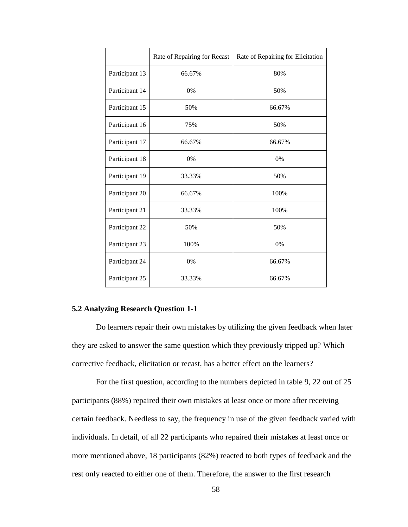|                | Rate of Repairing for Recast | Rate of Repairing for Elicitation |
|----------------|------------------------------|-----------------------------------|
| Participant 13 | 66.67%                       | 80%                               |
| Participant 14 | $0\%$                        | 50%                               |
| Participant 15 | 50%                          | 66.67%                            |
| Participant 16 | 75%                          | 50%                               |
| Participant 17 | 66.67%                       | 66.67%                            |
| Participant 18 | 0%                           | 0%                                |
| Participant 19 | 33.33%                       | 50%                               |
| Participant 20 | 66.67%                       | 100%                              |
| Participant 21 | 33.33%                       | 100%                              |
| Participant 22 | 50%                          | 50%                               |
| Participant 23 | 100%                         | 0%                                |
| Participant 24 | 0%                           | 66.67%                            |
| Participant 25 | 33.33%                       | 66.67%                            |

## **5.2 Analyzing Research Question 1-1**

Do learners repair their own mistakes by utilizing the given feedback when later they are asked to answer the same question which they previously tripped up? Which corrective feedback, elicitation or recast, has a better effect on the learners?

For the first question, according to the numbers depicted in table 9, 22 out of 25 participants (88%) repaired their own mistakes at least once or more after receiving certain feedback. Needless to say, the frequency in use of the given feedback varied with individuals. In detail, of all 22 participants who repaired their mistakes at least once or more mentioned above, 18 participants (82%) reacted to both types of feedback and the rest only reacted to either one of them. Therefore, the answer to the first research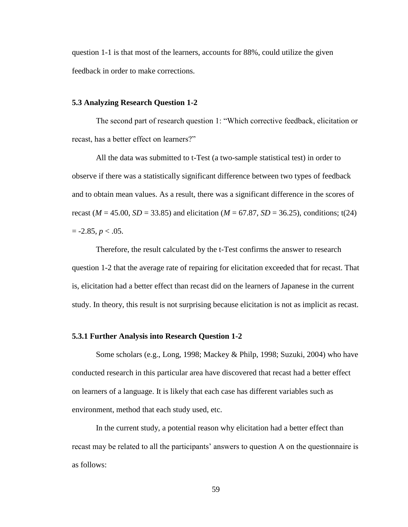question 1-1 is that most of the learners, accounts for 88%, could utilize the given feedback in order to make corrections.

## **5.3 Analyzing Research Question 1-2**

The second part of research question 1: "Which corrective feedback, elicitation or recast, has a better effect on learners?"

All the data was submitted to t-Test (a two-sample statistical test) in order to observe if there was a statistically significant difference between two types of feedback and to obtain mean values. As a result, there was a significant difference in the scores of recast ( $M = 45.00$ ,  $SD = 33.85$ ) and elicitation ( $M = 67.87$ ,  $SD = 36.25$ ), conditions; t(24)  $= -2.85, p < .05.$ 

Therefore, the result calculated by the t-Test confirms the answer to research question 1-2 that the average rate of repairing for elicitation exceeded that for recast. That is, elicitation had a better effect than recast did on the learners of Japanese in the current study. In theory, this result is not surprising because elicitation is not as implicit as recast.

## **5.3.1 Further Analysis into Research Question 1-2**

Some scholars (e.g., Long, 1998; Mackey & Philp, 1998; Suzuki, 2004) who have conducted research in this particular area have discovered that recast had a better effect on learners of a language. It is likely that each case has different variables such as environment, method that each study used, etc.

In the current study, a potential reason why elicitation had a better effect than recast may be related to all the participants' answers to question A on the questionnaire is as follows: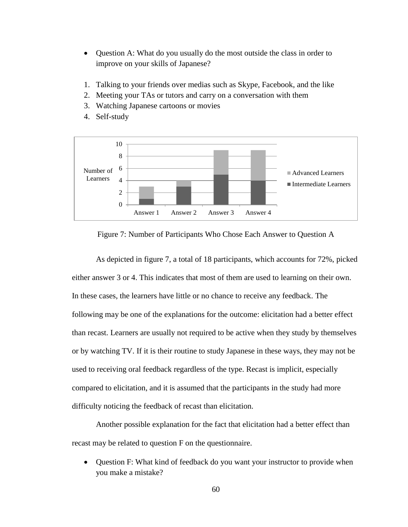- Question A: What do you usually do the most outside the class in order to improve on your skills of Japanese?
- 1. Talking to your friends over medias such as Skype, Facebook, and the like
- 2. Meeting your TAs or tutors and carry on a conversation with them
- 3. Watching Japanese cartoons or movies
- $\Omega$ 2 4 6 8 10 Answer 1 Answer 2 Answer 3 Answer 4 Number of Learners Advanced Learners Intermediate Learners
- 4. Self-study

Figure 7: Number of Participants Who Chose Each Answer to Question A

As depicted in figure 7, a total of 18 participants, which accounts for 72%, picked either answer 3 or 4. This indicates that most of them are used to learning on their own. In these cases, the learners have little or no chance to receive any feedback. The following may be one of the explanations for the outcome: elicitation had a better effect than recast. Learners are usually not required to be active when they study by themselves or by watching TV. If it is their routine to study Japanese in these ways, they may not be used to receiving oral feedback regardless of the type. Recast is implicit, especially compared to elicitation, and it is assumed that the participants in the study had more difficulty noticing the feedback of recast than elicitation.

Another possible explanation for the fact that elicitation had a better effect than recast may be related to question F on the questionnaire.

 Question F: What kind of feedback do you want your instructor to provide when you make a mistake?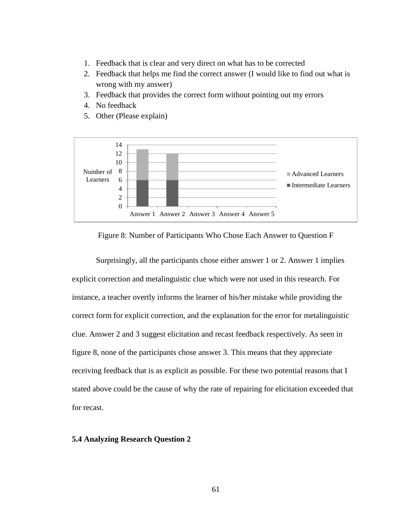- 1. Feedback that is clear and very direct on what has to be corrected
- 2. Feedback that helps me find the correct answer (I would like to find out what is wrong with my answer)
- 3. Feedback that provides the correct form without pointing out my errors
- 4. No feedback
- 5. Other (Please explain)



Figure 8: Number of Participants Who Chose Each Answer to Question F

Surprisingly, all the participants chose either answer 1 or 2. Answer 1 implies explicit correction and metalinguistic clue which were not used in this research. For instance, a teacher overtly informs the learner of his/her mistake while providing the correct form for explicit correction, and the explanation for the error for metalinguistic clue. Answer 2 and 3 suggest elicitation and recast feedback respectively. As seen in figure 8, none of the participants chose answer 3. This means that they appreciate receiving feedback that is as explicit as possible. For these two potential reasons that I stated above could be the cause of why the rate of repairing for elicitation exceeded that for recast.

#### **5.4 Analyzing Research Question 2**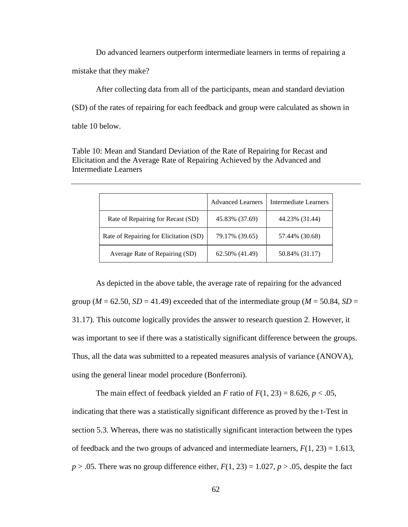Do advanced learners outperform intermediate learners in terms of repairing a mistake that they make?

After collecting data from all of the participants, mean and standard deviation (SD) of the rates of repairing for each feedback and group were calculated as shown in table 10 below.

Table 10: Mean and Standard Deviation of the Rate of Repairing for Recast and Elicitation and the Average Rate of Repairing Achieved by the Advanced and Intermediate Learners

|                                        | <b>Advanced Learners</b> | Intermediate Learners |
|----------------------------------------|--------------------------|-----------------------|
| Rate of Repairing for Recast (SD)      | 45.83% (37.69)           | 44.23% (31.44)        |
| Rate of Repairing for Elicitation (SD) | 79.17% (39.65)           | 57.44% (30.68)        |
| Average Rate of Repairing (SD)         | 62.50% (41.49)           | 50.84% (31.17)        |

As depicted in the above table, the average rate of repairing for the advanced group ( $M = 62.50$ ,  $SD = 41.49$ ) exceeded that of the intermediate group ( $M = 50.84$ ,  $SD =$ 31.17). This outcome logically provides the answer to research question 2. However, it was important to see if there was a statistically significant difference between the groups. Thus, all the data was submitted to a repeated measures analysis of variance (ANOVA), using the general linear model procedure (Bonferroni).

The main effect of feedback yielded an *F* ratio of  $F(1, 23) = 8.626$ ,  $p < .05$ , indicating that there was a statistically significant difference as proved by the t-Test in section 5.3. Whereas, there was no statistically significant interaction between the types of feedback and the two groups of advanced and intermediate learners,  $F(1, 23) = 1.613$ ,  $p > .05$ . There was no group difference either,  $F(1, 23) = 1.027$ ,  $p > .05$ , despite the fact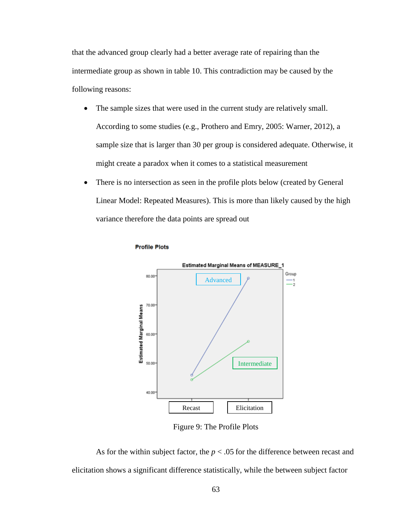that the advanced group clearly had a better average rate of repairing than the intermediate group as shown in table 10. This contradiction may be caused by the following reasons:

- The sample sizes that were used in the current study are relatively small. According to some studies (e.g., Prothero and Emry, 2005: Warner, 2012), a sample size that is larger than 30 per group is considered adequate. Otherwise, it might create a paradox when it comes to a statistical measurement
- There is no intersection as seen in the profile plots below (created by General Linear Model: Repeated Measures). This is more than likely caused by the high variance therefore the data points are spread out

**Profile Plots** 



Figure 9: The Profile Plots

As for the within subject factor, the  $p < .05$  for the difference between recast and elicitation shows a significant difference statistically, while the between subject factor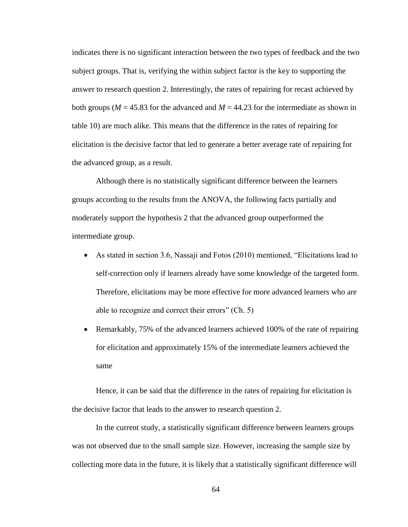indicates there is no significant interaction between the two types of feedback and the two subject groups. That is, verifying the within subject factor is the key to supporting the answer to research question 2. Interestingly, the rates of repairing for recast achieved by both groups ( $M = 45.83$  for the advanced and  $M = 44.23$  for the intermediate as shown in table 10) are much alike. This means that the difference in the rates of repairing for elicitation is the decisive factor that led to generate a better average rate of repairing for the advanced group, as a result.

Although there is no statistically significant difference between the learners groups according to the results from the ANOVA, the following facts partially and moderately support the hypothesis 2 that the advanced group outperformed the intermediate group.

- As stated in section 3.6, Nassaji and Fotos (2010) mentioned, "Elicitations lead to self-correction only if learners already have some knowledge of the targeted form. Therefore, elicitations may be more effective for more advanced learners who are able to recognize and correct their errors" (Ch. 5)
- Remarkably, 75% of the advanced learners achieved 100% of the rate of repairing for elicitation and approximately 15% of the intermediate learners achieved the same

Hence, it can be said that the difference in the rates of repairing for elicitation is the decisive factor that leads to the answer to research question 2.

In the current study, a statistically significant difference between learners groups was not observed due to the small sample size. However, increasing the sample size by collecting more data in the future, it is likely that a statistically significant difference will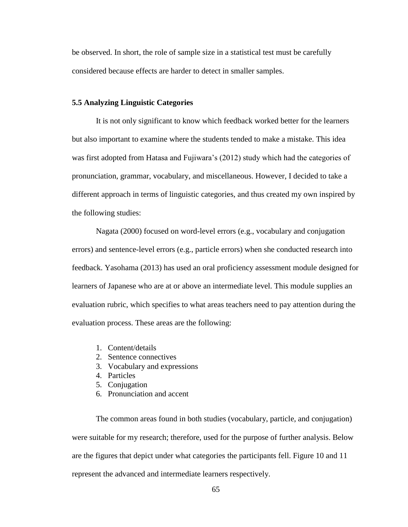be observed. In short, the role of sample size in a statistical test must be carefully considered because effects are harder to detect in smaller samples.

#### **5.5 Analyzing Linguistic Categories**

It is not only significant to know which feedback worked better for the learners but also important to examine where the students tended to make a mistake. This idea was first adopted from Hatasa and Fujiwara's (2012) study which had the categories of pronunciation, grammar, vocabulary, and miscellaneous. However, I decided to take a different approach in terms of linguistic categories, and thus created my own inspired by the following studies:

Nagata (2000) focused on word-level errors (e.g., vocabulary and conjugation errors) and sentence-level errors (e.g., particle errors) when she conducted research into feedback. Yasohama (2013) has used an oral proficiency assessment module designed for learners of Japanese who are at or above an intermediate level. This module supplies an evaluation rubric, which specifies to what areas teachers need to pay attention during the evaluation process. These areas are the following:

- 1. Content/details
- 2. Sentence connectives
- 3. Vocabulary and expressions
- 4. Particles
- 5. Conjugation
- 6. Pronunciation and accent

The common areas found in both studies (vocabulary, particle, and conjugation) were suitable for my research; therefore, used for the purpose of further analysis. Below are the figures that depict under what categories the participants fell. Figure 10 and 11 represent the advanced and intermediate learners respectively.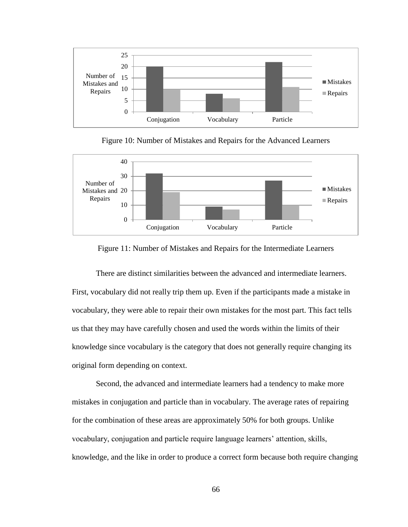

Figure 10: Number of Mistakes and Repairs for the Advanced Learners



Figure 11: Number of Mistakes and Repairs for the Intermediate Learners

There are distinct similarities between the advanced and intermediate learners. First, vocabulary did not really trip them up. Even if the participants made a mistake in vocabulary, they were able to repair their own mistakes for the most part. This fact tells us that they may have carefully chosen and used the words within the limits of their knowledge since vocabulary is the category that does not generally require changing its original form depending on context.

Second, the advanced and intermediate learners had a tendency to make more mistakes in conjugation and particle than in vocabulary. The average rates of repairing for the combination of these areas are approximately 50% for both groups. Unlike vocabulary, conjugation and particle require language learners' attention, skills, knowledge, and the like in order to produce a correct form because both require changing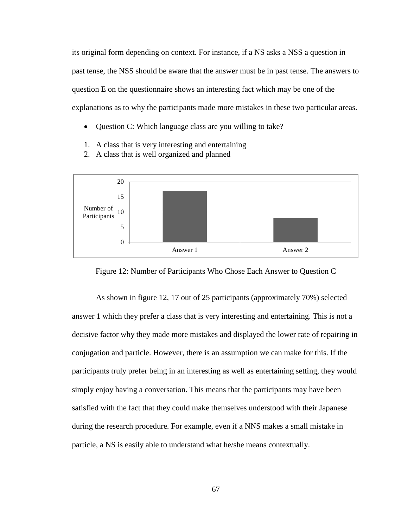its original form depending on context. For instance, if a NS asks a NSS a question in past tense, the NSS should be aware that the answer must be in past tense. The answers to question E on the questionnaire shows an interesting fact which may be one of the explanations as to why the participants made more mistakes in these two particular areas.

- Question C: Which language class are you willing to take?
- 1. A class that is very interesting and entertaining
- 2. A class that is well organized and planned



Figure 12: Number of Participants Who Chose Each Answer to Question C

As shown in figure 12, 17 out of 25 participants (approximately 70%) selected answer 1 which they prefer a class that is very interesting and entertaining. This is not a decisive factor why they made more mistakes and displayed the lower rate of repairing in conjugation and particle. However, there is an assumption we can make for this. If the participants truly prefer being in an interesting as well as entertaining setting, they would simply enjoy having a conversation. This means that the participants may have been satisfied with the fact that they could make themselves understood with their Japanese during the research procedure. For example, even if a NNS makes a small mistake in particle, a NS is easily able to understand what he/she means contextually.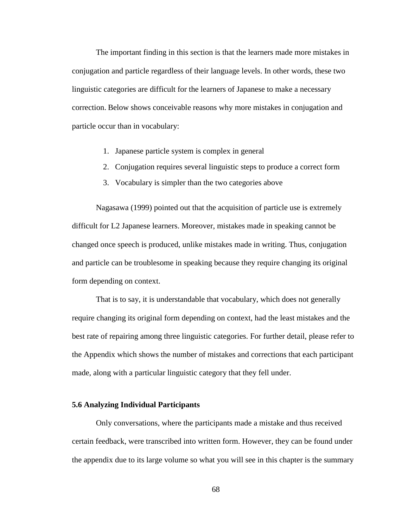The important finding in this section is that the learners made more mistakes in conjugation and particle regardless of their language levels. In other words, these two linguistic categories are difficult for the learners of Japanese to make a necessary correction. Below shows conceivable reasons why more mistakes in conjugation and particle occur than in vocabulary:

- 1. Japanese particle system is complex in general
- 2. Conjugation requires several linguistic steps to produce a correct form
- 3. Vocabulary is simpler than the two categories above

Nagasawa (1999) pointed out that the acquisition of particle use is extremely difficult for L2 Japanese learners. Moreover, mistakes made in speaking cannot be changed once speech is produced, unlike mistakes made in writing. Thus, conjugation and particle can be troublesome in speaking because they require changing its original form depending on context.

That is to say, it is understandable that vocabulary, which does not generally require changing its original form depending on context, had the least mistakes and the best rate of repairing among three linguistic categories. For further detail, please refer to the Appendix which shows the number of mistakes and corrections that each participant made, along with a particular linguistic category that they fell under.

#### **5.6 Analyzing Individual Participants**

Only conversations, where the participants made a mistake and thus received certain feedback, were transcribed into written form. However, they can be found under the appendix due to its large volume so what you will see in this chapter is the summary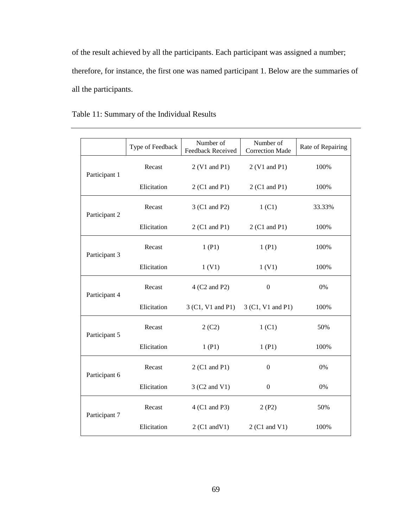of the result achieved by all the participants. Each participant was assigned a number; therefore, for instance, the first one was named participant 1. Below are the summaries of all the participants.

|               | Type of Feedback | Number of<br><b>Feedback Received</b> | Number of<br><b>Correction Made</b> | Rate of Repairing |
|---------------|------------------|---------------------------------------|-------------------------------------|-------------------|
| Participant 1 | Recast           | 2 (V1 and P1)                         | 2 (V1 and P1)                       | 100%              |
|               | Elicitation      | 2 (C1 and P1)                         | 2 (C1 and P1)                       | 100%              |
| Participant 2 | Recast           | 3 (C1 and P2)                         | 1 <sub>(C1)</sub>                   | 33.33%            |
|               | Elicitation      | 2 (C1 and P1)                         | 2 (C1 and P1)                       | 100%              |
| Participant 3 | Recast           | 1(P1)                                 | 1(P1)                               | 100%              |
|               | Elicitation      | 1(V1)                                 | 1(V1)                               | 100%              |
| Participant 4 | Recast           | 4 (C2 and P2)                         | $\boldsymbol{0}$                    | 0%                |
|               | Elicitation      | 3 (C1, V1 and P1)                     | 3 (C1, V1 and P1)                   | 100%              |
| Participant 5 | Recast           | 2(C2)                                 | 1 <sub>(C1)</sub>                   | 50%               |
|               | Elicitation      | 1(P1)                                 | 1(P1)                               | 100%              |
| Participant 6 | Recast           | 2 (C1 and P1)                         | $\boldsymbol{0}$                    | 0%                |
|               | Elicitation      | 3 (C2 and V1)                         | $\boldsymbol{0}$                    | 0%                |
| Participant 7 | Recast           | 4 (C1 and P3)                         | 2(P2)                               | 50%               |
|               | Elicitation      | $2(C1 \text{ and } V1)$               | 2 (C1 and V1)                       | 100%              |

# Table 11: Summary of the Individual Results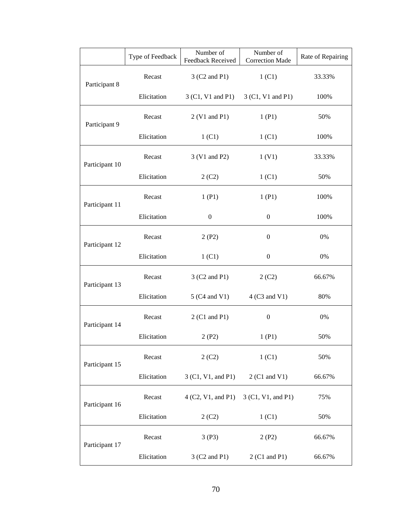|                | Type of Feedback | Number of<br>Feedback Received      | Number of<br><b>Correction Made</b> | Rate of Repairing |
|----------------|------------------|-------------------------------------|-------------------------------------|-------------------|
| Participant 8  | Recast           | 3 (C2 and P1)                       | 1 (C1)                              | 33.33%            |
|                | Elicitation      | 3 (C1, V1 and P1) 3 (C1, V1 and P1) |                                     | 100%              |
| Participant 9  | Recast           | 2 (V1 and P1)                       | 1(P1)                               | 50%               |
|                | Elicitation      | 1 (C1)                              | 1 (C1)                              | 100%              |
| Participant 10 | Recast           | 3 (V1 and P2)                       | 1(V1)                               | 33.33%            |
|                | Elicitation      | 2(C2)                               | 1 (C1)                              | 50%               |
| Participant 11 | Recast           | 1(P1)                               | 1(P1)                               | 100%              |
|                | Elicitation      | $\boldsymbol{0}$                    | $\boldsymbol{0}$                    | 100%              |
| Participant 12 | Recast           | 2(P2)                               | $\overline{0}$                      | 0%                |
|                | Elicitation      | 1 (C1)                              | $\boldsymbol{0}$                    | 0%                |
| Participant 13 | Recast           | 3 (C2 and P1)                       | 2(C2)                               | 66.67%            |
|                | Elicitation      | 5 (C4 and V1)                       | 4 (C3 and V1)                       | 80%               |
| Participant 14 | Recast           | 2 (C1 and P1)                       | $\boldsymbol{0}$                    | 0%                |
|                | Elicitation      | 2(P2)                               | 1(P1)                               | 50%               |
| Participant 15 | Recast           | 2(C2)                               | 1 <sub>(C1)</sub>                   | 50%               |
|                | Elicitation      | 3 (C1, V1, and P1)                  | 2 (C1 and V1)                       | 66.67%            |
| Participant 16 | Recast           | 4 (C2, V1, and P1)                  | 3 (C1, V1, and P1)                  | 75%               |
|                | Elicitation      | 2(C2)                               | 1 (C1)                              | 50%               |
| Participant 17 | Recast           | 3(P3)                               | 2(P2)                               | 66.67%            |
|                | Elicitation      | 3 (C2 and P1)                       | 2 (C1 and P1)                       | 66.67%            |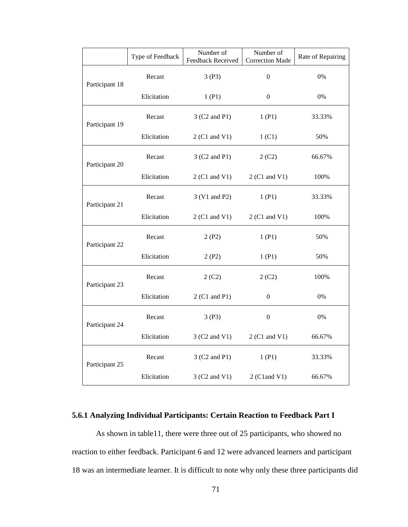|                | Type of Feedback | Number of<br>Feedback Received | Number of<br><b>Correction Made</b> | Rate of Repairing |
|----------------|------------------|--------------------------------|-------------------------------------|-------------------|
| Participant 18 | Recast           | 3(P3)                          | $\boldsymbol{0}$                    | 0%                |
|                | Elicitation      | 1(P1)                          | 0                                   | 0%                |
| Participant 19 | Recast           | 3 (C2 and P1)                  | 1(P1)                               | 33.33%            |
|                | Elicitation      | 2 (C1 and V1)                  | 1 <sub>(C1)</sub>                   | 50%               |
| Participant 20 | Recast           | 3 (C2 and P1)                  | 2(C2)                               | 66.67%            |
|                | Elicitation      | 2 (C1 and V1)                  | 2 (C1 and V1)                       | 100%              |
| Participant 21 | Recast           | 3 (V1 and P2)                  | 1(P1)                               | 33.33%            |
|                | Elicitation      | 2 (C1 and V1)                  | 2 (C1 and V1)                       | 100%              |
| Participant 22 | Recast           | 2(P2)                          | 1(P1)                               | 50%               |
|                | Elicitation      | 2(P2)                          | 1(P1)                               | 50%               |
| Participant 23 | Recast           | 2(C2)                          | 2(C2)                               | 100%              |
|                | Elicitation      | 2 (C1 and P1)                  | 0                                   | 0%                |
| Participant 24 | Recast           | 3(P3)                          | $\boldsymbol{0}$                    | 0%                |
|                | Elicitation      | 3 (C2 and V1)                  | 2 (C1 and V1)                       | 66.67%            |
| Participant 25 | Recast           | 3 (C2 and P1)                  | 1(P1)                               | 33.33%            |
|                | Elicitation      | 3 (C2 and V1)                  | 2 (C1 and V1)                       | 66.67%            |

## **5.6.1 Analyzing Individual Participants: Certain Reaction to Feedback Part I**

As shown in table11, there were three out of 25 participants, who showed no reaction to either feedback. Participant 6 and 12 were advanced learners and participant 18 was an intermediate learner. It is difficult to note why only these three participants did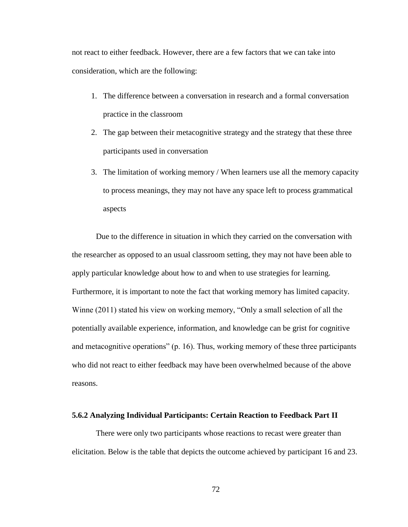not react to either feedback. However, there are a few factors that we can take into consideration, which are the following:

- 1. The difference between a conversation in research and a formal conversation practice in the classroom
- 2. The gap between their metacognitive strategy and the strategy that these three participants used in conversation
- 3. The limitation of working memory / When learners use all the memory capacity to process meanings, they may not have any space left to process grammatical aspects

Due to the difference in situation in which they carried on the conversation with the researcher as opposed to an usual classroom setting, they may not have been able to apply particular knowledge about how to and when to use strategies for learning. Furthermore, it is important to note the fact that working memory has limited capacity. Winne (2011) stated his view on working memory, "Only a small selection of all the potentially available experience, information, and knowledge can be grist for cognitive and metacognitive operations" (p. 16). Thus, working memory of these three participants who did not react to either feedback may have been overwhelmed because of the above reasons.

### **5.6.2 Analyzing Individual Participants: Certain Reaction to Feedback Part II**

There were only two participants whose reactions to recast were greater than elicitation. Below is the table that depicts the outcome achieved by participant 16 and 23.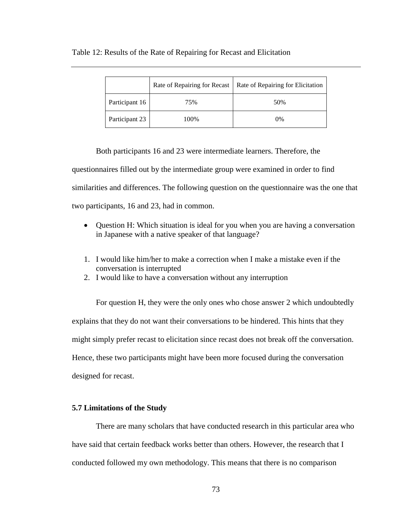|                | Rate of Repairing for Recast | Rate of Repairing for Elicitation |
|----------------|------------------------------|-----------------------------------|
| Participant 16 | 75%                          | 50%                               |
| Participant 23 | 100%                         | $0\%$                             |

#### Table 12: Results of the Rate of Repairing for Recast and Elicitation

Both participants 16 and 23 were intermediate learners. Therefore, the questionnaires filled out by the intermediate group were examined in order to find similarities and differences. The following question on the questionnaire was the one that two participants, 16 and 23, had in common.

- Question H: Which situation is ideal for you when you are having a conversation in Japanese with a native speaker of that language?
- 1. I would like him/her to make a correction when I make a mistake even if the conversation is interrupted
- 2. I would like to have a conversation without any interruption

For question H, they were the only ones who chose answer 2 which undoubtedly explains that they do not want their conversations to be hindered. This hints that they might simply prefer recast to elicitation since recast does not break off the conversation. Hence, these two participants might have been more focused during the conversation designed for recast.

#### **5.7 Limitations of the Study**

There are many scholars that have conducted research in this particular area who have said that certain feedback works better than others. However, the research that I conducted followed my own methodology. This means that there is no comparison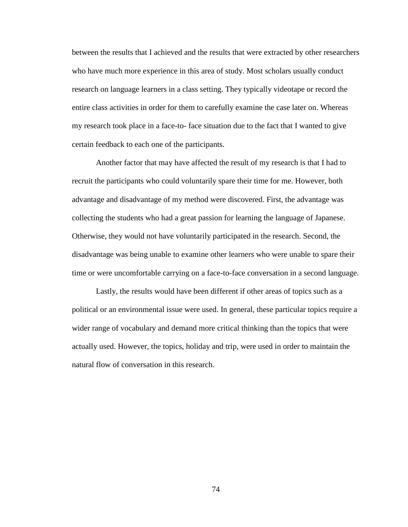between the results that I achieved and the results that were extracted by other researchers who have much more experience in this area of study. Most scholars usually conduct research on language learners in a class setting. They typically videotape or record the entire class activities in order for them to carefully examine the case later on. Whereas my research took place in a face-to- face situation due to the fact that I wanted to give certain feedback to each one of the participants.

Another factor that may have affected the result of my research is that I had to recruit the participants who could voluntarily spare their time for me. However, both advantage and disadvantage of my method were discovered. First, the advantage was collecting the students who had a great passion for learning the language of Japanese. Otherwise, they would not have voluntarily participated in the research. Second, the disadvantage was being unable to examine other learners who were unable to spare their time or were uncomfortable carrying on a face-to-face conversation in a second language.

Lastly, the results would have been different if other areas of topics such as a political or an environmental issue were used. In general, these particular topics require a wider range of vocabulary and demand more critical thinking than the topics that were actually used. However, the topics, holiday and trip, were used in order to maintain the natural flow of conversation in this research.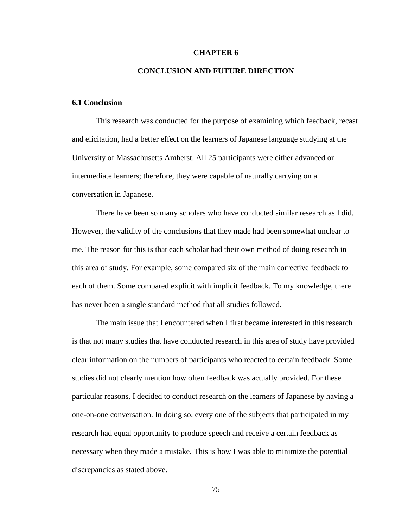#### **CHAPTER 6**

### **CONCLUSION AND FUTURE DIRECTION**

### **6.1 Conclusion**

This research was conducted for the purpose of examining which feedback, recast and elicitation, had a better effect on the learners of Japanese language studying at the University of Massachusetts Amherst. All 25 participants were either advanced or intermediate learners; therefore, they were capable of naturally carrying on a conversation in Japanese.

There have been so many scholars who have conducted similar research as I did. However, the validity of the conclusions that they made had been somewhat unclear to me. The reason for this is that each scholar had their own method of doing research in this area of study. For example, some compared six of the main corrective feedback to each of them. Some compared explicit with implicit feedback. To my knowledge, there has never been a single standard method that all studies followed.

The main issue that I encountered when I first became interested in this research is that not many studies that have conducted research in this area of study have provided clear information on the numbers of participants who reacted to certain feedback. Some studies did not clearly mention how often feedback was actually provided. For these particular reasons, I decided to conduct research on the learners of Japanese by having a one-on-one conversation. In doing so, every one of the subjects that participated in my research had equal opportunity to produce speech and receive a certain feedback as necessary when they made a mistake. This is how I was able to minimize the potential discrepancies as stated above.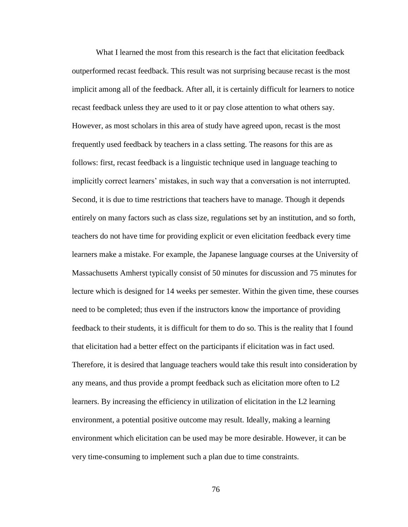What I learned the most from this research is the fact that elicitation feedback outperformed recast feedback. This result was not surprising because recast is the most implicit among all of the feedback. After all, it is certainly difficult for learners to notice recast feedback unless they are used to it or pay close attention to what others say. However, as most scholars in this area of study have agreed upon, recast is the most frequently used feedback by teachers in a class setting. The reasons for this are as follows: first, recast feedback is a linguistic technique used in language teaching to implicitly correct learners' mistakes, in such way that a conversation is not interrupted. Second, it is due to time restrictions that teachers have to manage. Though it depends entirely on many factors such as class size, regulations set by an institution, and so forth, teachers do not have time for providing explicit or even elicitation feedback every time learners make a mistake. For example, the Japanese language courses at the University of Massachusetts Amherst typically consist of 50 minutes for discussion and 75 minutes for lecture which is designed for 14 weeks per semester. Within the given time, these courses need to be completed; thus even if the instructors know the importance of providing feedback to their students, it is difficult for them to do so. This is the reality that I found that elicitation had a better effect on the participants if elicitation was in fact used. Therefore, it is desired that language teachers would take this result into consideration by any means, and thus provide a prompt feedback such as elicitation more often to L2 learners. By increasing the efficiency in utilization of elicitation in the L2 learning environment, a potential positive outcome may result. Ideally, making a learning environment which elicitation can be used may be more desirable. However, it can be very time-consuming to implement such a plan due to time constraints.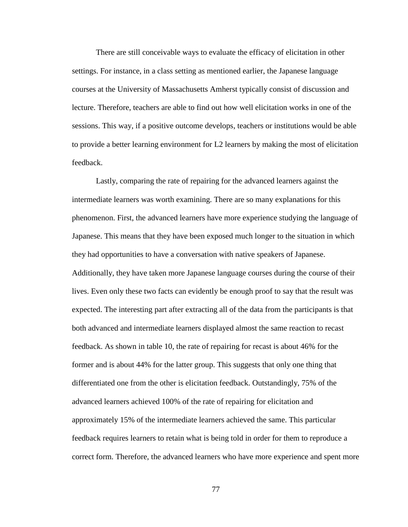There are still conceivable ways to evaluate the efficacy of elicitation in other settings. For instance, in a class setting as mentioned earlier, the Japanese language courses at the University of Massachusetts Amherst typically consist of discussion and lecture. Therefore, teachers are able to find out how well elicitation works in one of the sessions. This way, if a positive outcome develops, teachers or institutions would be able to provide a better learning environment for L2 learners by making the most of elicitation feedback.

Lastly, comparing the rate of repairing for the advanced learners against the intermediate learners was worth examining. There are so many explanations for this phenomenon. First, the advanced learners have more experience studying the language of Japanese. This means that they have been exposed much longer to the situation in which they had opportunities to have a conversation with native speakers of Japanese. Additionally, they have taken more Japanese language courses during the course of their lives. Even only these two facts can evidently be enough proof to say that the result was expected. The interesting part after extracting all of the data from the participants is that both advanced and intermediate learners displayed almost the same reaction to recast feedback. As shown in table 10, the rate of repairing for recast is about 46% for the former and is about 44% for the latter group. This suggests that only one thing that differentiated one from the other is elicitation feedback. Outstandingly, 75% of the advanced learners achieved 100% of the rate of repairing for elicitation and approximately 15% of the intermediate learners achieved the same. This particular feedback requires learners to retain what is being told in order for them to reproduce a correct form. Therefore, the advanced learners who have more experience and spent more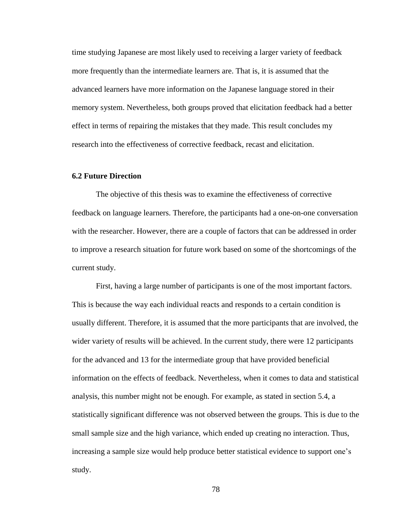time studying Japanese are most likely used to receiving a larger variety of feedback more frequently than the intermediate learners are. That is, it is assumed that the advanced learners have more information on the Japanese language stored in their memory system. Nevertheless, both groups proved that elicitation feedback had a better effect in terms of repairing the mistakes that they made. This result concludes my research into the effectiveness of corrective feedback, recast and elicitation.

#### **6.2 Future Direction**

The objective of this thesis was to examine the effectiveness of corrective feedback on language learners. Therefore, the participants had a one-on-one conversation with the researcher. However, there are a couple of factors that can be addressed in order to improve a research situation for future work based on some of the shortcomings of the current study.

First, having a large number of participants is one of the most important factors. This is because the way each individual reacts and responds to a certain condition is usually different. Therefore, it is assumed that the more participants that are involved, the wider variety of results will be achieved. In the current study, there were 12 participants for the advanced and 13 for the intermediate group that have provided beneficial information on the effects of feedback. Nevertheless, when it comes to data and statistical analysis, this number might not be enough. For example, as stated in section 5.4, a statistically significant difference was not observed between the groups. This is due to the small sample size and the high variance, which ended up creating no interaction. Thus, increasing a sample size would help produce better statistical evidence to support one's study.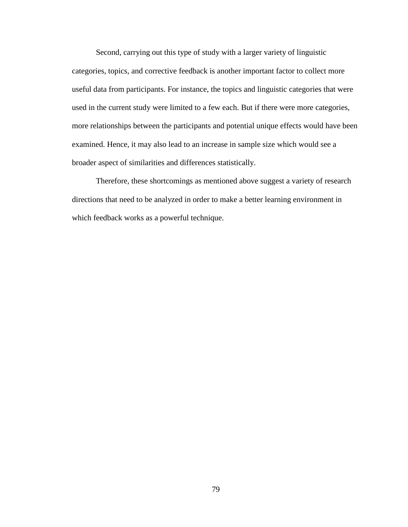Second, carrying out this type of study with a larger variety of linguistic categories, topics, and corrective feedback is another important factor to collect more useful data from participants. For instance, the topics and linguistic categories that were used in the current study were limited to a few each. But if there were more categories, more relationships between the participants and potential unique effects would have been examined. Hence, it may also lead to an increase in sample size which would see a broader aspect of similarities and differences statistically.

Therefore, these shortcomings as mentioned above suggest a variety of research directions that need to be analyzed in order to make a better learning environment in which feedback works as a powerful technique.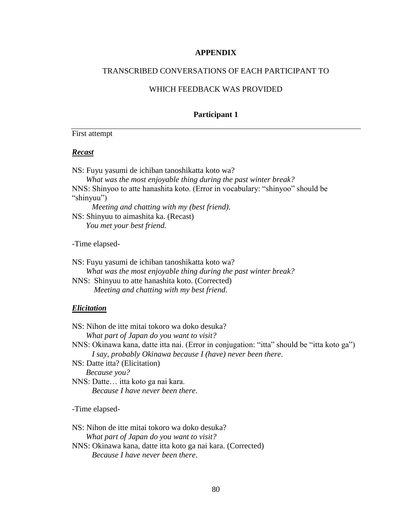#### **APPENDIX**

### TRANSCRIBED CONVERSATIONS OF EACH PARTICIPANT TO

### WHICH FEEDBACK WAS PROVIDED

#### **Participant 1**

### First attempt

#### *Recast*

NS: Fuyu yasumi de ichiban tanoshikatta koto wa? *What was the most enjoyable thing during the past winter break?* NNS: Shinyoo to atte hanashita koto. (Error in vocabulary: "shinyoo" should be "shinyuu")  *Meeting and chatting with my (best friend)*. NS: Shinyuu to aimashita ka. (Recast)  *You met your best friend.* -Time elapsed-

NS: Fuyu yasumi de ichiban tanoshikatta koto wa? *What was the most enjoyable thing during the past winter break?* NNS: Shinyuu to atte hanashita koto. (Corrected) *Meeting and chatting with my best friend*.

### *Elicitation*

| NS: Nihon de itte mitai tokoro wa doko desuka?                                             |
|--------------------------------------------------------------------------------------------|
| What part of Japan do you want to visit?                                                   |
| NNS: Okinawa kana, datte itta nai. (Error in conjugation: "itta" should be "itta koto ga") |
| I say, probably Okinawa because I (have) never been there.                                 |
| NS: Datte itta? (Elicitation)                                                              |
| Because you?                                                                               |
| NNS: Datte itta koto ga nai kara.                                                          |
| Because I have never been there.                                                           |
| -Time elapsed-                                                                             |

NS: Nihon de itte mitai tokoro wa doko desuka? *What part of Japan do you want to visit?* NNS: Okinawa kana, datte itta koto ga nai kara. (Corrected) *Because I have never been there*.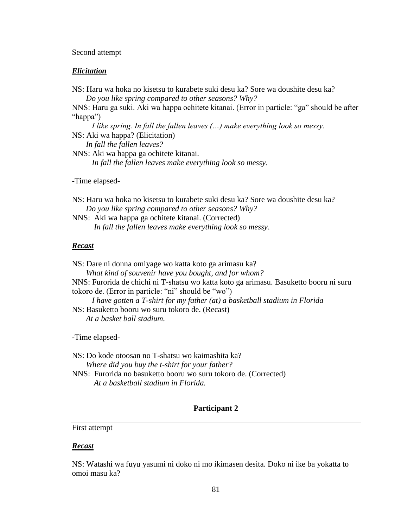#### Second attempt

### *Elicitation*

NS: Haru wa hoka no kisetsu to kurabete suki desu ka? Sore wa doushite desu ka? *Do you like spring compared to other seasons? Why?*

NNS: Haru ga suki. Aki wa happa ochitete kitanai. (Error in particle: "ga" should be after "happa")

 *I like spring. In fall the fallen leaves (…) make everything look so messy.* NS: Aki wa happa? (Elicitation)  *In fall the fallen leaves?*

NNS: Aki wa happa ga ochitete kitanai. *In fall the fallen leaves make everything look so messy*.

-Time elapsed-

NS: Haru wa hoka no kisetsu to kurabete suki desu ka? Sore wa doushite desu ka? *Do you like spring compared to other seasons? Why?*

NNS: Aki wa happa ga ochitete kitanai. (Corrected) *In fall the fallen leaves make everything look so messy*.

### *Recast*

NS: Dare ni donna omiyage wo katta koto ga arimasu ka? *What kind of souvenir have you bought, and for whom?* NNS: Furorida de chichi ni T-shatsu wo katta koto ga arimasu. Basuketto booru ni suru tokoro de. (Error in particle: "ni" should be "wo")  *I have gotten a T-shirt for my father (at) a basketball stadium in Florida*  NS: Basuketto booru wo suru tokoro de. (Recast)  *At a basket ball stadium.*

-Time elapsed-

NS: Do kode otoosan no T-shatsu wo kaimashita ka? *Where did you buy the t-shirt for your father?* NNS: Furorida no basuketto booru wo suru tokoro de. (Corrected) *At a basketball stadium in Florida.*

### **Participant 2**

### First attempt

#### *Recast*

NS: Watashi wa fuyu yasumi ni doko ni mo ikimasen desita. Doko ni ike ba yokatta to omoi masu ka?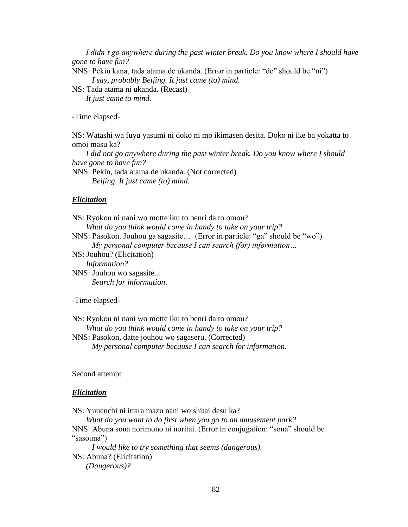*I didn't go anywhere during the past winter break. Do you know where I should have gone to have fun?* NNS: Pekin kana, tada atama de ukanda. (Error in particle: "de" should be "ni")  *I say, probably Beijing. It just came (to) mind.*

NS: Tada atama ni ukanda. (Recast)  *It just came to mind.*

-Time elapsed-

NS: Watashi wa fuyu yasumi ni doko ni mo ikimasen desita. Doko ni ike ba yokatta to omoi masu ka?

 *I did not go anywhere during the past winter break. Do you know where I should have gone to have fun?*

NNS: Pekin, tada atama de ukanda. (Not corrected)  *Beijing. It just came (to) mind.*

#### *Elicitation*

NS: Ryokou ni nani wo motte iku to benri da to omou? *What do you think would come in handy to take on your trip?* NNS: Pasokon. Jouhou ga sagasite… (Error in particle: "ga" should be "wo")  *My personal computer because I can search (for) information…* NS: Jouhou? (Elicitation)  *Information?* NNS: Jouhou wo sagasite... *Search for information*.

-Time elapsed-

NS: Ryokou ni nani wo motte iku to benri da to omou? *What do you think would come in handy to take on your trip?* NNS: Pasokon, datte jouhou wo sagaseru. (Corrected)  *My personal computer because I can search for information.*

#### Second attempt

#### *Elicitation*

NS: Yuuenchi ni ittara mazu nani wo shitai desu ka?

 *What do you want to do first when you go to an amusement park?* NNS: Abuna sona norimono ni noritai. (Error in conjugation: "sona" should be "sasouna")

 *I would like to try something that seems (dangerous).*  NS: Abuna? (Elicitation)  *(Dangerous)?*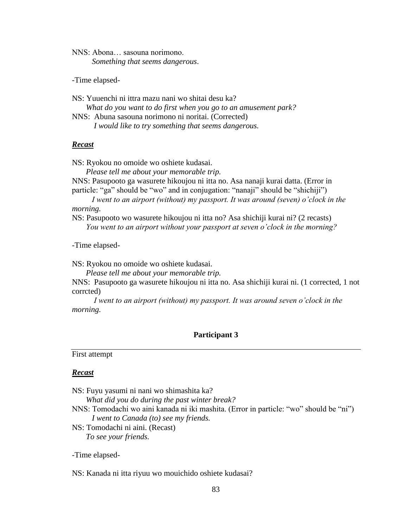NNS: Abona… sasouna norimono. *Something that seems dangerous*.

-Time elapsed-

NS: Yuuenchi ni ittra mazu nani wo shitai desu ka? *What do you want to do first when you go to an amusement park?* NNS: Abuna sasouna norimono ni noritai. (Corrected) *I would like to try something that seems dangerous.* 

#### *Recast*

NS: Ryokou no omoide wo oshiete kudasai.

*Please tell me about your memorable trip.*

NNS: Pasupooto ga wasurete hikoujou ni itta no. Asa nanaji kurai datta. (Error in particle: "ga" should be "wo" and in conjugation: "nanaji" should be "shichiji")

 *I went to an airport (without) my passport. It was around (seven) o'clock in the morning.* 

NS: Pasupooto wo wasurete hikoujou ni itta no? Asa shichiji kurai ni? (2 recasts)  *You went to an airport without your passport at seven o'clock in the morning?*

-Time elapsed-

NS: Ryokou no omoide wo oshiete kudasai.

*Please tell me about your memorable trip.*

NNS: Pasupooto ga wasurete hikoujou ni itta no. Asa shichiji kurai ni. (1 corrected, 1 not corrcted)

 *I went to an airport (without) my passport. It was around seven o'clock in the morning.*

### **Participant 3**

#### First attempt

### *Recast*

NS: Fuyu yasumi ni nani wo shimashita ka?

*What did you do during the past winter break?*

- NNS: Tomodachi wo aini kanada ni iki mashita. (Error in particle: "wo" should be "ni")  *I went to Canada (to) see my friends.*
- NS: Tomodachi ni aini. (Recast)  *To see your friends.*

-Time elapsed-

NS: Kanada ni itta riyuu wo mouichido oshiete kudasai?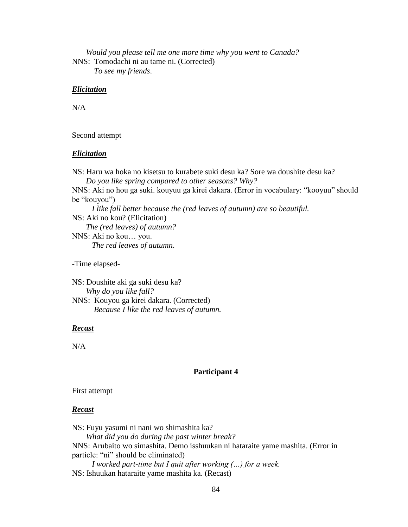*Would you please tell me one more time why you went to Canada?* NNS: Tomodachi ni au tame ni. (Corrected)

*To see my friends*.

### *Elicitation*

 $N/A$ 

### Second attempt

### *Elicitation*

NS: Haru wa hoka no kisetsu to kurabete suki desu ka? Sore wa doushite desu ka? *Do you like spring compared to other seasons? Why?* NNS: Aki no hou ga suki. kouyuu ga kirei dakara. (Error in vocabulary: "kooyuu" should be "kouyou")  *I like fall better because the (red leaves of autumn) are so beautiful.* NS: Aki no kou? (Elicitation)  *The (red leaves) of autumn?* NNS: Aki no kou… you. *The red leaves of autumn*.

-Time elapsed-

NS: Doushite aki ga suki desu ka? *Why do you like fall?* NNS: Kouyou ga kirei dakara. (Corrected) *Because I like the red leaves of autumn.*

### *Recast*

 $N/A$ 

### **Participant 4**

### First attempt

### *Recast*

NS: Fuyu yasumi ni nani wo shimashita ka? *What did you do during the past winter break?* NNS: Arubaito wo simashita. Demo isshuukan ni hataraite yame mashita. (Error in particle: "ni" should be eliminated)  *I worked part-time but I quit after working (…) for a week.* NS: Ishuukan hataraite yame mashita ka. (Recast)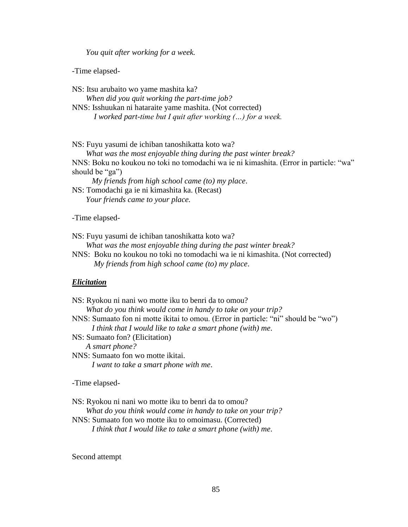*You quit after working for a week.*

-Time elapsed-

NS: Itsu arubaito wo yame mashita ka? *When did you quit working the part-time job?* NNS: Isshuukan ni hataraite yame mashita. (Not corrected) *I worked part-time but I quit after working (…) for a week.*

NS: Fuyu yasumi de ichiban tanoshikatta koto wa?

 *What was the most enjoyable thing during the past winter break?* NNS: Boku no koukou no toki no tomodachi wa ie ni kimashita. (Error in particle: "wa" should be "ga")

 *My friends from high school came (to) my place*.

NS: Tomodachi ga ie ni kimashita ka. (Recast)  *Your friends came to your place.*

-Time elapsed-

NS: Fuyu yasumi de ichiban tanoshikatta koto wa?

*What was the most enjoyable thing during the past winter break?*

NNS: Boku no koukou no toki no tomodachi wa ie ni kimashita. (Not corrected) *My friends from high school came (to) my place*.

#### *Elicitation*

NS: Ryokou ni nani wo motte iku to benri da to omou? *What do you think would come in handy to take on your trip?* NNS: Sumaato fon ni motte ikitai to omou. (Error in particle: "ni" should be "wo")  *I think that I would like to take a smart phone (with) me*. NS: Sumaato fon? (Elicitation)  *A smart phone?* NNS: Sumaato fon wo motte ikitai. *I want to take a smart phone with me*. -Time elapsed-

NS: Ryokou ni nani wo motte iku to benri da to omou?

*What do you think would come in handy to take on your trip?*

NNS: Sumaato fon wo motte iku to omoimasu. (Corrected)  *I think that I would like to take a smart phone (with) me*.

Second attempt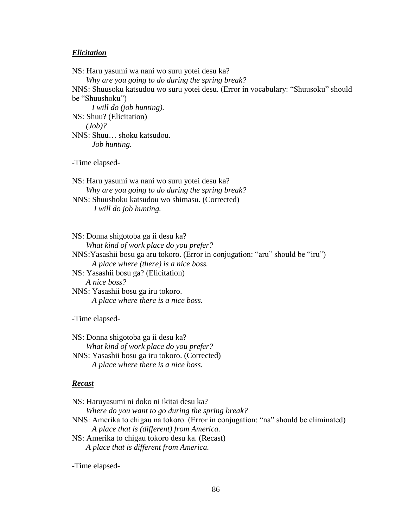#### *Elicitation*

NS: Haru yasumi wa nani wo suru yotei desu ka? *Why are you going to do during the spring break?* NNS: Shuusoku katsudou wo suru yotei desu. (Error in vocabulary: "Shuusoku" should be "Shuushoku")  *I will do (job hunting).* NS: Shuu? (Elicitation)  *(Job)?* NNS: Shuu… shoku katsudou. *Job hunting.*

-Time elapsed-

NS: Haru yasumi wa nani wo suru yotei desu ka? *Why are you going to do during the spring break?* NNS: Shuushoku katsudou wo shimasu. (Corrected) *I will do job hunting.*

NS: Donna shigotoba ga ii desu ka? *What kind of work place do you prefer?* NNS:Yasashii bosu ga aru tokoro. (Error in conjugation: "aru" should be "iru")  *A place where (there) is a nice boss.* NS: Yasashii bosu ga? (Elicitation)  *A nice boss?* NNS: Yasashii bosu ga iru tokoro. *A place where there is a nice boss.*

-Time elapsed-

NS: Donna shigotoba ga ii desu ka? *What kind of work place do you prefer?* NNS: Yasashii bosu ga iru tokoro. (Corrected) *A place where there is a nice boss.*

### *Recast*

NS: Haruyasumi ni doko ni ikitai desu ka? *Where do you want to go during the spring break?* NNS: Amerika to chigau na tokoro. (Error in conjugation: "na" should be eliminated)  *A place that is (different) from America.* NS: Amerika to chigau tokoro desu ka. (Recast)  *A place that is different from America.*

-Time elapsed-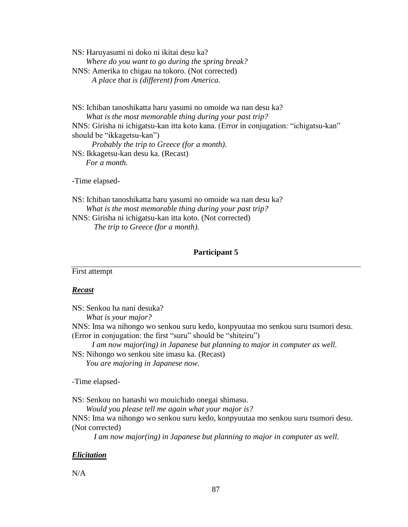NS: Haruyasumi ni doko ni ikitai desu ka? *Where do you want to go during the spring break?* NNS: Amerika to chigau na tokoro. (Not corrected) *A place that is (different) from America.*

NS: Ichiban tanoshikatta haru yasumi no omoide wa nan desu ka? *What is the most memorable thing during your past trip?* NNS: Girisha ni ichigatsu-kan itta koto kana. (Error in conjugation: "ichigatsu-kan" should be "ikkagetsu-kan")  *Probably the trip to Greece (for a month)*. NS: Ikkagetsu-kan desu ka. (Recast)  *For a month.*

-Time elapsed-

NS: Ichiban tanoshikatta haru yasumi no omoide wa nan desu ka? *What is the most memorable thing during your past trip?* NNS: Girisha ni ichigatsu-kan itta koto. (Not corrected) *The trip to Greece (for a month)*.

### **Participant 5**

First attempt

### *Recast*

NS: Senkou ha nani desuka?

*What is your major?*

NNS: Ima wa nihongo wo senkou suru kedo, konpyuutaa mo senkou suru tsumori desu. (Error in conjugation: the first "suru" should be "shiteiru")

 *I am now major(ing) in Japanese but planning to major in computer as well.*

NS: Nihongo wo senkou site imasu ka. (Recast)  *You are majoring in Japanese now.*

-Time elapsed-

NS: Senkou no hanashi wo mouichido onegai shimasu.

*Would you please tell me again what your major is?*

NNS: Ima wa nihongo wo senkou suru kedo, konpyuutaa mo senkou suru tsumori desu. (Not corrected)

*I am now major(ing) in Japanese but planning to major in computer as well.*

### *Elicitation*

N/A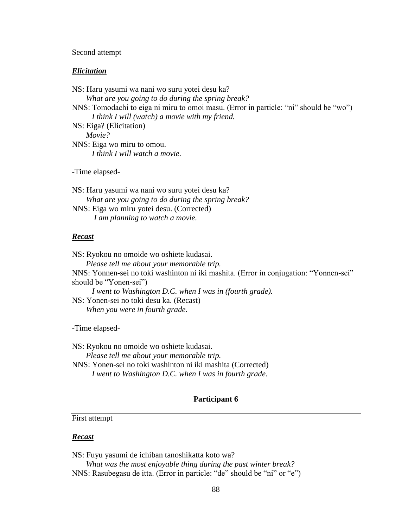#### Second attempt

#### *Elicitation*

NS: Haru yasumi wa nani wo suru yotei desu ka? *What are you going to do during the spring break?* NNS: Tomodachi to eiga ni miru to omoi masu. (Error in particle: "ni" should be "wo")  *I think I will (watch) a movie with my friend.* NS: Eiga? (Elicitation)  *Movie?* NNS: Eiga wo miru to omou. *I think I will watch a movie.*

-Time elapsed-

NS: Haru yasumi wa nani wo suru yotei desu ka? *What are you going to do during the spring break?* NNS: Eiga wo miru yotei desu. (Corrected) *I am planning to watch a movie.*

#### *Recast*

NS: Ryokou no omoide wo oshiete kudasai. *Please tell me about your memorable trip.* NNS: Yonnen-sei no toki washinton ni iki mashita. (Error in conjugation: "Yonnen-sei" should be "Yonen-sei")  *I went to Washington D.C. when I was in (fourth grade).* NS: Yonen-sei no toki desu ka. (Recast)  *When you were in fourth grade.*

-Time elapsed-

NS: Ryokou no omoide wo oshiete kudasai.

*Please tell me about your memorable trip.*

NNS: Yonen-sei no toki washinton ni iki mashita (Corrected) *I went to Washington D.C. when I was in fourth grade.*

### **Participant 6**

### First attempt

### *Recast*

NS: Fuyu yasumi de ichiban tanoshikatta koto wa?

 *What was the most enjoyable thing during the past winter break?* NNS: Rasubegasu de itta. (Error in particle: "de" should be "ni" or "e")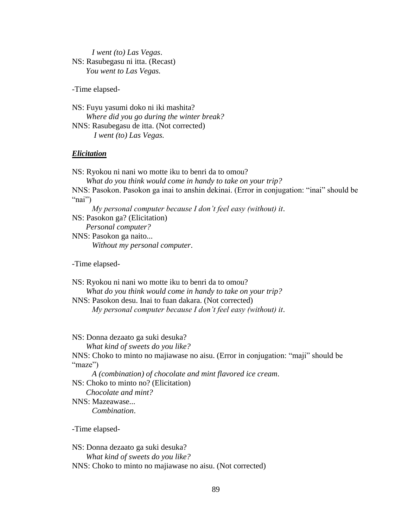*I went (to) Las Vegas*. NS: Rasubegasu ni itta. (Recast)  *You went to Las Vegas.*

-Time elapsed-

NS: Fuyu yasumi doko ni iki mashita? *Where did you go during the winter break?* NNS: Rasubegasu de itta. (Not corrected) *I went (to) Las Vegas.*

### *Elicitation*

NS: Ryokou ni nani wo motte iku to benri da to omou? *What do you think would come in handy to take on your trip?* NNS: Pasokon. Pasokon ga inai to anshin dekinai. (Error in conjugation: "inai" should be "nai")  *My personal computer because I don't feel easy (without) it*. NS: Pasokon ga? (Elicitation)  *Personal computer?* NNS: Pasokon ga naito... *Without my personal computer*.

-Time elapsed-

NS: Ryokou ni nani wo motte iku to benri da to omou? *What do you think would come in handy to take on your trip?* NNS: Pasokon desu. Inai to fuan dakara. (Not corrected)  *My personal computer because I don't feel easy (without) it*.

NS: Donna dezaato ga suki desuka?

*What kind of sweets do you like?*

NNS: Choko to minto no majiawase no aisu. (Error in conjugation: "maji" should be "maze")

 *A (combination) of chocolate and mint flavored ice cream*.

NS: Choko to minto no? (Elicitation)

 *Chocolate and mint?* NNS: Mazeawase...

*Combination*.

-Time elapsed-

NS: Donna dezaato ga suki desuka? *What kind of sweets do you like?* NNS: Choko to minto no majiawase no aisu. (Not corrected)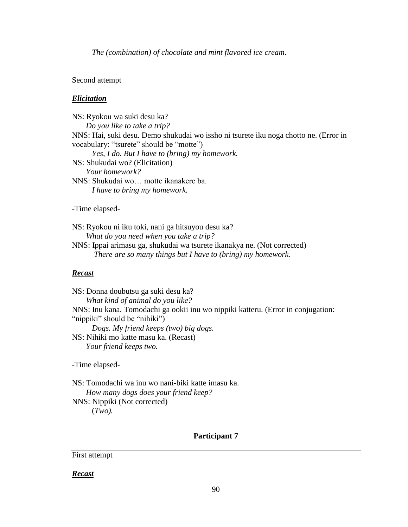*The (combination) of chocolate and mint flavored ice cream*.

Second attempt

### *Elicitation*

NS: Ryokou wa suki desu ka? *Do you like to take a trip?* NNS: Hai, suki desu. Demo shukudai wo issho ni tsurete iku noga chotto ne. (Error in vocabulary: "tsurete" should be "motte")  *Yes, I do. But I have to (bring) my homework.* NS: Shukudai wo? (Elicitation)  *Your homework?* NNS: Shukudai wo… motte ikanakere ba. *I have to bring my homework.* -Time elapsed-

NS: Ryokou ni iku toki, nani ga hitsuyou desu ka? *What do you need when you take a trip?*

NNS: Ippai arimasu ga, shukudai wa tsurete ikanakya ne. (Not corrected) *There are so many things but I have to (bring) my homework.*

### *Recast*

NS: Donna doubutsu ga suki desu ka? *What kind of animal do you like?* NNS: Inu kana. Tomodachi ga ookii inu wo nippiki katteru. (Error in conjugation: "nippiki" should be "nihiki")  *Dogs. My friend keeps (two) big dogs.* NS: Nihiki mo katte masu ka. (Recast)  *Your friend keeps two.*

-Time elapsed-

NS: Tomodachi wa inu wo nani-biki katte imasu ka. *How many dogs does your friend keep?* NNS: Nippiki (Not corrected) (*Two).*

### **Participant 7**

First attempt

*Recast*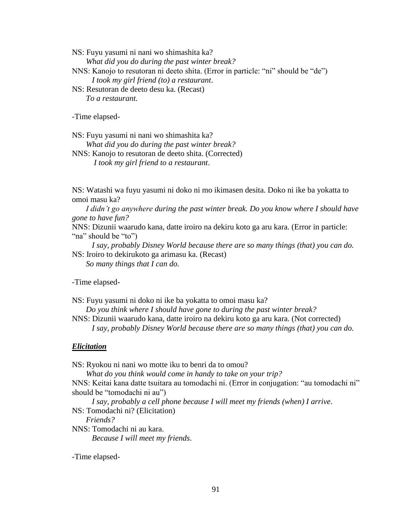NS: Fuyu yasumi ni nani wo shimashita ka? *What did you do during the past winter break?* NNS: Kanojo to resutoran ni deeto shita. (Error in particle: "ni" should be "de")

 *I took my girl friend (to) a restaurant*.

NS: Resutoran de deeto desu ka. (Recast)  *To a restaurant.*

-Time elapsed-

NS: Fuyu yasumi ni nani wo shimashita ka? *What did you do during the past winter break?*

NNS: Kanojo to resutoran de deeto shita. (Corrected) *I took my girl friend to a restaurant*.

NS: Watashi wa fuyu yasumi ni doko ni mo ikimasen desita. Doko ni ike ba yokatta to omoi masu ka?

 *I didn't go anywhere during the past winter break. Do you know where I should have gone to have fun?*

NNS: Dizunii waarudo kana, datte iroiro na dekiru koto ga aru kara. (Error in particle: "na" should be "to")

 *I say, probably Disney World because there are so many things (that) you can do.* NS: Iroiro to dekirukoto ga arimasu ka. (Recast)

 *So many things that I can do.*

-Time elapsed-

NS: Fuyu yasumi ni doko ni ike ba yokatta to omoi masu ka?

*Do you think where I should have gone to during the past winter break?*

NNS: Dizunii waarudo kana, datte iroiro na dekiru koto ga aru kara. (Not corrected)  *I say, probably Disney World because there are so many things (that) you can do.*

### *Elicitation*

NS: Ryokou ni nani wo motte iku to benri da to omou?

*What do you think would come in handy to take on your trip?*

NNS: Keitai kana datte tsuitara au tomodachi ni. (Error in conjugation: "au tomodachi ni" should be "tomodachi ni au")

 *I say, probably a cell phone because I will meet my friends (when) I arrive*.

NS: Tomodachi ni? (Elicitation)

 *Friends?*

NNS: Tomodachi ni au kara. *Because I will meet my friends*.

-Time elapsed-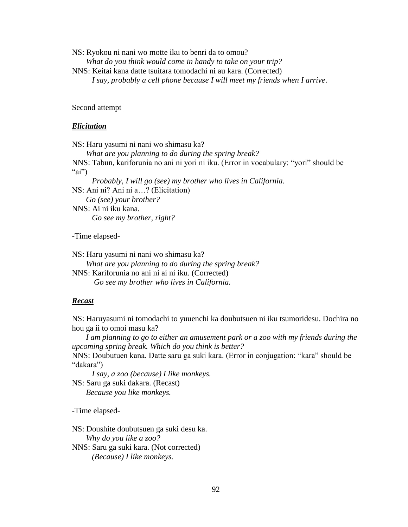NS: Ryokou ni nani wo motte iku to benri da to omou? *What do you think would come in handy to take on your trip?*

NNS: Keitai kana datte tsuitara tomodachi ni au kara. (Corrected)  *I say, probably a cell phone because I will meet my friends when I arrive*.

Second attempt

#### *Elicitation*

NS: Haru yasumi ni nani wo shimasu ka?

 *What are you planning to do during the spring break?* NNS: Tabun, kariforunia no ani ni yori ni iku. (Error in vocabulary: "yori" should be "ai")  *Probably, I will go (see) my brother who lives in California.*

NS: Ani ni? Ani ni a…? (Elicitation)  *Go (see) your brother?*

NNS: Ai ni iku kana.

*Go see my brother, right?*

-Time elapsed-

NS: Haru yasumi ni nani wo shimasu ka? *What are you planning to do during the spring break?* NNS: Kariforunia no ani ni ai ni iku. (Corrected)

*Go see my brother who lives in California.* 

### *Recast*

NS: Haruyasumi ni tomodachi to yuuenchi ka doubutsuen ni iku tsumoridesu. Dochira no hou ga ii to omoi masu ka?

 *I am planning to go to either an amusement park or a zoo with my friends during the upcoming spring break. Which do you think is better?*

NNS: Doubutuen kana. Datte saru ga suki kara. (Error in conjugation: "kara" should be "dakara")

 *I say, a zoo (because) I like monkeys.*

NS: Saru ga suki dakara. (Recast)  *Because you like monkeys.*

-Time elapsed-

NS: Doushite doubutsuen ga suki desu ka. *Why do you like a zoo?* NNS: Saru ga suki kara. (Not corrected) *(Because) I like monkeys.*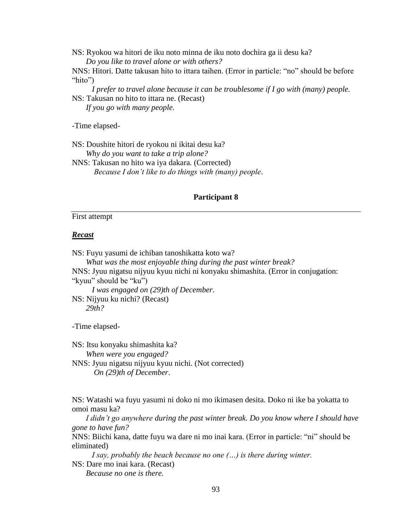NS: Ryokou wa hitori de iku noto minna de iku noto dochira ga ii desu ka? *Do you like to travel alone or with others?*

NNS: Hitori. Datte takusan hito to ittara taihen. (Error in particle: "no" should be before "hito")

 *I prefer to travel alone because it can be troublesome if I go with (many) people.* NS: Takusan no hito to ittara ne. (Recast)

 *If you go with many people.*

-Time elapsed-

NS: Doushite hitori de ryokou ni ikitai desu ka? *Why do you want to take a trip alone?* NNS: Takusan no hito wa iya dakara. (Corrected) *Because I don't like to do things with (many) people*.

#### **Participant 8**

#### First attempt

#### *Recast*

NS: Fuyu yasumi de ichiban tanoshikatta koto wa? *What was the most enjoyable thing during the past winter break?* NNS: Jyuu nigatsu nijyuu kyuu nichi ni konyaku shimashita. (Error in conjugation: "kyuu" should be "ku")  *I was engaged on (29)th of December*. NS: Nijyuu ku nichi? (Recast)  *29th?* 

-Time elapsed-

NS: Itsu konyaku shimashita ka? *When were you engaged?* NNS: Jyuu nigatsu nijyuu kyuu nichi. (Not corrected) *On (29)th of December*.

NS: Watashi wa fuyu yasumi ni doko ni mo ikimasen desita. Doko ni ike ba yokatta to omoi masu ka?

 *I didn't go anywhere during the past winter break. Do you know where I should have gone to have fun?*

NNS: Biichi kana, datte fuyu wa dare ni mo inai kara. (Error in particle: "ni" should be eliminated)

 *I say, probably the beach because no one (…) is there during winter.* NS: Dare mo inai kara. (Recast)

 *Because no one is there.*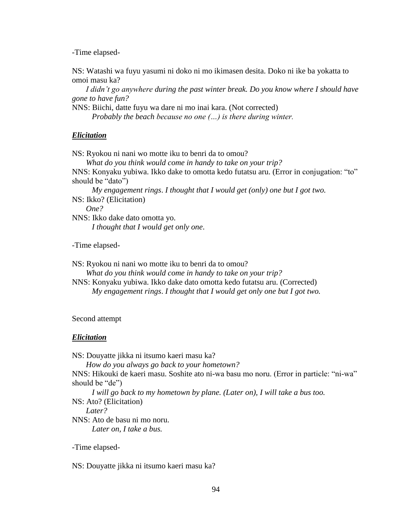-Time elapsed-

NS: Watashi wa fuyu yasumi ni doko ni mo ikimasen desita. Doko ni ike ba yokatta to omoi masu ka?

 *I didn't go anywhere during the past winter break. Do you know where I should have gone to have fun?*

NNS: Biichi, datte fuyu wa dare ni mo inai kara. (Not corrected)  *Probably the beach because no one (…) is there during winter.*

### *Elicitation*

NS: Ryokou ni nani wo motte iku to benri da to omou? *What do you think would come in handy to take on your trip?* NNS: Konyaku yubiwa. Ikko dake to omotta kedo futatsu aru. (Error in conjugation: "to" should be "dato")  *My engagement rings*. *I thought that I would get (only) one but I got two.* NS: Ikko? (Elicitation)  *One?*

NNS: Ikko dake dato omotta yo. *I thought that I would get only one*.

-Time elapsed-

NS: Ryokou ni nani wo motte iku to benri da to omou? *What do you think would come in handy to take on your trip?* NNS: Konyaku yubiwa. Ikko dake dato omotta kedo futatsu aru. (Corrected)  *My engagement rings*. *I thought that I would get only one but I got two.*

### Second attempt

### *Elicitation*

NS: Douyatte jikka ni itsumo kaeri masu ka? *How do you always go back to your hometown?* NNS: Hikouki de kaeri masu. Soshite ato ni-wa basu mo noru. (Error in particle: "ni-wa" should be "de")  *I will go back to my hometown by plane. (Later on), I will take a bus too.* NS: Ato? (Elicitation)  *Later?* NNS: Ato de basu ni mo noru. *Later on, I take a bus.*

-Time elapsed-

NS: Douyatte jikka ni itsumo kaeri masu ka?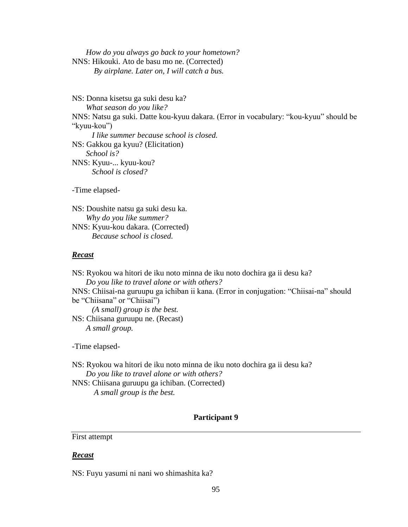*How do you always go back to your hometown?* NNS: Hikouki. Ato de basu mo ne. (Corrected) *By airplane. Later on, I will catch a bus.* 

NS: Donna kisetsu ga suki desu ka? *What season do you like?* NNS: Natsu ga suki. Datte kou-kyuu dakara. (Error in vocabulary: "kou-kyuu" should be "kyuu-kou")  *I like summer because school is closed.* NS: Gakkou ga kyuu? (Elicitation)  *School is?* NNS: Kyuu-... kyuu-kou? *School is closed?*

-Time elapsed-

NS: Doushite natsu ga suki desu ka. *Why do you like summer?* NNS: Kyuu-kou dakara. (Corrected) *Because school is closed.*

#### *Recast*

NS: Ryokou wa hitori de iku noto minna de iku noto dochira ga ii desu ka? *Do you like to travel alone or with others?* NNS: Chiisai-na guruupu ga ichiban ii kana. (Error in conjugation: "Chiisai-na" should be "Chiisana" or "Chiisai")  *(A small) group is the best.* NS: Chiisana guruupu ne. (Recast)  *A small group.*

-Time elapsed-

NS: Ryokou wa hitori de iku noto minna de iku noto dochira ga ii desu ka? *Do you like to travel alone or with others?*

NNS: Chiisana guruupu ga ichiban. (Corrected) *A small group is the best.*

### **Participant 9**

### First attempt

### *Recast*

NS: Fuyu yasumi ni nani wo shimashita ka?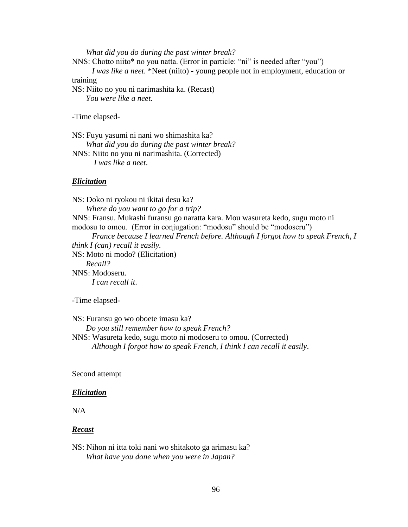*What did you do during the past winter break?*

NNS: Chotto niito\* no you natta. (Error in particle: "ni" is needed after "you")

 *I was like a neet*. \*Neet (niito) - young people not in employment, education or training

NS: Niito no you ni narimashita ka. (Recast)  *You were like a neet.*

-Time elapsed-

NS: Fuyu yasumi ni nani wo shimashita ka? *What did you do during the past winter break?*

NNS: Niito no you ni narimashita. (Corrected) *I was like a neet*.

#### *Elicitation*

NS: Doko ni ryokou ni ikitai desu ka? *Where do you want to go for a trip?* NNS: Fransu. Mukashi furansu go naratta kara. Mou wasureta kedo, sugu moto ni modosu to omou. (Error in conjugation: "modosu" should be "modoseru")  *France because I learned French before. Although I forgot how to speak French, I think I (can) recall it easily.* NS: Moto ni modo? (Elicitation)  *Recall?* NNS: Modoseru. *I can recall it*.

-Time elapsed-

NS: Furansu go wo oboete imasu ka? *Do you still remember how to speak French?* NNS: Wasureta kedo, sugu moto ni modoseru to omou. (Corrected)  *Although I forgot how to speak French, I think I can recall it easily*.

Second attempt

#### *Elicitation*

N/A

#### *Recast*

NS: Nihon ni itta toki nani wo shitakoto ga arimasu ka? *What have you done when you were in Japan?*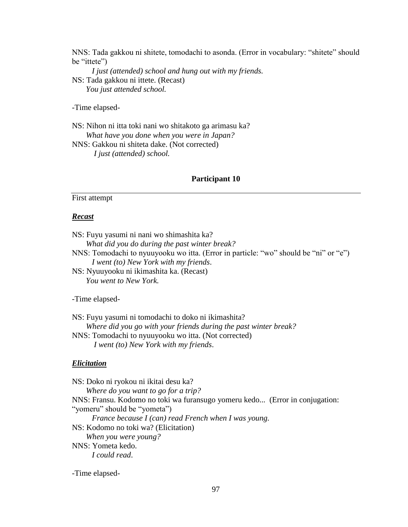NNS: Tada gakkou ni shitete, tomodachi to asonda. (Error in vocabulary: "shitete" should be "ittete")

 *I just (attended) school and hung out with my friends.* NS: Tada gakkou ni ittete. (Recast)  *You just attended school.*

-Time elapsed-

NS: Nihon ni itta toki nani wo shitakoto ga arimasu ka? *What have you done when you were in Japan?* NNS: Gakkou ni shiteta dake. (Not corrected) *I just (attended) school.*

## **Participant 10**

# First attempt

### *Recast*

NS: Fuyu yasumi ni nani wo shimashita ka? *What did you do during the past winter break?*

NNS: Tomodachi to nyuuyooku wo itta. (Error in particle: "wo" should be "ni" or "e")  *I went (to) New York with my friends*.

NS: Nyuuyooku ni ikimashita ka. (Recast)  *You went to New York.*

#### -Time elapsed-

NS: Fuyu yasumi ni tomodachi to doko ni ikimashita? *Where did you go with your friends during the past winter break?* NNS: Tomodachi to nyuuyooku wo itta. (Not corrected) *I went (to) New York with my friends*.

#### *Elicitation*

NS: Doko ni ryokou ni ikitai desu ka? *Where do you want to go for a trip?* NNS: Fransu. Kodomo no toki wa furansugo yomeru kedo... (Error in conjugation: "yomeru" should be "yometa")  *France because I (can) read French when I was young.*  NS: Kodomo no toki wa? (Elicitation)  *When you were young?* NNS: Yometa kedo. *I could read*.

-Time elapsed-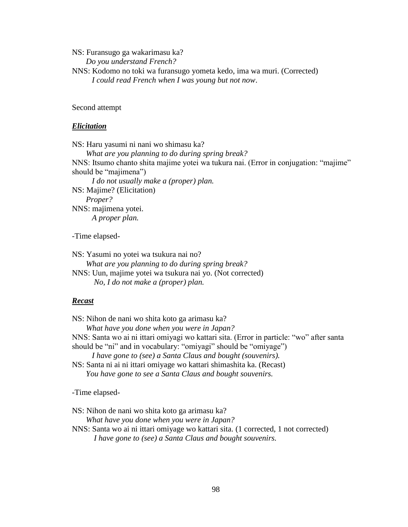NS: Furansugo ga wakarimasu ka?

*Do you understand French?*

NNS: Kodomo no toki wa furansugo yometa kedo, ima wa muri. (Corrected)  *I could read French when I was young but not now*.

Second attempt

# *Elicitation*

NS: Haru yasumi ni nani wo shimasu ka? *What are you planning to do during spring break?* NNS: Itsumo chanto shita majime yotei wa tukura nai. (Error in conjugation: "majime" should be "majimena")  *I do not usually make a (proper) plan.* NS: Majime? (Elicitation)  *Proper?* NNS: majimena yotei. *A proper plan.*

-Time elapsed-

NS: Yasumi no yotei wa tsukura nai no?  *What are you planning to do during spring break?* NNS: Uun, majime yotei wa tsukura nai yo. (Not corrected) *No, I do not make a (proper) plan.* 

# *Recast*

NS: Nihon de nani wo shita koto ga arimasu ka? *What have you done when you were in Japan?* NNS: Santa wo ai ni ittari omiyagi wo kattari sita. (Error in particle: "wo" after santa should be "ni" and in vocabulary: "omiyagi" should be "omiyage")

 *I have gone to (see) a Santa Claus and bought (souvenirs).*

NS: Santa ni ai ni ittari omiyage wo kattari shimashita ka. (Recast)  *You have gone to see a Santa Claus and bought souvenirs.*

-Time elapsed-

NS: Nihon de nani wo shita koto ga arimasu ka?

*What have you done when you were in Japan?*

NNS: Santa wo ai ni ittari omiyage wo kattari sita. (1 corrected, 1 not corrected) *I have gone to (see) a Santa Claus and bought souvenirs.*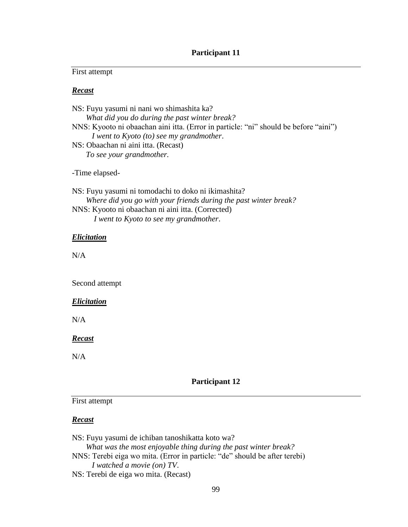# **Participant 11**

# First attempt

# *Recast*

| NS: Fuyu yasumi ni nani wo shimashita ka?                                            |
|--------------------------------------------------------------------------------------|
| What did you do during the past winter break?                                        |
| NNS: Kyooto ni obaachan aini itta. (Error in particle: "ni" should be before "aini") |
| I went to Kyoto (to) see my grandmother.                                             |
| NS: Obaachan ni aini itta. (Recast)                                                  |
| To see your grandmother.                                                             |
| -Time elapsed-                                                                       |

NS: Fuyu yasumi ni tomodachi to doko ni ikimashita? *Where did you go with your friends during the past winter break?* NNS: Kyooto ni obaachan ni aini itta. (Corrected) *I went to Kyoto to see my grandmother*.

### *Elicitation*

N/A

Second attempt

## *Elicitation*

 $N/A$ 

# *Recast*

N/A

# **Participant 12**

# First attempt

### *Recast*

NS: Fuyu yasumi de ichiban tanoshikatta koto wa? *What was the most enjoyable thing during the past winter break?* NNS: Terebi eiga wo mita. (Error in particle: "de" should be after terebi)  *I watched a movie (on) TV*. NS: Terebi de eiga wo mita. (Recast)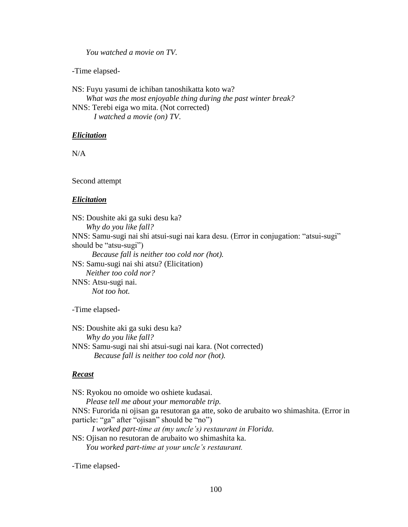*You watched a movie on TV.*

-Time elapsed-

NS: Fuyu yasumi de ichiban tanoshikatta koto wa? *What was the most enjoyable thing during the past winter break?* NNS: Terebi eiga wo mita. (Not corrected) *I watched a movie (on) TV*.

### *Elicitation*

N/A

Second attempt

#### *Elicitation*

NS: Doushite aki ga suki desu ka? *Why do you like fall?* NNS: Samu-sugi nai shi atsui-sugi nai kara desu. (Error in conjugation: "atsui-sugi" should be "atsu-sugi")  *Because fall is neither too cold nor (hot).* NS: Samu-sugi nai shi atsu? (Elicitation)  *Neither too cold nor?* NNS: Atsu-sugi nai. *Not too hot.*

-Time elapsed-

NS: Doushite aki ga suki desu ka? *Why do you like fall?* NNS: Samu-sugi nai shi atsui-sugi nai kara. (Not corrected) *Because fall is neither too cold nor (hot).*

### *Recast*

NS: Ryokou no omoide wo oshiete kudasai. *Please tell me about your memorable trip.* NNS: Furorida ni ojisan ga resutoran ga atte, soko de arubaito wo shimashita. (Error in particle: "ga" after "ojisan" should be "no") *I worked part-time at (my uncle's) restaurant in Florida.* NS: Ojisan no resutoran de arubaito wo shimashita ka. *You worked part-time at your uncle's restaurant.*

-Time elapsed-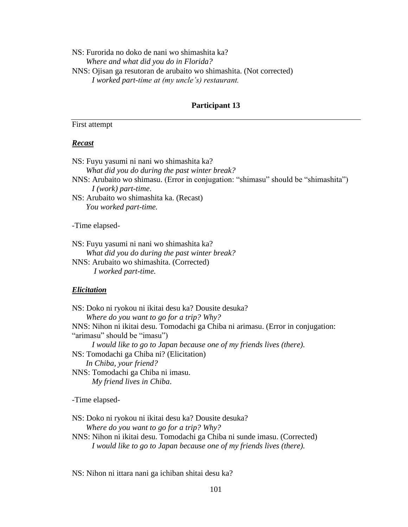NS: Furorida no doko de nani wo shimashita ka? *Where and what did you do in Florida?* NNS: Ojisan ga resutoran de arubaito wo shimashita. (Not corrected)  *I worked part-time at (my uncle's) restaurant.*

### **Participant 13**

## First attempt

# *Recast*

NS: Fuyu yasumi ni nani wo shimashita ka? *What did you do during the past winter break?* NNS: Arubaito wo shimasu. (Error in conjugation: "shimasu" should be "shimashita")  *I (work) part-time*. NS: Arubaito wo shimashita ka. (Recast)

 *You worked part-time.*

-Time elapsed-

NS: Fuyu yasumi ni nani wo shimashita ka? *What did you do during the past winter break?* NNS: Arubaito wo shimashita. (Corrected) *I worked part-time.*

#### *Elicitation*

NS: Doko ni ryokou ni ikitai desu ka? Dousite desuka? *Where do you want to go for a trip? Why?* NNS: Nihon ni ikitai desu. Tomodachi ga Chiba ni arimasu. (Error in conjugation: "arimasu" should be "imasu")  *I would like to go to Japan because one of my friends lives (there).* NS: Tomodachi ga Chiba ni? (Elicitation)  *In Chiba, your friend?* NNS: Tomodachi ga Chiba ni imasu. *My friend lives in Chiba*.

-Time elapsed-

NS: Doko ni ryokou ni ikitai desu ka? Dousite desuka? *Where do you want to go for a trip? Why?* NNS: Nihon ni ikitai desu. Tomodachi ga Chiba ni sunde imasu. (Corrected)  *I would like to go to Japan because one of my friends lives (there).*

NS: Nihon ni ittara nani ga ichiban shitai desu ka?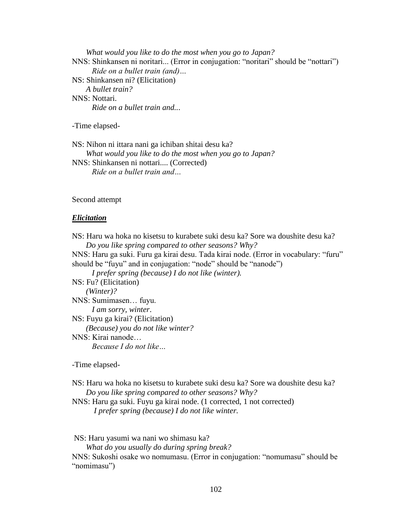*What would you like to do the most when you go to Japan?* NNS: Shinkansen ni noritari... (Error in conjugation: "noritari" should be "nottari")  *Ride on a bullet train (and)…* NS: Shinkansen ni? (Elicitation)  *A bullet train?* NNS: Nottari. *Ride on a bullet train and..*.

-Time elapsed-

NS: Nihon ni ittara nani ga ichiban shitai desu ka? *What would you like to do the most when you go to Japan?* NNS: Shinkansen ni nottari.... (Corrected)  *Ride on a bullet train and…*

Second attempt

#### *Elicitation*

NS: Haru wa hoka no kisetsu to kurabete suki desu ka? Sore wa doushite desu ka? *Do you like spring compared to other seasons? Why?* NNS: Haru ga suki. Furu ga kirai desu. Tada kirai node. (Error in vocabulary: "furu" should be "fuyu" and in conjugation: "node" should be "nanode")  *I prefer spring (because) I do not like (winter).*  NS: Fu? (Elicitation)  *(Winter)?* NNS: Sumimasen… fuyu. *I am sorry, winter*. NS: Fuyu ga kirai? (Elicitation)  *(Because) you do not like winter?* NNS: Kirai nanode… *Because I do not like…*

-Time elapsed-

NS: Haru wa hoka no kisetsu to kurabete suki desu ka? Sore wa doushite desu ka? *Do you like spring compared to other seasons? Why?*

NNS: Haru ga suki. Fuyu ga kirai node. (1 corrected, 1 not corrected) *I prefer spring (because) I do not like winter.*

NS: Haru yasumi wa nani wo shimasu ka?

*What do you usually do during spring break?*

NNS: Sukoshi osake wo nomumasu. (Error in conjugation: "nomumasu" should be "nomimasu")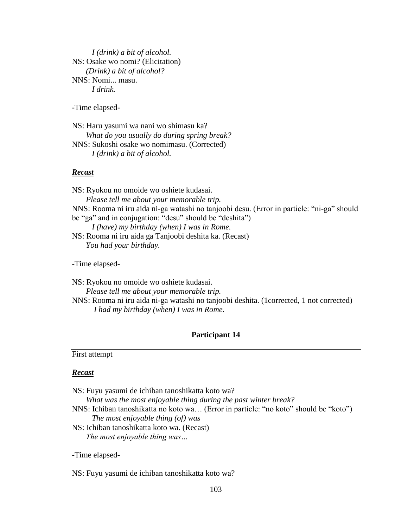*I (drink) a bit of alcohol.* NS: Osake wo nomi? (Elicitation)  *(Drink) a bit of alcohol?* NNS: Nomi... masu. *I drink.*

-Time elapsed-

NS: Haru yasumi wa nani wo shimasu ka? *What do you usually do during spring break?* NNS: Sukoshi osake wo nomimasu. (Corrected)  *I (drink) a bit of alcohol.*

### *Recast*

NS: Ryokou no omoide wo oshiete kudasai. *Please tell me about your memorable trip.* NNS: Rooma ni iru aida ni-ga watashi no tanjoobi desu. (Error in particle: "ni-ga" should be "ga" and in conjugation: "desu" should be "deshita")  *I (have) my birthday (when) I was in Rome.* NS: Rooma ni iru aida ga Tanjoobi deshita ka. (Recast)  *You had your birthday.*

-Time elapsed-

NS: Ryokou no omoide wo oshiete kudasai. *Please tell me about your memorable trip.* NNS: Rooma ni iru aida ni-ga watashi no tanjoobi deshita. (1corrected, 1 not corrected) *I had my birthday (when) I was in Rome.*

## **Participant 14**

### First attempt

#### *Recast*

NS: Fuyu yasumi de ichiban tanoshikatta koto wa?

*What was the most enjoyable thing during the past winter break?*

- NNS: Ichiban tanoshikatta no koto wa… (Error in particle: "no koto" should be "koto")  *The most enjoyable thing (of) was*
- NS: Ichiban tanoshikatta koto wa. (Recast)  *The most enjoyable thing was…*

-Time elapsed-

NS: Fuyu yasumi de ichiban tanoshikatta koto wa?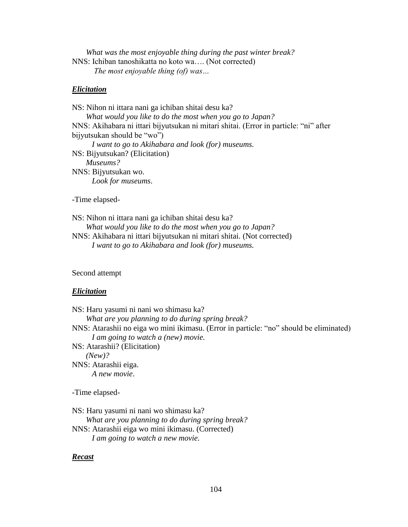*What was the most enjoyable thing during the past winter break?* NNS: Ichiban tanoshikatta no koto wa…. (Not corrected) *The most enjoyable thing (of) was…*

### *Elicitation*

NS: Nihon ni ittara nani ga ichiban shitai desu ka? *What would you like to do the most when you go to Japan?* NNS: Akihabara ni ittari bijyutsukan ni mitari shitai. (Error in particle: "ni" after bijyutsukan should be "wo")  *I want to go to Akihabara and look (for) museums.* NS: Bijyutsukan? (Elicitation)  *Museums?* NNS: Bijyutsukan wo. *Look for museums*.

-Time elapsed-

NS: Nihon ni ittara nani ga ichiban shitai desu ka? *What would you like to do the most when you go to Japan?* NNS: Akihabara ni ittari bijyutsukan ni mitari shitai. (Not corrected)  *I want to go to Akihabara and look (for) museums.*

Second attempt

#### *Elicitation*

NS: Haru yasumi ni nani wo shimasu ka? *What are you planning to do during spring break?* NNS: Atarashii no eiga wo mini ikimasu. (Error in particle: "no" should be eliminated)  *I am going to watch a (new) movie.*  NS: Atarashii? (Elicitation)  *(New)?* NNS: Atarashii eiga. *A new movie*. -Time elapsed-

NS: Haru yasumi ni nani wo shimasu ka?

*What are you planning to do during spring break?*

NNS: Atarashii eiga wo mini ikimasu. (Corrected) *I am going to watch a new movie.*

#### *Recast*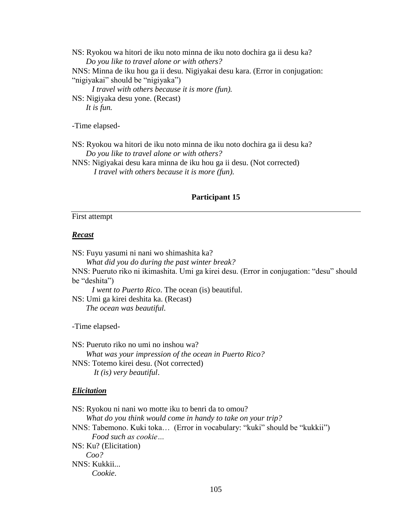NS: Ryokou wa hitori de iku noto minna de iku noto dochira ga ii desu ka? *Do you like to travel alone or with others?* NNS: Minna de iku hou ga ii desu. Nigiyakai desu kara. (Error in conjugation: "nigiyakai" should be "nigiyaka")  *I travel with others because it is more (fun).*  NS: Nigiyaka desu yone. (Recast)  *It is fun.*

-Time elapsed-

NS: Ryokou wa hitori de iku noto minna de iku noto dochira ga ii desu ka? *Do you like to travel alone or with others?*

NNS: Nigiyakai desu kara minna de iku hou ga ii desu. (Not corrected) *I travel with others because it is more (fun).*

### **Participant 15**

### First attempt

### *Recast*

NS: Fuyu yasumi ni nani wo shimashita ka?

*What did you do during the past winter break?*

NNS: Pueruto riko ni ikimashita. Umi ga kirei desu. (Error in conjugation: "desu" should be "deshita")

 *I went to Puerto Rico*. The ocean (is) beautiful.

NS: Umi ga kirei deshita ka. (Recast)  *The ocean was beautiful.*

-Time elapsed-

NS: Pueruto riko no umi no inshou wa? *What was your impression of the ocean in Puerto Rico?* NNS: Totemo kirei desu. (Not corrected) *It (is) very beautiful*.

#### *Elicitation*

NS: Ryokou ni nani wo motte iku to benri da to omou? *What do you think would come in handy to take on your trip?* NNS: Tabemono. Kuki toka… (Error in vocabulary: "kuki" should be "kukkii")  *Food such as cookie…* NS: Ku? (Elicitation)  *Coo?* NNS: Kukkii... *Cookie*.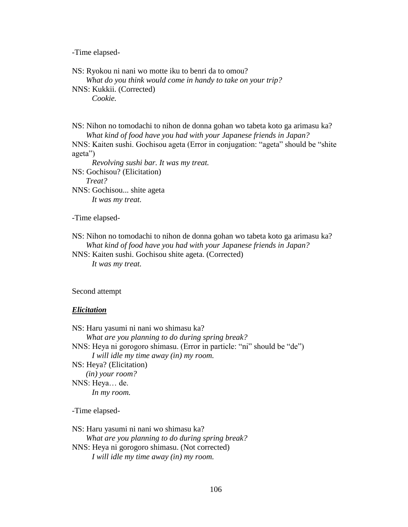-Time elapsed-

NS: Ryokou ni nani wo motte iku to benri da to omou? *What do you think would come in handy to take on your trip?* NNS: Kukkii. (Corrected)  *Cookie.*

NS: Nihon no tomodachi to nihon de donna gohan wo tabeta koto ga arimasu ka? *What kind of food have you had with your Japanese friends in Japan?* NNS: Kaiten sushi. Gochisou ageta (Error in conjugation: "ageta" should be "shite ageta")  *Revolving sushi bar. It was my treat.* NS: Gochisou? (Elicitation)  *Treat?* NNS: Gochisou... shite ageta *It was my treat.*

-Time elapsed-

NS: Nihon no tomodachi to nihon de donna gohan wo tabeta koto ga arimasu ka? *What kind of food have you had with your Japanese friends in Japan?*

NNS: Kaiten sushi. Gochisou shite ageta. (Corrected)  *It was my treat.*

Second attempt

### *Elicitation*

NS: Haru yasumi ni nani wo shimasu ka? *What are you planning to do during spring break?* NNS: Heya ni gorogoro shimasu. (Error in particle: "ni" should be "de")  *I will idle my time away (in) my room.*  NS: Heya? (Elicitation)  *(in) your room?* NNS: Heya… de. *In my room.*

-Time elapsed-

NS: Haru yasumi ni nani wo shimasu ka? *What are you planning to do during spring break?* NNS: Heya ni gorogoro shimasu. (Not corrected) *I will idle my time away (in) my room.*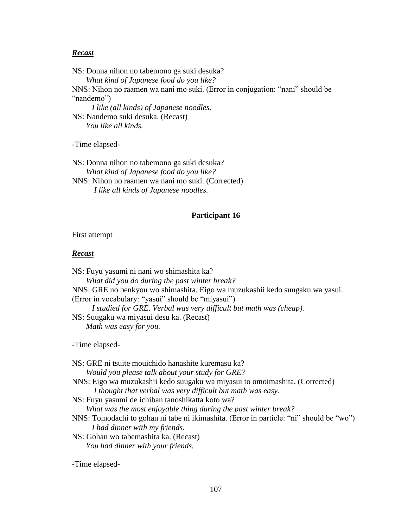# *Recast*

NS: Donna nihon no tabemono ga suki desuka? *What kind of Japanese food do you like?* NNS: Nihon no raamen wa nani mo suki. (Error in conjugation: "nani" should be "nandemo")  *I like (all kinds) of Japanese noodles.* NS: Nandemo suki desuka. (Recast)

 *You like all kinds.*

-Time elapsed-

NS: Donna nihon no tabemono ga suki desuka? *What kind of Japanese food do you like?* NNS: Nihon no raamen wa nani mo suki. (Corrected) *I like all kinds of Japanese noodles.*

## **Participant 16**

# First attempt

# *Recast*

| NS: Fuyu yasumi ni nani wo shimashita ka?                                    |
|------------------------------------------------------------------------------|
| What did you do during the past winter break?                                |
| NNS: GRE no benkyou wo shimashita. Eigo wa muzukashii kedo suugaku wa yasui. |
| (Error in vocabulary: "yasui" should be "miyasui")                           |
| I studied for GRE. Verbal was very difficult but math was (cheap).           |
| NS: Suugaku wa miyasui desu ka. (Recast)                                     |
| Math was easy for you.                                                       |
| -Time elapsed-                                                               |
| NS: GRE ni tsuite mouichido hanashite kuremasu ka?                           |
| Would you please talk about your study for GRE?                              |
| MMC, Figo we mugukeebii kodo guugeku we miyegui to amaimeebite (Corrected)   |

NNS: Eigo wa muzukashii kedo suugaku wa miyasui to omoimashita. (Corrected) *I thought that verbal was very difficult but math was easy*.

NS: Fuyu yasumi de ichiban tanoshikatta koto wa?

*What was the most enjoyable thing during the past winter break?*

NNS: Tomodachi to gohan ni tabe ni ikimashita. (Error in particle: "ni" should be "wo")  *I had dinner with my friends*.

NS: Gohan wo tabemashita ka. (Recast)  *You had dinner with your friends.*

-Time elapsed-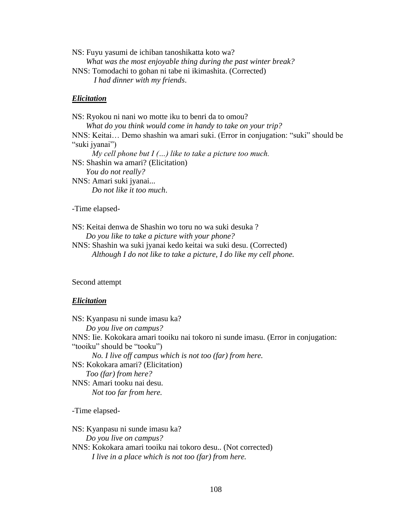NS: Fuyu yasumi de ichiban tanoshikatta koto wa? *What was the most enjoyable thing during the past winter break?* NNS: Tomodachi to gohan ni tabe ni ikimashita. (Corrected) *I had dinner with my friends*.

# *Elicitation*

NS: Ryokou ni nani wo motte iku to benri da to omou? *What do you think would come in handy to take on your trip?* NNS: Keitai… Demo shashin wa amari suki. (Error in conjugation: "suki" should be "suki jyanai")  *My cell phone but I (…) like to take a picture too much.* NS: Shashin wa amari? (Elicitation)  *You do not really?* NNS: Amari suki jyanai... *Do not like it too much*.

-Time elapsed-

NS: Keitai denwa de Shashin wo toru no wa suki desuka ? *Do you like to take a picture with your phone?*

NNS: Shashin wa suki jyanai kedo keitai wa suki desu. (Corrected)  *Although I do not like to take a picture, I do like my cell phone.*

## Second attempt

### *Elicitation*

NS: Kyanpasu ni sunde imasu ka? *Do you live on campus?* NNS: Iie. Kokokara amari tooiku nai tokoro ni sunde imasu. (Error in conjugation: "tooiku" should be "tooku")  *No. I live off campus which is not too (far) from here.*  NS: Kokokara amari? (Elicitation)  *Too (far) from here?* NNS: Amari tooku nai desu. *Not too far from here.*

-Time elapsed-

NS: Kyanpasu ni sunde imasu ka? *Do you live on campus?* NNS: Kokokara amari tooiku nai tokoro desu.. (Not corrected) *I live in a place which is not too (far) from here.*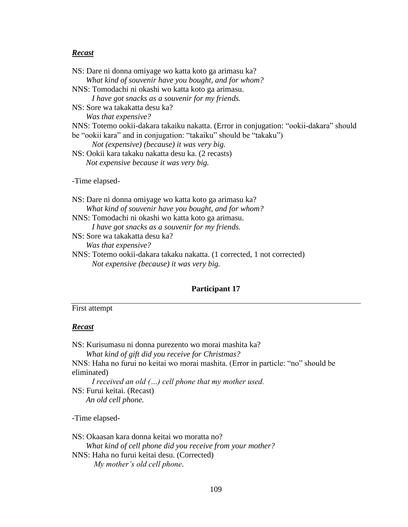# *Recast*

NS: Sore wa takakatta desu ka?

*Was that expensive?*

NNS: Totemo ookii-dakara takaku nakatta. (1 corrected, 1 not corrected)  *Not expensive (because) it was very big.* 

# **Participant 17**

# First attempt

# *Recast*

NS: Kurisumasu ni donna purezento wo morai mashita ka?

*What kind of gift did you receive for Christmas?*

NNS: Haha no furui no keitai wo morai mashita. (Error in particle: "no" should be eliminated)

 *I received an old (…) cell phone that my mother used.* NS: Furui keitai. (Recast)  *An old cell phone.*

-Time elapsed-

NS: Okaasan kara donna keitai wo moratta no? *What kind of cell phone did you receive from your mother?* NNS: Haha no furui keitai desu. (Corrected) *My mother's old cell phone*.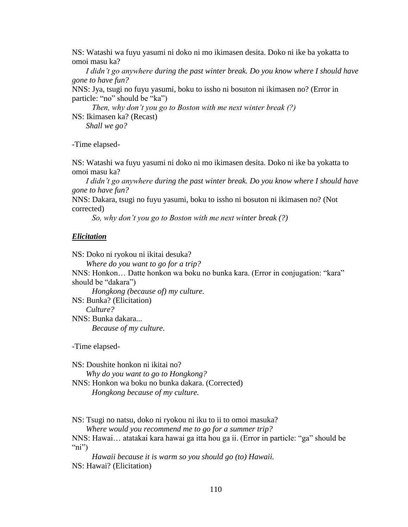NS: Watashi wa fuyu yasumi ni doko ni mo ikimasen desita. Doko ni ike ba yokatta to omoi masu ka?

 *I didn't go anywhere during the past winter break. Do you know where I should have gone to have fun?*

NNS: Jya, tsugi no fuyu yasumi, boku to issho ni bosuton ni ikimasen no? (Error in particle: "no" should be "ka")

 *Then, why don't you go to Boston with me next winter break (?)* NS: Ikimasen ka? (Recast)

 *Shall we go?*

-Time elapsed-

NS: Watashi wa fuyu yasumi ni doko ni mo ikimasen desita. Doko ni ike ba yokatta to omoi masu ka?

 *I didn't go anywhere during the past winter break. Do you know where I should have gone to have fun?*

NNS: Dakara, tsugi no fuyu yasumi, boku to issho ni bosuton ni ikimasen no? (Not corrected)

 *So, why don't you go to Boston with me next winter break (?)*

### *Elicitation*

NS: Doko ni ryokou ni ikitai desuka? *Where do you want to go for a trip?*

NNS: Honkon… Datte honkon wa boku no bunka kara. (Error in conjugation: "kara" should be "dakara")

 *Hongkong (because of) my culture.* NS: Bunka? (Elicitation)  *Culture?* NNS: Bunka dakara... *Because of my culture*.

-Time elapsed-

NS: Doushite honkon ni ikitai no? *Why do you want to go to Hongkong?* NNS: Honkon wa boku no bunka dakara. (Corrected)  *Hongkong because of my culture.*

NS: Tsugi no natsu, doko ni ryokou ni iku to ii to omoi masuka?

*Where would you recommend me to go for a summer trip?*

NNS: Hawai… atatakai kara hawai ga itta hou ga ii. (Error in particle: "ga" should be "ni")

 *Hawaii because it is warm so you should go (to) Hawaii.* NS: Hawai? (Elicitation)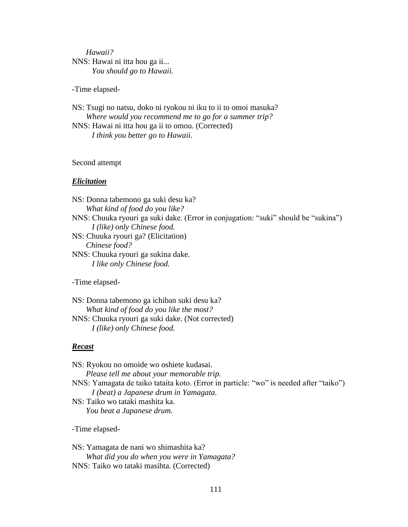# *Hawaii?* NNS: Hawai ni itta hou ga ii... *You should go to Hawaii.*

-Time elapsed-

NS: Tsugi no natsu, doko ni ryokou ni iku to ii to omoi masuka? *Where would you recommend me to go for a summer trip?* NNS: Hawai ni itta hou ga ii to omou. (Corrected)  *I think you better go to Hawaii.*

## Second attempt

### *Elicitation*

NS: Donna tabemono ga suki desu ka? *What kind of food do you like?* NNS: Chuuka ryouri ga suki dake. (Error in conjugation: "suki" should be "sukina")  *I (like) only Chinese food.*  NS: Chuuka ryouri ga? (Elicitation)  *Chinese food?* NNS: Chuuka ryouri ga sukina dake. *I like only Chinese food.*

-Time elapsed-

NS: Donna tabemono ga ichiban suki desu ka? *What kind of food do you like the most?* NNS: Chuuka ryouri ga suki dake. (Not corrected) *I (like) only Chinese food.*

### *Recast*

NS: Ryokou no omoide wo oshiete kudasai. *Please tell me about your memorable trip.* NNS: Yamagata de taiko tataita koto. (Error in particle: "wo" is needed after "taiko") *I (beat) a Japanese drum in Yamagata.* NS: Taiko wo tataki mashita ka. *You beat a Japanese drum.*

-Time elapsed-

NS: Yamagata de nani wo shimashita ka? *What did you do when you were in Yamagata?* NNS: Taiko wo tataki masihta. (Corrected)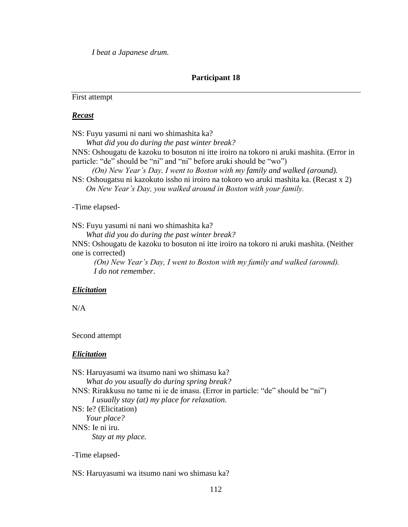*I beat a Japanese drum.*

## **Participant 18**

First attempt

#### *Recast*

NS: Fuyu yasumi ni nani wo shimashita ka?

*What did you do during the past winter break?*

NNS: Oshougatu de kazoku to bosuton ni itte iroiro na tokoro ni aruki mashita. (Error in particle: "de" should be "ni" and "ni" before aruki should be "wo")

 *(On) New Year's Day, I went to Boston with my family and walked (around).*

NS: Oshougatsu ni kazokuto issho ni iroiro na tokoro wo aruki mashita ka. (Recast x 2)  *On New Year's Day, you walked around in Boston with your family.*

#### -Time elapsed-

NS: Fuyu yasumi ni nani wo shimashita ka?

*What did you do during the past winter break?*

NNS: Oshougatu de kazoku to bosuton ni itte iroiro na tokoro ni aruki mashita. (Neither one is corrected)

 *(On) New Year's Day, I went to Boston with my family and walked (around). I do not remember*.

### *Elicitation*

N/A

Second attempt

### *Elicitation*

NS: Haruyasumi wa itsumo nani wo shimasu ka? *What do you usually do during spring break?* NNS: Rirakkusu no tame ni ie de imasu. (Error in particle: "de" should be "ni")  *I usually stay (at) my place for relaxation.*  NS: Ie? (Elicitation)  *Your place?* NNS: Ie ni iru. *Stay at my place.*

-Time elapsed-

NS: Haruyasumi wa itsumo nani wo shimasu ka?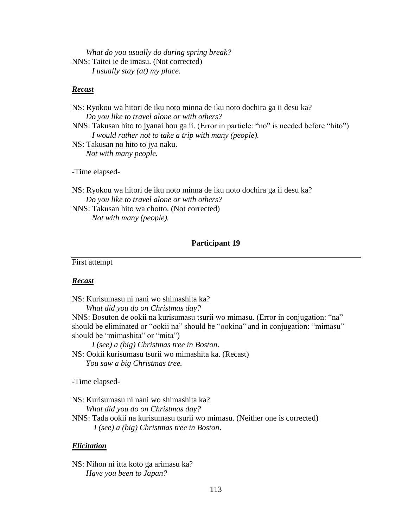*What do you usually do during spring break?* NNS: Taitei ie de imasu. (Not corrected) *I usually stay (at) my place.* 

### *Recast*

| NS: Ryokou wa hitori de iku noto minna de iku noto dochira ga ii desu ka?                |
|------------------------------------------------------------------------------------------|
| Do you like to travel alone or with others?                                              |
| NNS: Takusan hito to jyanai hou ga ii. (Error in particle: "no" is needed before "hito") |
| I would rather not to take a trip with many (people).                                    |
| NS: Takusan no hito to jya naku.                                                         |
| Not with many people.                                                                    |
|                                                                                          |

-Time elapsed-

NS: Ryokou wa hitori de iku noto minna de iku noto dochira ga ii desu ka? *Do you like to travel alone or with others?* NNS: Takusan hito wa chotto. (Not corrected)

*Not with many (people).* 

# **Participant 19**

First attempt

## *Recast*

NS: Kurisumasu ni nani wo shimashita ka?

*What did you do on Christmas day?*

NNS: Bosuton de ookii na kurisumasu tsurii wo mimasu. (Error in conjugation: "na" should be eliminated or "ookii na" should be "ookina" and in conjugation: "mimasu" should be "mimashita" or "mita")

 *I (see) a (big) Christmas tree in Boston*. NS: Ookii kurisumasu tsurii wo mimashita ka. (Recast)  *You saw a big Christmas tree.*

-Time elapsed-

NS: Kurisumasu ni nani wo shimashita ka?

*What did you do on Christmas day?*

NNS: Tada ookii na kurisumasu tsurii wo mimasu. (Neither one is corrected) *I (see) a (big) Christmas tree in Boston*.

## *Elicitation*

NS: Nihon ni itta koto ga arimasu ka? *Have you been to Japan?*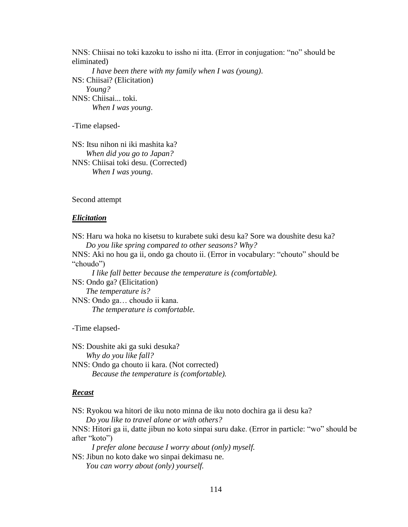NNS: Chiisai no toki kazoku to issho ni itta. (Error in conjugation: "no" should be eliminated)  *I have been there with my family when I was (young)*. NS: Chiisai? (Elicitation)  *Young?* NNS: Chiisai... toki. *When I was young*.

-Time elapsed-

NS: Itsu nihon ni iki mashita ka? *When did you go to Japan?* NNS: Chiisai toki desu. (Corrected)  *When I was young*.

#### Second attempt

#### *Elicitation*

NS: Haru wa hoka no kisetsu to kurabete suki desu ka? Sore wa doushite desu ka? *Do you like spring compared to other seasons? Why?* NNS: Aki no hou ga ii, ondo ga chouto ii. (Error in vocabulary: "chouto" should be

"choudo")

 *I like fall better because the temperature is (comfortable).* 

NS: Ondo ga? (Elicitation)  *The temperature is?*

NNS: Ondo ga… choudo ii kana. *The temperature is comfortable.*

-Time elapsed-

NS: Doushite aki ga suki desuka? *Why do you like fall?* NNS: Ondo ga chouto ii kara. (Not corrected) *Because the temperature is (comfortable).*

### *Recast*

NS: Ryokou wa hitori de iku noto minna de iku noto dochira ga ii desu ka?

*Do you like to travel alone or with others?*

NNS: Hitori ga ii, datte jibun no koto sinpai suru dake. (Error in particle: "wo" should be after "koto")

 *I prefer alone because I worry about (only) myself.* NS: Jibun no koto dake wo sinpai dekimasu ne.

*You can worry about (only) yourself.*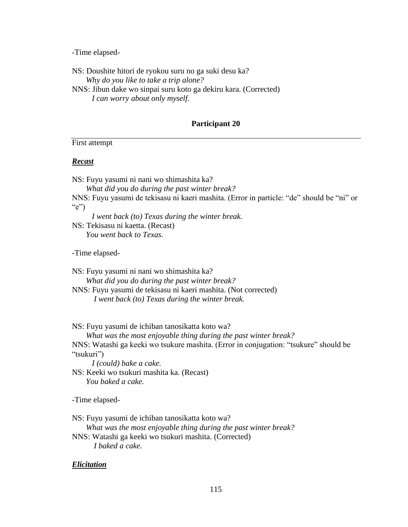-Time elapsed-

NS: Doushite hitori de ryokou suru no ga suki desu ka? *Why do you like to take a trip alone?* NNS: Jibun dake wo sinpai suru koto ga dekiru kara. (Corrected)  *I can worry about only myself.* 

### **Participant 20**

First attempt

### *Recast*

NS: Fuyu yasumi ni nani wo shimashita ka?

*What did you do during the past winter break?*

NNS: Fuyu yasumi de tekisasu ni kaeri mashita. (Error in particle: "de" should be "ni" or " $e$ ")

 *I went back (to) Texas during the winter break.* NS: Tekisasu ni kaetta. (Recast)  *You went back to Texas.*

-Time elapsed-

NS: Fuyu yasumi ni nani wo shimashita ka? *What did you do during the past winter break?* NNS: Fuyu yasumi de tekisasu ni kaeri mashita. (Not corrected)

*I went back (to) Texas during the winter break.*

NS: Fuyu yasumi de ichiban tanosikatta koto wa?

*What was the most enjoyable thing during the past winter break?*

NNS: Watashi ga keeki wo tsukure mashita. (Error in conjugation: "tsukure" should be "tsukuri")

 *I (could) bake a cake.*

NS: Keeki wo tsukuri mashita ka. (Recast)  *You baked a cake.*

-Time elapsed-

NS: Fuyu yasumi de ichiban tanosikatta koto wa?

*What was the most enjoyable thing during the past winter break?*

NNS: Watashi ga keeki wo tsukuri mashita. (Corrected) *I baked a cake.*

# *Elicitation*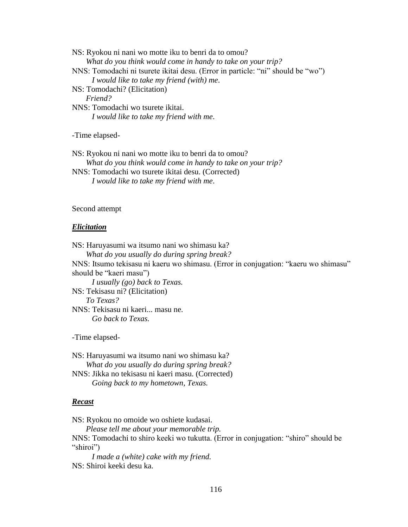NS: Ryokou ni nani wo motte iku to benri da to omou? *What do you think would come in handy to take on your trip?* NNS: Tomodachi ni tsurete ikitai desu. (Error in particle: "ni" should be "wo")  *I would like to take my friend (with) me*. NS: Tomodachi? (Elicitation)  *Friend?* NNS: Tomodachi wo tsurete ikitai. *I would like to take my friend with me*.

-Time elapsed-

NS: Ryokou ni nani wo motte iku to benri da to omou? *What do you think would come in handy to take on your trip?* NNS: Tomodachi wo tsurete ikitai desu. (Corrected)  *I would like to take my friend with me*.

### Second attempt

#### *Elicitation*

NS: Haruyasumi wa itsumo nani wo shimasu ka? *What do you usually do during spring break?* NNS: Itsumo tekisasu ni kaeru wo shimasu. (Error in conjugation: "kaeru wo shimasu" should be "kaeri masu")  *I usually (go) back to Texas.*  NS: Tekisasu ni? (Elicitation)  *To Texas?* NNS: Tekisasu ni kaeri... masu ne. *Go back to Texas.*

-Time elapsed-

NS: Haruyasumi wa itsumo nani wo shimasu ka? *What do you usually do during spring break?* NNS: Jikka no tekisasu ni kaeri masu. (Corrected) *Going back to my hometown, Texas.*

#### *Recast*

NS: Ryokou no omoide wo oshiete kudasai.

 *Please tell me about your memorable trip.* NNS: Tomodachi to shiro keeki wo tukutta. (Error in conjugation: "shiro" should be "shiroi")

 *I made a (white) cake with my friend.* NS: Shiroi keeki desu ka.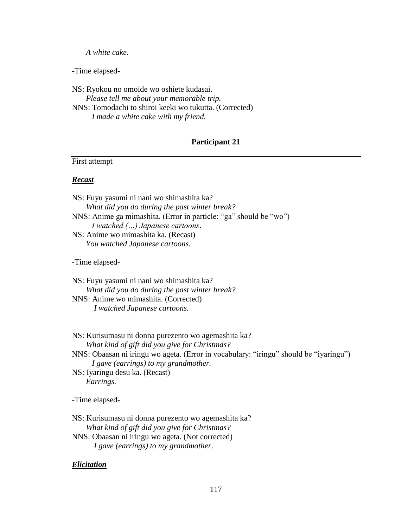# *A white cake.*

-Time elapsed-

NS: Ryokou no omoide wo oshiete kudasai. *Please tell me about your memorable trip.* NNS: Tomodachi to shiroi keeki wo tukutta. (Corrected)  *I made a white cake with my friend.*

# **Participant 21**

First attempt

# *Recast*

| NS: Fuyu yasumi ni nani wo shimashita ka?<br>What did you do during the past winter break?<br>NNS: Anime ga mimashita. (Error in particle: "ga" should be "wo")<br>I watched () Japanese cartoons. |
|----------------------------------------------------------------------------------------------------------------------------------------------------------------------------------------------------|
| NS: Anime wo mimashita ka. (Recast)                                                                                                                                                                |
| You watched Japanese cartoons.                                                                                                                                                                     |
| -Time elapsed-                                                                                                                                                                                     |
| NS: Fuyu yasumi ni nani wo shimashita ka?<br>What did you do during the past winter break?                                                                                                         |
| NNS: Anime wo mimashita. (Corrected)                                                                                                                                                               |
| I watched Japanese cartoons.                                                                                                                                                                       |
| NS: Kurisumasu ni donna purezento wo agemashita ka?                                                                                                                                                |
| What kind of gift did you give for Christmas?                                                                                                                                                      |
| NNS: Obaasan ni iringu wo ageta. (Error in vocabulary: "iringu" should be "iyaringu")<br>I gave (earrings) to my grandmother.                                                                      |
| NS: Iyaringu desu ka. (Recast)                                                                                                                                                                     |
| Earrings.                                                                                                                                                                                          |
| -Time elapsed-                                                                                                                                                                                     |

NS: Kurisumasu ni donna purezento wo agemashita ka? *What kind of gift did you give for Christmas?* NNS: Obaasan ni iringu wo ageta. (Not corrected) *I gave (earrings) to my grandmother*.

# *Elicitation*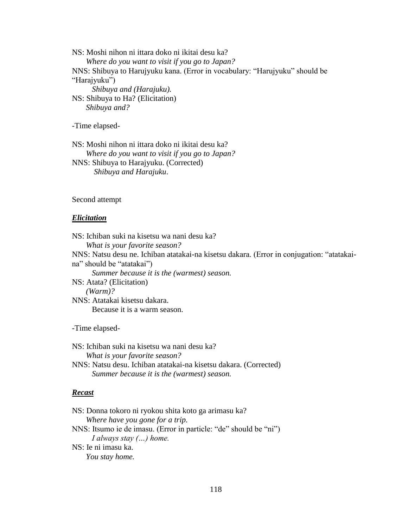NS: Moshi nihon ni ittara doko ni ikitai desu ka? *Where do you want to visit if you go to Japan?* NNS: Shibuya to Harujyuku kana. (Error in vocabulary: "Harujyuku" should be "Harajyuku")  *Shibuya and (Harajuku).* NS: Shibuya to Ha? (Elicitation)  *Shibuya and?*

-Time elapsed-

NS: Moshi nihon ni ittara doko ni ikitai desu ka? *Where do you want to visit if you go to Japan?* NNS: Shibuya to Harajyuku. (Corrected) *Shibuya and Harajuku*.

#### Second attempt

#### *Elicitation*

NS: Ichiban suki na kisetsu wa nani desu ka? *What is your favorite season?* NNS: Natsu desu ne. Ichiban atatakai-na kisetsu dakara. (Error in conjugation: "atatakaina" should be "atatakai")  *Summer because it is the (warmest) season.* NS: Atata? (Elicitation)  *(Warm)?* NNS: Atatakai kisetsu dakara. Because it is a warm season*.*

-Time elapsed-

NS: Ichiban suki na kisetsu wa nani desu ka? *What is your favorite season?* NNS: Natsu desu. Ichiban atatakai-na kisetsu dakara. (Corrected) *Summer because it is the (warmest) season.*

## *Recast*

NS: Donna tokoro ni ryokou shita koto ga arimasu ka? *Where have you gone for a trip.* NNS: Itsumo ie de imasu. (Error in particle: "de" should be "ni") *I always stay (…) home.* NS: Ie ni imasu ka. *You stay home.*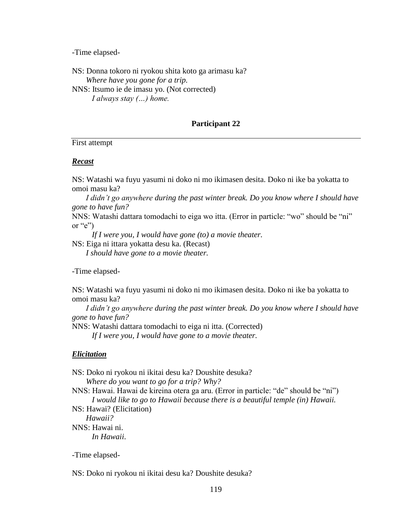-Time elapsed-

NS: Donna tokoro ni ryokou shita koto ga arimasu ka? *Where have you gone for a trip.* NNS: Itsumo ie de imasu yo. (Not corrected)  *I always stay (…) home.*

# **Participant 22**

First attempt

### *Recast*

NS: Watashi wa fuyu yasumi ni doko ni mo ikimasen desita. Doko ni ike ba yokatta to omoi masu ka?

 *I didn't go anywhere during the past winter break. Do you know where I should have gone to have fun?*

NNS: Watashi dattara tomodachi to eiga wo itta. (Error in particle: "wo" should be "ni" or " $e$ ")

 *If I were you, I would have gone (to) a movie theater.*

NS: Eiga ni ittara yokatta desu ka. (Recast)  *I should have gone to a movie theater.*

-Time elapsed-

NS: Watashi wa fuyu yasumi ni doko ni mo ikimasen desita. Doko ni ike ba yokatta to omoi masu ka?

 *I didn't go anywhere during the past winter break. Do you know where I should have gone to have fun?*

NNS: Watashi dattara tomodachi to eiga ni itta. (Corrected)

 *If I were you, I would have gone to a movie theater.*

#### *Elicitation*

NS: Doko ni ryokou ni ikitai desu ka? Doushite desuka? *Where do you want to go for a trip? Why?* NNS: Hawai. Hawai de kireina otera ga aru. (Error in particle: "de" should be "ni")  *I would like to go to Hawaii because there is a beautiful temple (in) Hawaii.* NS: Hawai? (Elicitation)  *Hawaii?* NNS: Hawai ni. *In Hawaii*.

-Time elapsed-

NS: Doko ni ryokou ni ikitai desu ka? Doushite desuka?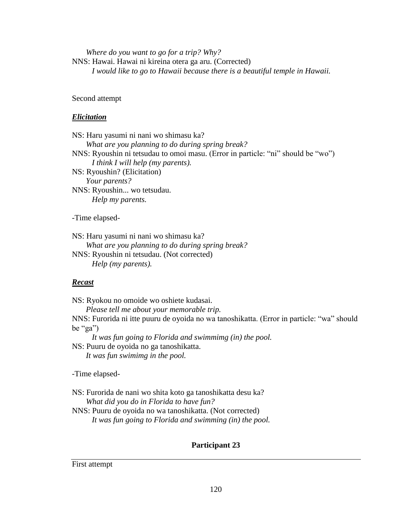*Where do you want to go for a trip? Why?* NNS: Hawai. Hawai ni kireina otera ga aru. (Corrected)  *I would like to go to Hawaii because there is a beautiful temple in Hawaii.*

# Second attempt

# *Elicitation*

NS: Haru yasumi ni nani wo shimasu ka? *What are you planning to do during spring break?* NNS: Ryoushin ni tetsudau to omoi masu. (Error in particle: "ni" should be "wo")  *I think I will help (my parents).*  NS: Ryoushin? (Elicitation)  *Your parents?*

NNS: Ryoushin... wo tetsudau. *Help my parents.*

-Time elapsed-

NS: Haru yasumi ni nani wo shimasu ka? *What are you planning to do during spring break?* NNS: Ryoushin ni tetsudau. (Not corrected)

*Help (my parents).*

# *Recast*

NS: Ryokou no omoide wo oshiete kudasai.

*Please tell me about your memorable trip.*

NNS: Furorida ni itte puuru de oyoida no wa tanoshikatta. (Error in particle: "wa" should be "ga")

 *It was fun going to Florida and swimmimg (in) the pool.* NS: Puuru de oyoida no ga tanoshikatta.

*It was fun swimimg in the pool.*

-Time elapsed-

NS: Furorida de nani wo shita koto ga tanoshikatta desu ka? *What did you do in Florida to have fun?* NNS: Puuru de oyoida no wa tanoshikatta. (Not corrected)  *It was fun going to Florida and swimming (in) the pool.*

# **Participant 23**

First attempt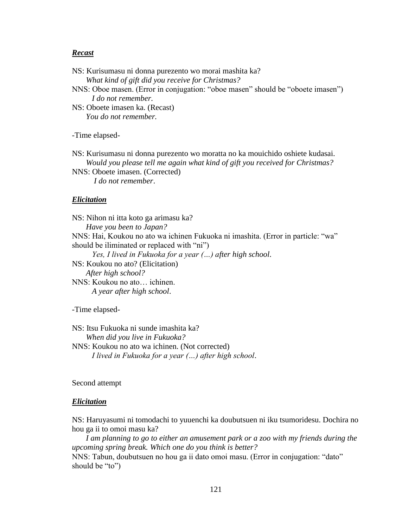## *Recast*

NS: Kurisumasu ni donna purezento wo morai mashita ka? *What kind of gift did you receive for Christmas?* NNS: Oboe masen. (Error in conjugation: "oboe masen" should be "oboete imasen")  *I do not remember.* NS: Oboete imasen ka. (Recast)  *You do not remember.* -Time elapsed-

NS: Kurisumasu ni donna purezento wo moratta no ka mouichido oshiete kudasai. *Would you please tell me again what kind of gift you received for Christmas?* NNS: Oboete imasen. (Corrected)

*I do not remember*.

### *Elicitation*

NS: Nihon ni itta koto ga arimasu ka? *Have you been to Japan?* NNS: Hai, Koukou no ato wa ichinen Fukuoka ni imashita. (Error in particle: "wa" should be iliminated or replaced with "ni")  *Yes, I lived in Fukuoka for a year (…) after high school*. NS: Koukou no ato? (Elicitation)  *After high school?* NNS: Koukou no ato… ichinen. *A year after high school*.

-Time elapsed-

NS: Itsu Fukuoka ni sunde imashita ka? *When did you live in Fukuoka?* NNS: Koukou no ato wa ichinen. (Not corrected)  *I lived in Fukuoka for a year (…) after high school*.

Second attempt

### *Elicitation*

NS: Haruyasumi ni tomodachi to yuuenchi ka doubutsuen ni iku tsumoridesu. Dochira no hou ga ii to omoi masu ka?

 *I am planning to go to either an amusement park or a zoo with my friends during the upcoming spring break. Which one do you think is better?* NNS: Tabun, doubutsuen no hou ga ii dato omoi masu. (Error in conjugation: "dato" should be "to")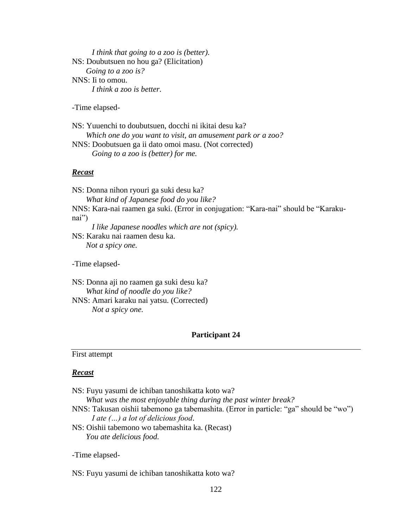*I think that going to a zoo is (better).*  NS: Doubutsuen no hou ga? (Elicitation)  *Going to a zoo is?* NNS: Ii to omou. *I think a zoo is better.*

-Time elapsed-

NS: Yuuenchi to doubutsuen, docchi ni ikitai desu ka? *Which one do you want to visit, an amusement park or a zoo?* NNS: Doobutsuen ga ii dato omoi masu. (Not corrected) *Going to a zoo is (better) for me.*

# *Recast*

NS: Donna nihon ryouri ga suki desu ka? *What kind of Japanese food do you like?* NNS: Kara-nai raamen ga suki. (Error in conjugation: "Kara-nai" should be "Karakunai") *I like Japanese noodles which are not (spicy).* NS: Karaku nai raamen desu ka. *Not a spicy one.*

-Time elapsed-

NS: Donna aji no raamen ga suki desu ka? *What kind of noodle do you like?* NNS: Amari karaku nai yatsu. (Corrected) *Not a spicy one.* 

## **Participant 24**

### First attempt

# *Recast*

| NS: Fuyu yasumi de ichiban tanoshikatta koto wa?                                      |
|---------------------------------------------------------------------------------------|
| What was the most enjoyable thing during the past winter break?                       |
| NNS: Takusan oishii tabemono ga tabemashita. (Error in particle: "ga" should be "wo") |
| I ate $()$ a lot of delicious food.                                                   |
| NS: Oishii tabemono wo tabemashita ka. (Recast)                                       |
| You ate delicious food.                                                               |

-Time elapsed-

NS: Fuyu yasumi de ichiban tanoshikatta koto wa?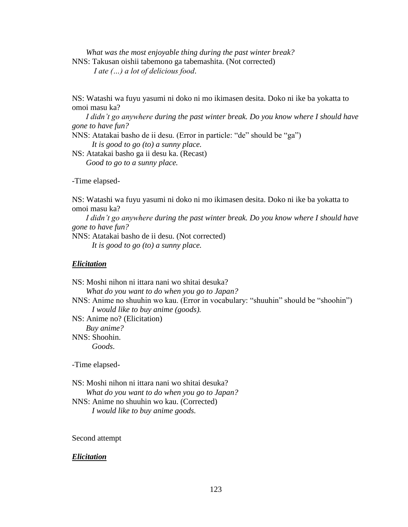*What was the most enjoyable thing during the past winter break?* NNS: Takusan oishii tabemono ga tabemashita. (Not corrected) *I ate (…) a lot of delicious food*.

NS: Watashi wa fuyu yasumi ni doko ni mo ikimasen desita. Doko ni ike ba yokatta to omoi masu ka?

 *I didn't go anywhere during the past winter break. Do you know where I should have gone to have fun?*

NNS: Atatakai basho de ii desu. (Error in particle: "de" should be "ga")  *It is good to go (to) a sunny place.*

NS: Atatakai basho ga ii desu ka. (Recast)  *Good to go to a sunny place.*

-Time elapsed-

NS: Watashi wa fuyu yasumi ni doko ni mo ikimasen desita. Doko ni ike ba yokatta to omoi masu ka?

 *I didn't go anywhere during the past winter break. Do you know where I should have gone to have fun?*

NNS: Atatakai basho de ii desu. (Not corrected)

 *It is good to go (to) a sunny place.*

# *Elicitation*

NS: Moshi nihon ni ittara nani wo shitai desuka? *What do you want to do when you go to Japan?* NNS: Anime no shuuhin wo kau. (Error in vocabulary: "shuuhin" should be "shoohin")  *I would like to buy anime (goods).* NS: Anime no? (Elicitation)  *Buy anime?* NNS: Shoohin. *Goods*.

-Time elapsed-

NS: Moshi nihon ni ittara nani wo shitai desuka? *What do you want to do when you go to Japan?* NNS: Anime no shuuhin wo kau. (Corrected)

 *I would like to buy anime goods.*

Second attempt

## *Elicitation*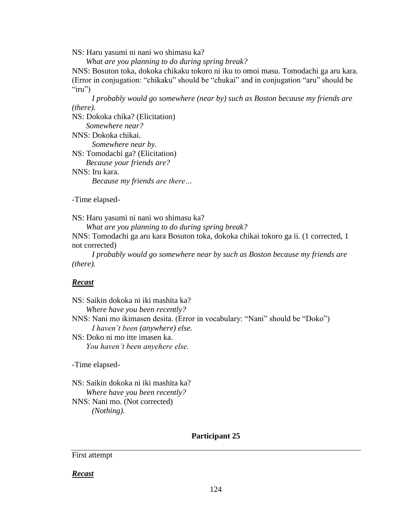NS: Haru yasumi ni nani wo shimasu ka?

*What are you planning to do during spring break?*

NNS: Bosuton toka, dokoka chikaku tokoro ni iku to omoi masu. Tomodachi ga aru kara. (Error in conjugation: "chikaku" should be "chukai" and in conjugation "aru" should be " $iru$ ")

 *I probably would go somewhere (near by) such as Boston because my friends are (there).* 

NS: Dokoka chika? (Elicitation)  *Somewhere near?* NNS: Dokoka chikai. *Somewhere near by.* NS: Tomodachi ga? (Elicitation)  *Because your friends are?* NNS: Iru kara.

*Because my friends are there…*

-Time elapsed-

NS: Haru yasumi ni nani wo shimasu ka?

*What are you planning to do during spring break?*

NNS: Tomodachi ga aru kara Bosuton toka, dokoka chikai tokoro ga ii. (1 corrected, 1 not corrected)

 *I probably would go somewhere near by such as Boston because my friends are (there).*

# *Recast*

NS: Saikin dokoka ni iki mashita ka? *Where have you been recently?* NNS: Nani mo ikimasen desita. (Error in vocabulary: "Nani" should be "Doko") *I haven't been (anywhere) else.* NS: Doko ni mo itte imasen ka. *You haven't been anyehere else.*

-Time elapsed-

NS: Saikin dokoka ni iki mashita ka? *Where have you been recently?* NNS: Nani mo. (Not corrected)  *(Nothing).*

### **Participant 25**

First attempt

*Recast*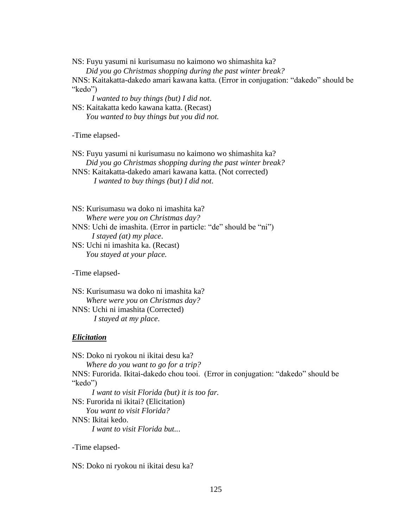NS: Fuyu yasumi ni kurisumasu no kaimono wo shimashita ka?

*Did you go Christmas shopping during the past winter break?*

NNS: Kaitakatta-dakedo amari kawana katta. (Error in conjugation: "dakedo" should be "kedo")

 *I wanted to buy things (but) I did not*.

NS: Kaitakatta kedo kawana katta. (Recast)  *You wanted to buy things but you did not.*

-Time elapsed-

NS: Fuyu yasumi ni kurisumasu no kaimono wo shimashita ka? *Did you go Christmas shopping during the past winter break?* NNS: Kaitakatta-dakedo amari kawana katta. (Not corrected)

*I wanted to buy things (but) I did not*.

NS: Kurisumasu wa doko ni imashita ka? *Where were you on Christmas day?* NNS: Uchi de imashita. (Error in particle: "de" should be "ni")  *I stayed (at) my place*. NS: Uchi ni imashita ka. (Recast)

 *You stayed at your place.*

-Time elapsed-

NS: Kurisumasu wa doko ni imashita ka? *Where were you on Christmas day?* NNS: Uchi ni imashita (Corrected) *I stayed at my place*.

### *Elicitation*

NS: Doko ni ryokou ni ikitai desu ka? *Where do you want to go for a trip?* NNS: Furorida. Ikitai-dakedo chou tooi. (Error in conjugation: "dakedo" should be "kedo")  *I want to visit Florida (but) it is too far.* NS: Furorida ni ikitai? (Elicitation)  *You want to visit Florida?* NNS: Ikitai kedo. *I want to visit Florida but..*.

-Time elapsed-

NS: Doko ni ryokou ni ikitai desu ka?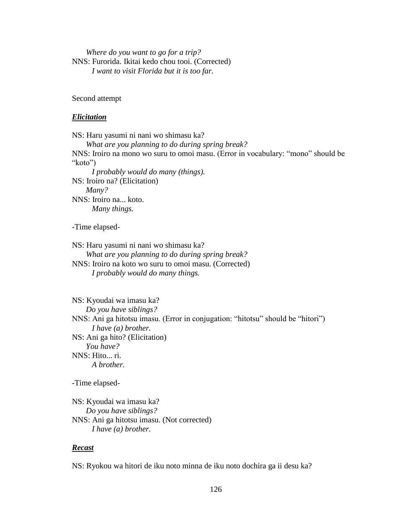*Where do you want to go for a trip?* NNS: Furorida. Ikitai kedo chou tooi. (Corrected)  *I want to visit Florida but it is too far.*

Second attempt

#### *Elicitation*

NS: Haru yasumi ni nani wo shimasu ka? *What are you planning to do during spring break?* NNS: Iroiro na mono wo suru to omoi masu. (Error in vocabulary: "mono" should be "koto")  *I probably would do many (things).*  NS: Iroiro na? (Elicitation)  *Many?* NNS: Iroiro na... koto. *Many things.*

-Time elapsed-

NS: Haru yasumi ni nani wo shimasu ka? *What are you planning to do during spring break?* NNS: Iroiro na koto wo suru to omoi masu. (Corrected)

*I probably would do many things.*

NS: Kyoudai wa imasu ka? *Do you have siblings?* NNS: Ani ga hitotsu imasu. (Error in conjugation: "hitotsu" should be "hitori")  *I have (a) brother.*  NS: Ani ga hito? (Elicitation)  *You have?* NNS: Hito... ri. *A brother.*

-Time elapsed-

NS: Kyoudai wa imasu ka? *Do you have siblings?* NNS: Ani ga hitotsu imasu. (Not corrected) *I have (a) brother.*

#### *Recast*

NS: Ryokou wa hitori de iku noto minna de iku noto dochira ga ii desu ka?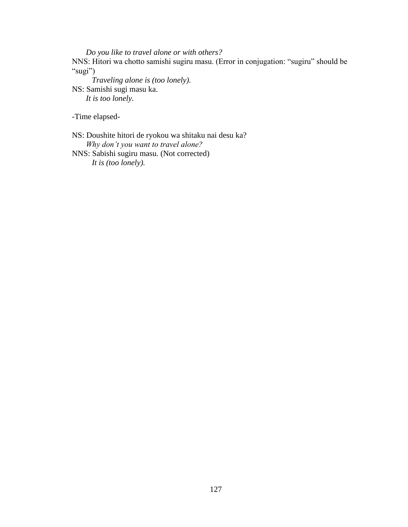*Do you like to travel alone or with others?*

NNS: Hitori wa chotto samishi sugiru masu. (Error in conjugation: "sugiru" should be "sugi")

 *Traveling alone is (too lonely).* NS: Samishi sugi masu ka. *It is too lonely.*

-Time elapsed-

NS: Doushite hitori de ryokou wa shitaku nai desu ka? *Why don't you want to travel alone?*

NNS: Sabishi sugiru masu. (Not corrected)  *It is (too lonely).*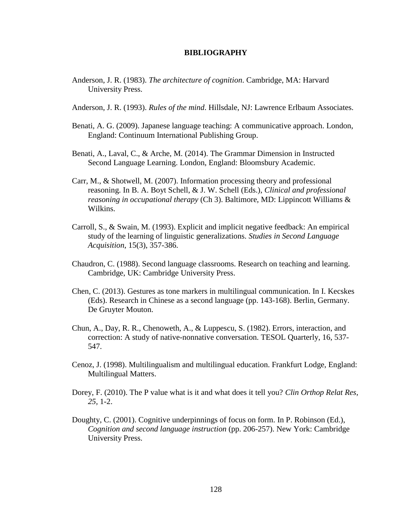## **BIBLIOGRAPHY**

- Anderson, J. R. (1983). *The architecture of cognition*. Cambridge, MA: Harvard University Press.
- Anderson, J. R. (1993). *Rules of the mind*. Hillsdale, NJ: Lawrence Erlbaum Associates.
- Benati, A. G. (2009). Japanese language teaching: A communicative approach. London, England: Continuum International Publishing Group.
- Benati, A., Laval, C., & Arche, M. (2014). The Grammar Dimension in Instructed Second Language Learning. London, England: Bloomsbury Academic.
- Carr, M., & Shotwell, M. (2007). Information processing theory and professional reasoning. In B. A. Boyt Schell, & J. W. Schell (Eds.), *Clinical and professional reasoning in occupational therapy* (Ch 3). Baltimore, MD: Lippincott Williams & Wilkins.
- Carroll, S., & Swain, M. (1993). Explicit and implicit negative feedback: An empirical study of the learning of linguistic generalizations. *Studies in Second Language Acquisition*, 15(3), 357-386.
- Chaudron, C. (1988). Second language classrooms. Research on teaching and learning. Cambridge, UK: Cambridge University Press.
- Chen, C. (2013). Gestures as tone markers in multilingual communication. In I. Kecskes (Eds). Research in Chinese as a second language (pp. 143-168). Berlin, Germany. De Gruyter Mouton.
- Chun, A., Day, R. R., Chenoweth, A., & Luppescu, S. (1982). Errors, interaction, and correction: A study of native-nonnative conversation. TESOL Quarterly, 16, 537- 547.
- Cenoz, J. (1998). Multilingualism and multilingual education. Frankfurt Lodge, England: Multilingual Matters.
- Dorey, F. (2010). The P value what is it and what does it tell you? *Clin Orthop Relat Res, 25,* 1-2.
- Doughty, C. (2001). Cognitive underpinnings of focus on form. In P. Robinson (Ed.), *Cognition and second language instruction* (pp. 206-257). New York: Cambridge University Press.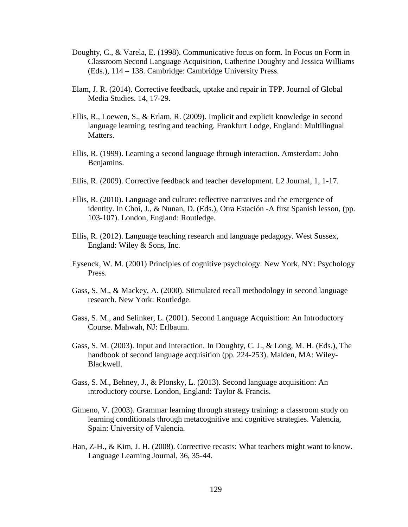- Doughty, C., & Varela, E. (1998). Communicative focus on form. In Focus on Form in Classroom Second Language Acquisition, Catherine Doughty and Jessica Williams (Eds.), 114 – 138. Cambridge: Cambridge University Press.
- Elam, J. R. (2014). Corrective feedback, uptake and repair in TPP. Journal of Global Media Studies. 14, 17-29.
- Ellis, R., Loewen, S., & Erlam, R. (2009). Implicit and explicit knowledge in second language learning, testing and teaching. Frankfurt Lodge, England: Multilingual Matters.
- Ellis, R. (1999). Learning a second language through interaction. Amsterdam: John Benjamins.
- Ellis, R. (2009). Corrective feedback and teacher development. L2 Journal, 1, 1-17.
- Ellis, R. (2010). Language and culture: reflective narratives and the emergence of identity. In Choi, J., & Nunan, D. (Eds.), Otra Estación -A first Spanish lesson, (pp. 103-107). London, England: Routledge.
- Ellis, R. (2012). Language teaching research and language pedagogy. West Sussex, England: Wiley & Sons, Inc.
- Eysenck, W. M. (2001) Principles of cognitive psychology. New York, NY: Psychology Press.
- Gass, S. M., & Mackey, A. (2000). Stimulated recall methodology in second language research. New York: Routledge.
- Gass, S. M., and Selinker, L. (2001). Second Language Acquisition: An Introductory Course. Mahwah, NJ: Erlbaum.
- Gass, S. M. (2003). Input and interaction. In Doughty, C. J., & Long, M. H. (Eds.), The handbook of second language acquisition (pp. 224-253). Malden, MA: Wiley- Blackwell.
- Gass, S. M., Behney, J., & Plonsky, L. (2013). Second language acquisition: An introductory course. London, England: Taylor & Francis.
- Gimeno, V. (2003). Grammar learning through strategy training: a classroom study on learning conditionals through metacognitive and cognitive strategies. Valencia, Spain: University of Valencia.
- Han, Z-H., & Kim, J. H. (2008). Corrective recasts: What teachers might want to know. Language Learning Journal, 36, 35-44.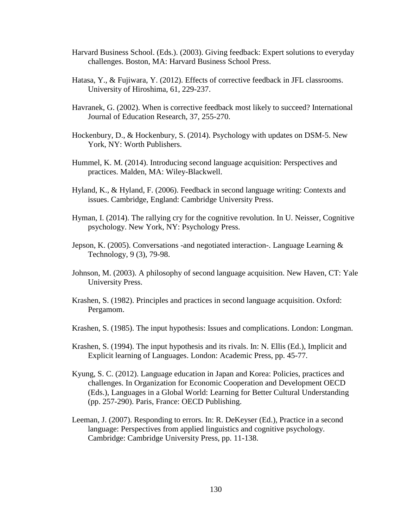- Harvard Business School. (Eds.). (2003). Giving feedback: Expert solutions to everyday challenges. Boston, MA: Harvard Business School Press.
- Hatasa, Y., & Fujiwara, Y. (2012). Effects of corrective feedback in JFL classrooms. University of Hiroshima, 61, 229-237.
- Havranek, G. (2002). When is corrective feedback most likely to succeed? International Journal of Education Research, 37, 255-270.
- Hockenbury, D., & Hockenbury, S. (2014). Psychology with updates on DSM-5. New York, NY: Worth Publishers.
- Hummel, K. M. (2014). Introducing second language acquisition: Perspectives and practices. Malden, MA: Wiley-Blackwell.
- Hyland, K., & Hyland, F. (2006). Feedback in second language writing: Contexts and issues. Cambridge, England: Cambridge University Press.
- Hyman, I. (2014). The rallying cry for the cognitive revolution. In U. Neisser, Cognitive psychology. New York, NY: Psychology Press.
- Jepson, K. (2005). Conversations -and negotiated interaction-. Language Learning  $\&$ Technology, 9 (3), 79-98.
- Johnson, M. (2003). A philosophy of second language acquisition. New Haven, CT: Yale University Press.
- Krashen, S. (1982). Principles and practices in second language acquisition. Oxford: Pergamom.
- Krashen, S. (1985). The input hypothesis: Issues and complications. London: Longman.
- Krashen, S. (1994). The input hypothesis and its rivals. In: N. Ellis (Ed.), Implicit and Explicit learning of Languages. London: Academic Press, pp. 45-77.
- Kyung, S. C. (2012). Language education in Japan and Korea: Policies, practices and challenges. In Organization for Economic Cooperation and Development OECD (Eds.), Languages in a Global World: Learning for Better Cultural Understanding (pp. 257-290). Paris, France: OECD Publishing.
- Leeman, J. (2007). Responding to errors. In: R. DeKeyser (Ed.), Practice in a second language: Perspectives from applied linguistics and cognitive psychology. Cambridge: Cambridge University Press, pp. 11-138.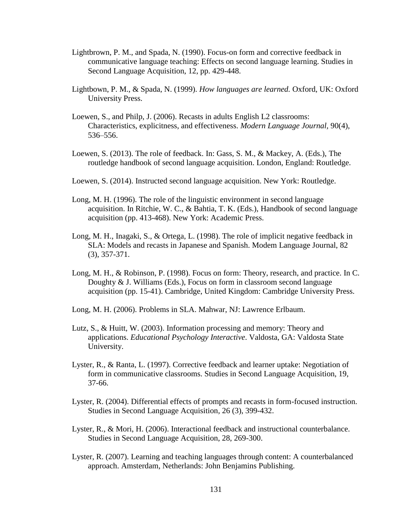- Lightbrown, P. M., and Spada, N. (1990). Focus-on form and corrective feedback in communicative language teaching: Effects on second language learning. Studies in Second Language Acquisition, 12, pp. 429-448.
- Lightbown, P. M., & Spada, N. (1999). *How languages are learned.* Oxford, UK: Oxford University Press.
- Loewen, S., and Philp, J. (2006). Recasts in adults English L2 classrooms: Characteristics, explicitness, and effectiveness. *Modern Language Journal,* 90(4), 536–556.
- Loewen, S. (2013). The role of feedback. In: Gass, S. M., & Mackey, A. (Eds.), The routledge handbook of second language acquisition. London, England: Routledge.
- Loewen, S. (2014). Instructed second language acquisition. New York: Routledge.
- Long, M. H. (1996). The role of the linguistic environment in second language acquisition. In Ritchie, W. C., & Bahtia, T. K. (Eds.), Handbook of second language acquisition (pp. 413-468). New York: Academic Press.
- Long, M. H., Inagaki, S., & Ortega, L. (1998). The role of implicit negative feedback in SLA: Models and recasts in Japanese and Spanish. Modem Language Journal, 82 (3), 357-371.
- Long, M. H., & Robinson, P. (1998). Focus on form: Theory, research, and practice. In C. Doughty & J. Williams (Eds.), Focus on form in classroom second language acquisition (pp. 15-41). Cambridge, United Kingdom: Cambridge University Press.
- Long, M. H. (2006). Problems in SLA. Mahwar, NJ: Lawrence Erlbaum.
- Lutz, S., & Huitt, W. (2003). Information processing and memory: Theory and applications. *Educational Psychology Interactive*. Valdosta, GA: Valdosta State University.
- Lyster, R., & Ranta, L. (1997). Corrective feedback and learner uptake: Negotiation of form in communicative classrooms. Studies in Second Language Acquisition, 19, 37-66.
- Lyster, R. (2004). Differential effects of prompts and recasts in form-focused instruction. Studies in Second Language Acquisition, 26 (3), 399-432.
- Lyster, R., & Mori, H. (2006). Interactional feedback and instructional counterbalance. Studies in Second Language Acquisition, 28, 269-300.
- Lyster, R. (2007). Learning and teaching languages through content: A counterbalanced approach. Amsterdam, Netherlands: John Benjamins Publishing.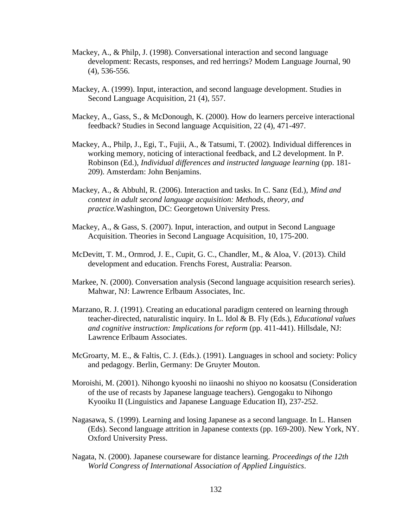- Mackey, A., & Philp, J. (1998). Conversational interaction and second language development: Recasts, responses, and red herrings? Modem Language Journal, 90 (4), 536-556.
- Mackey, A. (1999). Input, interaction, and second language development. Studies in Second Language Acquisition, 21 (4), 557.
- Mackey, A., Gass, S., & McDonough, K. (2000). How do learners perceive interactional feedback? Studies in Second language Acquisition, 22 (4), 471-497.
- Mackey, A., Philp, J., Egi, T., Fujii, A., & Tatsumi, T. (2002). Individual differences in working memory, noticing of interactional feedback, and L2 development. In P. Robinson (Ed.), *Individual differences and instructed language learning* (pp. 181- 209). Amsterdam: John Benjamins.
- Mackey, A., & Abbuhl, R. (2006). Interaction and tasks. In C. Sanz (Ed.), *Mind and context in adult second language acquisition: Methods, theory, and practice.*Washington, DC: Georgetown University Press.
- Mackey, A., & Gass, S. (2007). Input, interaction, and output in Second Language Acquisition. Theories in Second Language Acquisition, 10, 175-200.
- McDevitt, T. M., Ormrod, J. E., Cupit, G. C., Chandler, M., & Aloa, V. (2013). Child development and education. Frenchs Forest, Australia: Pearson.
- Markee, N. (2000). Conversation analysis (Second language acquisition research series). Mahwar, NJ: Lawrence Erlbaum Associates, Inc.
- Marzano, R. J. (1991). Creating an educational paradigm centered on learning through teacher-directed, naturalistic inquiry. In L. Idol & B. Fly (Eds.), *Educational values and cognitive instruction: Implications for reform (pp. 411-441). Hillsdale, NJ:* Lawrence Erlbaum Associates.
- McGroarty, M. E., & Faltis, C. J. (Eds.). (1991). Languages in school and society: Policy and pedagogy. Berlin, Germany: De Gruyter Mouton.
- Moroishi, M. (2001). Nihongo kyooshi no iinaoshi no shiyoo no koosatsu (Consideration of the use of recasts by Japanese language teachers). Gengogaku to Nihongo Kyooiku II (Linguistics and Japanese Language Education II), 237-252.
- Nagasawa, S. (1999). Learning and losing Japanese as a second language. In L. Hansen (Eds). Second language attrition in Japanese contexts (pp. 169-200). New York, NY. Oxford University Press.
- Nagata, N. (2000). Japanese courseware for distance learning. *Proceedings of the 12th World Congress of International Association of Applied Linguistics*.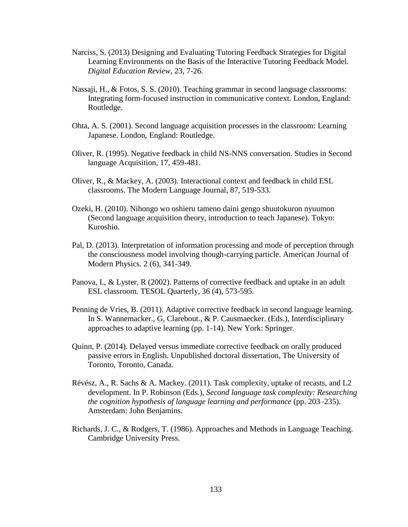- Narciss, S. (2013) Designing and Evaluating Tutoring Feedback Strategies for Digital Learning Environments on the Basis of the Interactive Tutoring Feedback Model. *Digital Education Review*, 23, 7-26.
- Nassaji, H., & Fotos, S. S. (2010). Teaching grammar in second language classrooms: Integrating form-focused instruction in communicative context. London, England: Routledge.
- Ohta, A. S. (2001). Second language acquisition processes in the classroom: Learning Japanese. London, England: Routledge.
- Oliver, R. (1995). Negative feedback in child NS-NNS conversation. Studies in Second language Acquisition, 17, 459-481.
- Oliver, R., & Mackey, A. (2003). Interactional context and feedback in child ESL classrooms. The Modern Language Journal, 87, 519-533.
- Ozeki, H. (2010). Nihongo wo oshieru tameno daini gengo shuutokuron nyuumon (Second language acquisition theory, introduction to teach Japanese). Tokyo: Kuroshio.
- Pal, D. (2013). Interpretation of information processing and mode of perception through the consciousness model involving though-carrying particle. American Journal of Modern Physics. 2 (6), 341-349.
- Panova, I., & Lyster, R (2002). Patterns of corrective feedback and uptake in an adult ESL classroom. TESOL Quarterly, 36 (4), 573-595.
- Penning de Vries, B. (2011). Adaptive corrective feedback in second language learning. In S. Wannemacker., G, Clarebout., & P. Causmaecker. (Eds.), Interdisciplinary approaches to adaptive learning (pp. 1-14). New York: Springer.
- Quinn, P. (2014). Delayed versus immediate corrective feedback on orally produced passive errors in English. Unpublished doctoral dissertation, The University of Toronto, Toronto, Canada.
- Révész, A., R. Sachs & A. Mackey. (2011). Task complexity, uptake of recasts, and L2 development. In P. Robinson (Eds.), *Second language task complexity: Researching the cognition hypothesis of language learning and performance* (pp. 203–235). Amsterdam: John Benjamins.
- Richards, J. C., & Rodgers, T. (1986). Approaches and Methods in Language Teaching. Cambridge University Press.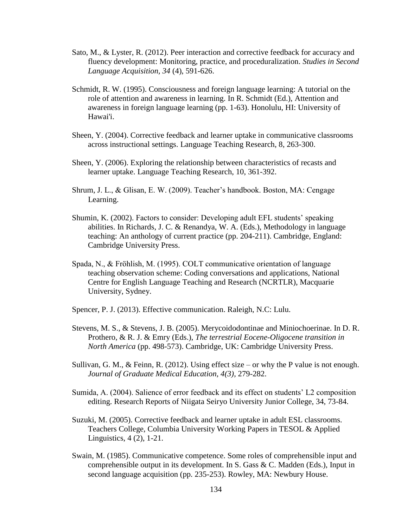- Sato, M., & Lyster, R. (2012). Peer interaction and corrective feedback for accuracy and fluency development: Monitoring, practice, and proceduralization. *Studies in Second Language Acquisition, 34* (4), 591-626.
- Schmidt, R. W. (1995). Consciousness and foreign language learning: A tutorial on the role of attention and awareness in learning. In R. Schmidt (Ed.), Attention and awareness in foreign language learning (pp. 1-63). Honolulu, HI: University of Hawai'i.
- Sheen, Y. (2004). Corrective feedback and learner uptake in communicative classrooms across instructional settings. Language Teaching Research, 8, 263-300.
- Sheen, Y. (2006). Exploring the relationship between characteristics of recasts and learner uptake. Language Teaching Research, 10, 361-392.
- Shrum, J. L., & Glisan, E. W. (2009). Teacher's handbook. Boston, MA: Cengage Learning.
- Shumin, K. (2002). Factors to consider: Developing adult EFL students' speaking abilities. In Richards, J. C. & Renandya, W. A. (Eds.), Methodology in language teaching: An anthology of current practice (pp. 204-211). Cambridge, England: Cambridge University Press.
- Spada, N., & Frӧhlish, M. (1995). COLT communicative orientation of language teaching observation scheme: Coding conversations and applications, National Centre for English Language Teaching and Research (NCRTLR), Macquarie University, Sydney.
- Spencer, P. J. (2013). Effective communication. Raleigh, N.C: Lulu.
- Stevens, M. S., & Stevens, J. B. (2005). Merycoidodontinae and Miniochoerinae. In D. R. Prothero, & R. J. & Emry (Eds.), *The terrestrial Eocene-Oligocene transition in North America* (pp. 498-573). Cambridge, UK: Cambridge University Press.
- Sullivan, G. M., & Feinn, R. (2012). Using effect size or why the P value is not enough. *Journal of Graduate Medical Education, 4(3),* 279-282.
- Sumida, A. (2004). Salience of error feedback and its effect on students' L2 composition editing. Research Reports of Niigata Seiryo University Junior College, 34, 73-84.
- Suzuki, M. (2005). Corrective feedback and learner uptake in adult ESL classrooms. Teachers College, Columbia University Working Papers in TESOL & Applied Linguistics, 4 (2), 1-21.
- Swain, M. (1985). Communicative competence. Some roles of comprehensible input and comprehensible output in its development. In S. Gass & C. Madden (Eds.), Input in second language acquisition (pp. 235-253). Rowley, MA: Newbury House.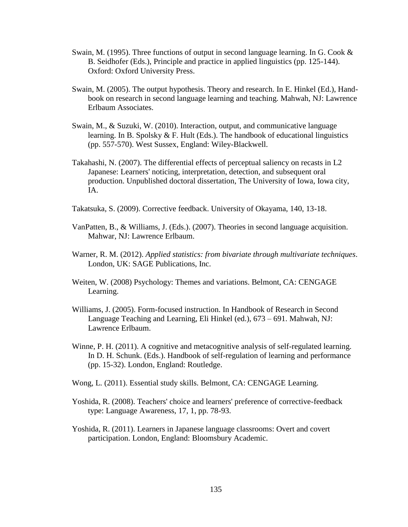- Swain, M. (1995). Three functions of output in second language learning. In G. Cook  $\&$  B. Seidhofer (Eds.), Principle and practice in applied linguistics (pp. 125-144). Oxford: Oxford University Press.
- Swain, M. (2005). The output hypothesis. Theory and research. In E. Hinkel (Ed.), Hand book on research in second language learning and teaching. Mahwah, NJ: Lawrence Erlbaum Associates.
- Swain, M., & Suzuki, W. (2010). Interaction, output, and communicative language learning. In B. Spolsky & F. Hult (Eds.). The handbook of educational linguistics (pp. 557-570). West Sussex, England: Wiley-Blackwell.
- Takahashi, N. (2007). The differential effects of perceptual saliency on recasts in L2 Japanese: Learners' noticing, interpretation, detection, and subsequent oral production. Unpublished doctoral dissertation, The University of Iowa, Iowa city, IA.
- Takatsuka, S. (2009). Corrective feedback. University of Okayama, 140, 13-18.
- VanPatten, B., & Williams, J. (Eds.). (2007). Theories in second language acquisition. Mahwar, NJ: Lawrence Erlbaum.
- Warner, R. M. (2012). *Applied statistics: from bivariate through multivariate techniques*. London, UK: SAGE Publications, Inc.
- Weiten, W. (2008) Psychology: Themes and variations. Belmont, CA: CENGAGE Learning.
- Williams, J. (2005). Form-focused instruction. In Handbook of Research in Second Language Teaching and Learning, Eli Hinkel (ed.), 673 – 691. Mahwah, NJ: Lawrence Erlbaum.
- Winne, P. H. (2011). A cognitive and metacognitive analysis of self-regulated learning. In D. H. Schunk. (Eds.). Handbook of self-regulation of learning and performance (pp. 15-32). London, England: Routledge.
- Wong, L. (2011). Essential study skills. Belmont, CA: CENGAGE Learning.
- Yoshida, R. (2008). Teachers' choice and learners' preference of corrective-feedback type: Language Awareness, 17, 1, pp. 78-93.
- Yoshida, R. (2011). Learners in Japanese language classrooms: Overt and covert participation. London, England: Bloomsbury Academic.